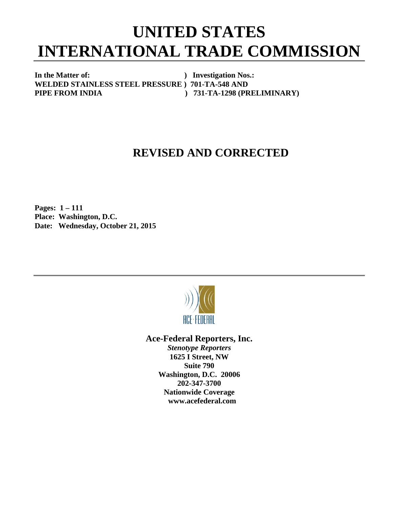## **UNITED STATES INTERNATIONAL TRADE COMMISSION**

**In the Matter of: ) Investigation Nos.: WELDED STAINLESS STEEL PRESSURE ) 701-TA-548 AND**  PIPE FROM INDIA  $731-TA-1298$  (PRELIMINARY)

## **REVISED AND CORRECTED**

**Pages: 1 – 111** **Place: Washington, D.C. Date: Wednesday, October 21, 2015** 



**Ace-Federal Reporters, Inc.** 

*Stenotype Reporters*  **1625 I Street, NW Suite 790 Washington, D.C. 20006 202-347-3700 Nationwide Coverage www.acefederal.com**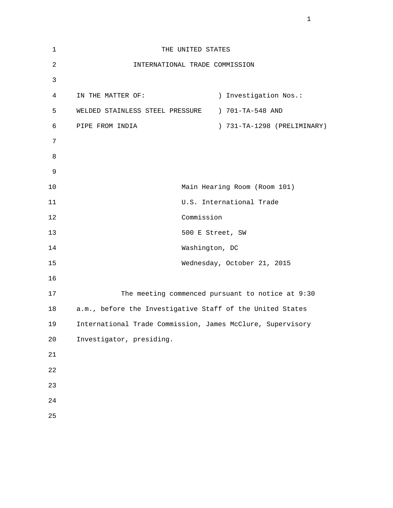| $\mathbf{1}$   |                                 | THE UNITED STATES                                          |
|----------------|---------------------------------|------------------------------------------------------------|
| $\overline{2}$ |                                 | INTERNATIONAL TRADE COMMISSION                             |
| 3              |                                 |                                                            |
| 4              | IN THE MATTER OF:               | Investigation Nos.:<br>$\left( \right)$                    |
| 5              | WELDED STAINLESS STEEL PRESSURE | ) 701-TA-548 AND                                           |
| 6              | PIPE FROM INDIA                 | ) 731-TA-1298 (PRELIMINARY)                                |
| 7              |                                 |                                                            |
| 8              |                                 |                                                            |
| $\mathsf 9$    |                                 |                                                            |
| 10             |                                 | Main Hearing Room (Room 101)                               |
| 11             |                                 | U.S. International Trade                                   |
| 12             |                                 | Commission                                                 |
| 13             |                                 | 500 E Street, SW                                           |
| 14             |                                 | Washington, DC                                             |
| 15             |                                 | Wednesday, October 21, 2015                                |
| 16             |                                 |                                                            |
| 17             |                                 | The meeting commenced pursuant to notice at 9:30           |
| 18             |                                 | a.m., before the Investigative Staff of the United States  |
| 19             |                                 | International Trade Commission, James McClure, Supervisory |
| 20             | Investigator, presiding.        |                                                            |
| 21             |                                 |                                                            |
| 22             |                                 |                                                            |
| 23             |                                 |                                                            |
| 24             |                                 |                                                            |
| 25             |                                 |                                                            |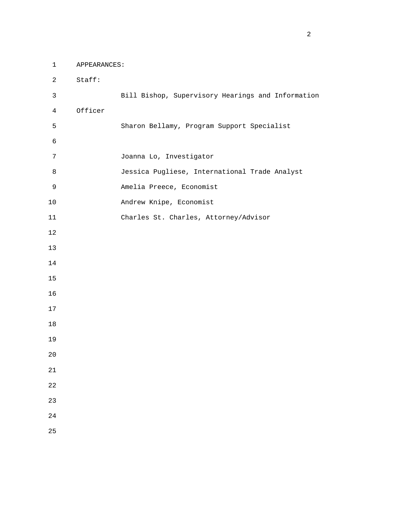1 APPEARANCES:

 2 Staff: 3 Bill Bishop, Supervisory Hearings and Information 4 Officer 5 Sharon Bellamy, Program Support Specialist 7 Joanna Lo, Investigator 8 Jessica Pugliese, International Trade Analyst 9 Amelia Preece, Economist 10 Andrew Knipe, Economist 11 Charles St. Charles, Attorney/Advisor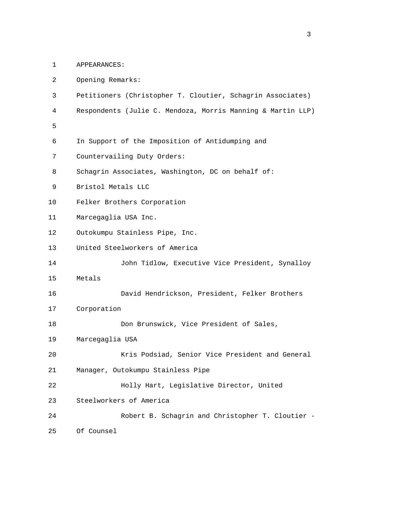1 APPEARANCES:

| 2  | Opening Remarks:                                            |
|----|-------------------------------------------------------------|
| 3  | Petitioners (Christopher T. Cloutier, Schagrin Associates)  |
| 4  | Respondents (Julie C. Mendoza, Morris Manning & Martin LLP) |
| 5  |                                                             |
| 6  | In Support of the Imposition of Antidumping and             |
| 7  | Countervailing Duty Orders:                                 |
| 8  | Schagrin Associates, Washington, DC on behalf of:           |
| 9  | Bristol Metals LLC                                          |
| 10 | Felker Brothers Corporation                                 |
| 11 | Marcegaglia USA Inc.                                        |
| 12 | Outokumpu Stainless Pipe, Inc.                              |
| 13 | United Steelworkers of America                              |
| 14 | John Tidlow, Executive Vice President, Synalloy             |
| 15 | Metals                                                      |
| 16 | David Hendrickson, President, Felker Brothers               |
| 17 | Corporation                                                 |
| 18 | Don Brunswick, Vice President of Sales,                     |
| 19 | Marcegaglia USA                                             |
| 20 | Kris Podsiad, Senior Vice President and General             |
| 21 | Manager, Outokumpu Stainless Pipe                           |
| 22 | Holly Hart, Legislative Director, United                    |
| 23 | Steelworkers of America                                     |
| 24 | Robert B. Schagrin and Christopher T. Cloutier -            |
| 25 | Of Counsel                                                  |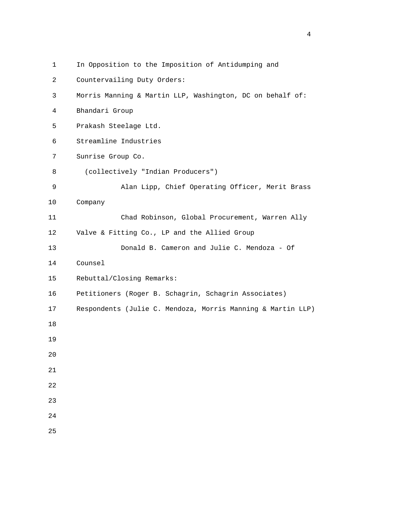| $\mathbf{1}$ | In Opposition to the Imposition of Antidumping and          |
|--------------|-------------------------------------------------------------|
| 2            | Countervailing Duty Orders:                                 |
| $\mathsf{3}$ | Morris Manning & Martin LLP, Washington, DC on behalf of:   |
| 4            | Bhandari Group                                              |
| 5            | Prakash Steelage Ltd.                                       |
| 6            | Streamline Industries                                       |
| 7            | Sunrise Group Co.                                           |
| 8            | (collectively "Indian Producers")                           |
| 9            | Alan Lipp, Chief Operating Officer, Merit Brass             |
| 10           | Company                                                     |
| 11           | Chad Robinson, Global Procurement, Warren Ally              |
| 12           | Valve & Fitting Co., LP and the Allied Group                |
| 13           | Donald B. Cameron and Julie C. Mendoza - Of                 |
| 14           | Counsel                                                     |
| 15           | Rebuttal/Closing Remarks:                                   |
| 16           | Petitioners (Roger B. Schagrin, Schagrin Associates)        |
| 17           | Respondents (Julie C. Mendoza, Morris Manning & Martin LLP) |
| 18           |                                                             |
| 19           |                                                             |
| $20$         |                                                             |
| 21           |                                                             |
| 22           |                                                             |
| 23           |                                                             |
| 24           |                                                             |
| 25           |                                                             |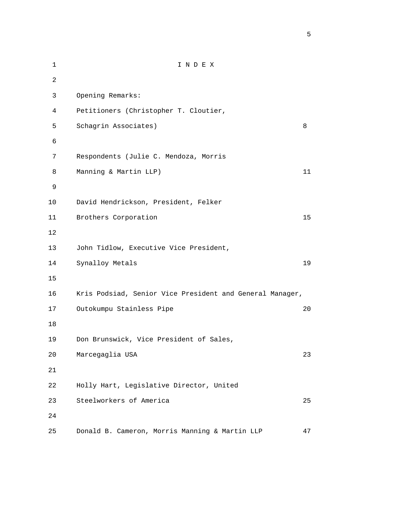| $\mathbf 1$    | INDEX                                                    |    |
|----------------|----------------------------------------------------------|----|
| $\overline{a}$ |                                                          |    |
| 3              | Opening Remarks:                                         |    |
| 4              | Petitioners (Christopher T. Cloutier,                    |    |
| 5              | Schagrin Associates)                                     | 8  |
| 6              |                                                          |    |
| 7              | Respondents (Julie C. Mendoza, Morris                    |    |
| 8              | Manning & Martin LLP)                                    | 11 |
| 9              |                                                          |    |
| 10             | David Hendrickson, President, Felker                     |    |
| 11             | Brothers Corporation                                     | 15 |
| 12             |                                                          |    |
| 13             | John Tidlow, Executive Vice President,                   |    |
| 14             | Synalloy Metals                                          | 19 |
| 15             |                                                          |    |
| 16             | Kris Podsiad, Senior Vice President and General Manager, |    |
| 17             | Outokumpu Stainless Pipe                                 | 20 |
| 18             |                                                          |    |
| 19             | Don Brunswick, Vice President of Sales,                  |    |
| 20             | Marcegaglia USA                                          | 23 |
| 21             |                                                          |    |
| 22             | Holly Hart, Legislative Director, United                 |    |
| 23             | Steelworkers of America                                  | 25 |
| 24             |                                                          |    |
| 25             | Donald B. Cameron, Morris Manning & Martin LLP           | 47 |

 $\sim$  5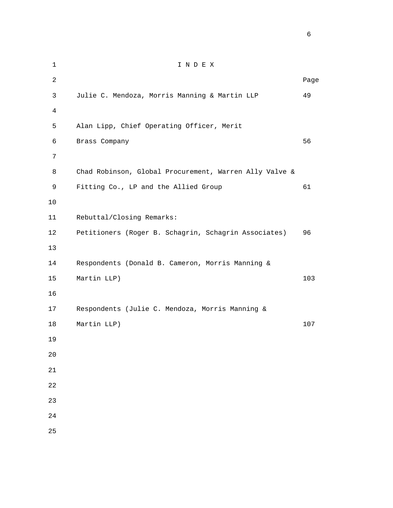1 I N D E X 2 **Page 12** Page 2 **Page 2** Page 2 Page 2 Page 2 Page 2 Page 2 Page 2 Page 2 Page 2 Page 2 Page 2 Page 2 Page 2 Page 2 Page 2 Page 2 Page 2 Page 2 Page 2 Page 2 Page 2 Page 2 Page 2 Page 2 Page 2 Page 2 Page 2 Page 2 Page 3 Julie C. Mendoza, Morris Manning & Martin LLP 49 4 5 Alan Lipp, Chief Operating Officer, Merit 6 Brass Company 56 7 8 Chad Robinson, Global Procurement, Warren Ally Valve & 9 Fitting Co., LP and the Allied Group 61 10 11 Rebuttal/Closing Remarks: 12 Petitioners (Roger B. Schagrin, Schagrin Associates) 96 13 14 Respondents (Donald B. Cameron, Morris Manning & 15 Martin LLP) 103 16 17 Respondents (Julie C. Mendoza, Morris Manning & 18 Martin LLP) 107 19 20 21 22 23 24 25

 $\sim$  6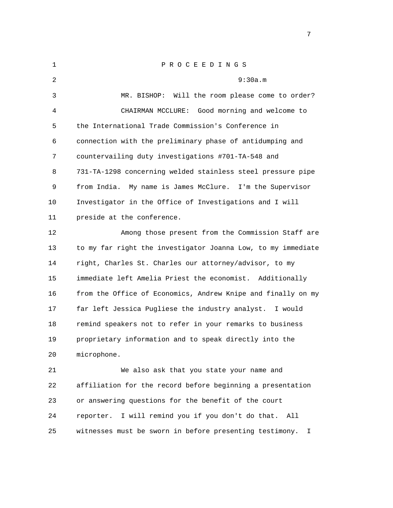| 1  | PROCEEDINGS                                                  |
|----|--------------------------------------------------------------|
| 2  | 9:30a.m                                                      |
| 3  | MR. BISHOP: Will the room please come to order?              |
| 4  | CHAIRMAN MCCLURE: Good morning and welcome to                |
| 5  | the International Trade Commission's Conference in           |
| 6  | connection with the preliminary phase of antidumping and     |
| 7  | countervailing duty investigations #701-TA-548 and           |
| 8  | 731-TA-1298 concerning welded stainless steel pressure pipe  |
| 9  | from India.<br>My name is James McClure. I'm the Supervisor  |
| 10 | Investigator in the Office of Investigations and I will      |
| 11 | preside at the conference.                                   |
| 12 | Among those present from the Commission Staff are            |
| 13 | to my far right the investigator Joanna Low, to my immediate |
| 14 | right, Charles St. Charles our attorney/advisor, to my       |
| 15 | immediate left Amelia Priest the economist. Additionally     |
| 16 | from the Office of Economics, Andrew Knipe and finally on my |
| 17 | far left Jessica Pugliese the industry analyst. I would      |
| 18 | remind speakers not to refer in your remarks to business     |
| 19 | proprietary information and to speak directly into the       |
| 20 | microphone.                                                  |
| 21 | We also ask that you state your name and                     |
| 22 | affiliation for the record before beginning a presentation   |
| 23 | or answering questions for the benefit of the court          |
| 24 | I will remind you if you don't do that.<br>reporter.<br>All  |

25 witnesses must be sworn in before presenting testimony. I

## <u>2003: The contract of the contract of the contract of the contract of the contract of the contract of the con</u>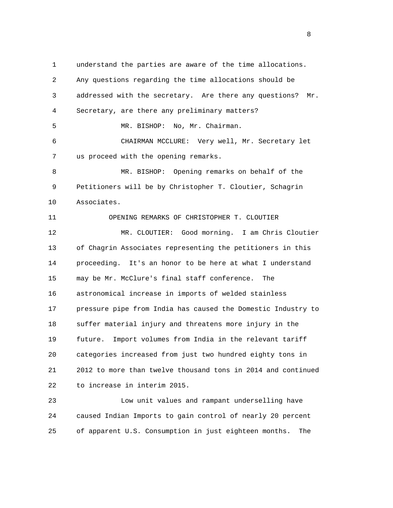1 understand the parties are aware of the time allocations. 2 Any questions regarding the time allocations should be 3 addressed with the secretary. Are there any questions? Mr. 4 Secretary, are there any preliminary matters? 5 MR. BISHOP: No, Mr. Chairman. 6 CHAIRMAN MCCLURE: Very well, Mr. Secretary let 7 us proceed with the opening remarks. 8 MR. BISHOP: Opening remarks on behalf of the 9 Petitioners will be by Christopher T. Cloutier, Schagrin 10 Associates. 11 OPENING REMARKS OF CHRISTOPHER T. CLOUTIER 12 MR. CLOUTIER: Good morning. I am Chris Cloutier 13 of Chagrin Associates representing the petitioners in this 14 proceeding. It's an honor to be here at what I understand 15 may be Mr. McClure's final staff conference. The 16 astronomical increase in imports of welded stainless 17 pressure pipe from India has caused the Domestic Industry to 18 suffer material injury and threatens more injury in the 19 future. Import volumes from India in the relevant tariff 20 categories increased from just two hundred eighty tons in 21 2012 to more than twelve thousand tons in 2014 and continued 22 to increase in interim 2015.

 23 Low unit values and rampant underselling have 24 caused Indian Imports to gain control of nearly 20 percent 25 of apparent U.S. Consumption in just eighteen months. The

experience of the state of the state of the state of the state of the state of the state of the state of the s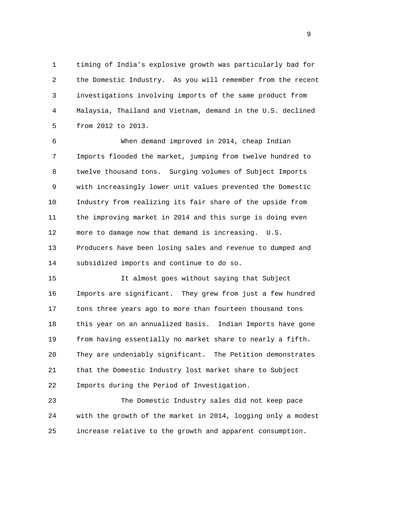1 timing of India's explosive growth was particularly bad for 2 the Domestic Industry. As you will remember from the recent 3 investigations involving imports of the same product from 4 Malaysia, Thailand and Vietnam, demand in the U.S. declined 5 from 2012 to 2013.

 6 When demand improved in 2014, cheap Indian 7 Imports flooded the market, jumping from twelve hundred to 8 twelve thousand tons. Surging volumes of Subject Imports 9 with increasingly lower unit values prevented the Domestic 10 Industry from realizing its fair share of the upside from 11 the improving market in 2014 and this surge is doing even 12 more to damage now that demand is increasing. U.S. 13 Producers have been losing sales and revenue to dumped and 14 subsidized imports and continue to do so.

 15 It almost goes without saying that Subject 16 Imports are significant. They grew from just a few hundred 17 tons three years ago to more than fourteen thousand tons 18 this year on an annualized basis. Indian Imports have gone 19 from having essentially no market share to nearly a fifth. 20 They are undeniably significant. The Petition demonstrates 21 that the Domestic Industry lost market share to Subject 22 Imports during the Period of Investigation.

 23 The Domestic Industry sales did not keep pace 24 with the growth of the market in 2014, logging only a modest 25 increase relative to the growth and apparent consumption.

en de la provincia de la provincia de la provincia de la provincia de la provincia de la provincia de la provi<br>1900 : la provincia de la provincia de la provincia de la provincia de la provincia de la provincia de la prov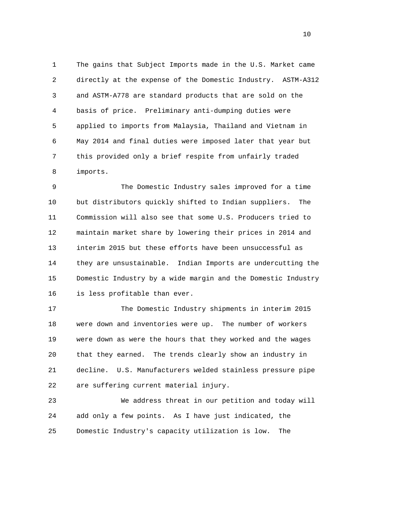1 The gains that Subject Imports made in the U.S. Market came 2 directly at the expense of the Domestic Industry. ASTM-A312 3 and ASTM-A778 are standard products that are sold on the 4 basis of price. Preliminary anti-dumping duties were 5 applied to imports from Malaysia, Thailand and Vietnam in 6 May 2014 and final duties were imposed later that year but 7 this provided only a brief respite from unfairly traded 8 imports.

 9 The Domestic Industry sales improved for a time 10 but distributors quickly shifted to Indian suppliers. The 11 Commission will also see that some U.S. Producers tried to 12 maintain market share by lowering their prices in 2014 and 13 interim 2015 but these efforts have been unsuccessful as 14 they are unsustainable. Indian Imports are undercutting the 15 Domestic Industry by a wide margin and the Domestic Industry 16 is less profitable than ever.

 17 The Domestic Industry shipments in interim 2015 18 were down and inventories were up. The number of workers 19 were down as were the hours that they worked and the wages 20 that they earned. The trends clearly show an industry in 21 decline. U.S. Manufacturers welded stainless pressure pipe 22 are suffering current material injury.

 23 We address threat in our petition and today will 24 add only a few points. As I have just indicated, the 25 Domestic Industry's capacity utilization is low. The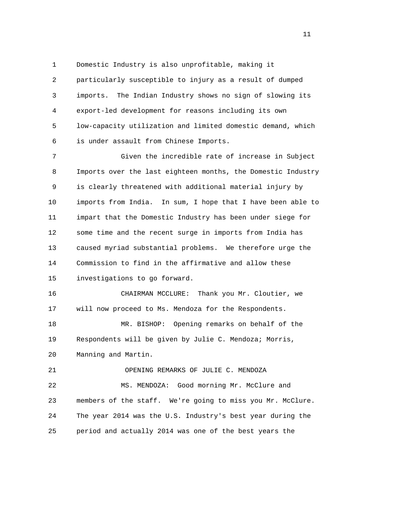1 Domestic Industry is also unprofitable, making it 2 particularly susceptible to injury as a result of dumped 3 imports. The Indian Industry shows no sign of slowing its 4 export-led development for reasons including its own 5 low-capacity utilization and limited domestic demand, which 6 is under assault from Chinese Imports.

 7 Given the incredible rate of increase in Subject 8 Imports over the last eighteen months, the Domestic Industry 9 is clearly threatened with additional material injury by 10 imports from India. In sum, I hope that I have been able to 11 impart that the Domestic Industry has been under siege for 12 some time and the recent surge in imports from India has 13 caused myriad substantial problems. We therefore urge the 14 Commission to find in the affirmative and allow these 15 investigations to go forward.

 16 CHAIRMAN MCCLURE: Thank you Mr. Cloutier, we 17 will now proceed to Ms. Mendoza for the Respondents.

 18 MR. BISHOP: Opening remarks on behalf of the 19 Respondents will be given by Julie C. Mendoza; Morris, 20 Manning and Martin.

21 OPENING REMARKS OF JULIE C. MENDOZA

 22 MS. MENDOZA: Good morning Mr. McClure and 23 members of the staff. We're going to miss you Mr. McClure. 24 The year 2014 was the U.S. Industry's best year during the 25 period and actually 2014 was one of the best years the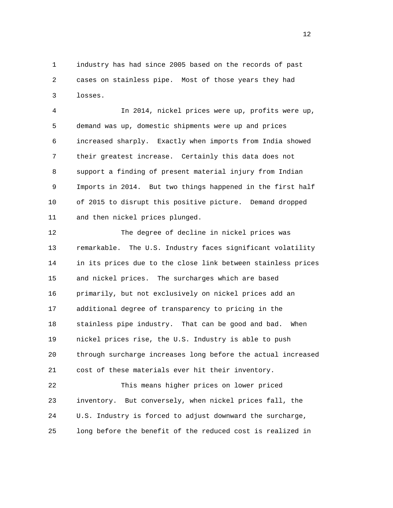1 industry has had since 2005 based on the records of past 2 cases on stainless pipe. Most of those years they had 3 losses.

 4 In 2014, nickel prices were up, profits were up, 5 demand was up, domestic shipments were up and prices 6 increased sharply. Exactly when imports from India showed 7 their greatest increase. Certainly this data does not 8 support a finding of present material injury from Indian 9 Imports in 2014. But two things happened in the first half 10 of 2015 to disrupt this positive picture. Demand dropped 11 and then nickel prices plunged.

 12 The degree of decline in nickel prices was 13 remarkable. The U.S. Industry faces significant volatility 14 in its prices due to the close link between stainless prices 15 and nickel prices. The surcharges which are based 16 primarily, but not exclusively on nickel prices add an 17 additional degree of transparency to pricing in the 18 stainless pipe industry. That can be good and bad. When 19 nickel prices rise, the U.S. Industry is able to push 20 through surcharge increases long before the actual increased 21 cost of these materials ever hit their inventory. 22 This means higher prices on lower priced

 23 inventory. But conversely, when nickel prices fall, the 24 U.S. Industry is forced to adjust downward the surcharge, 25 long before the benefit of the reduced cost is realized in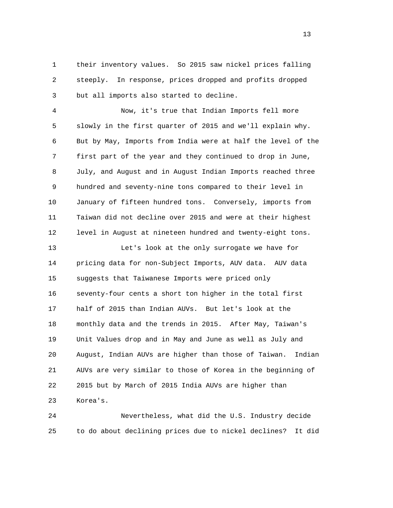1 their inventory values. So 2015 saw nickel prices falling 2 steeply. In response, prices dropped and profits dropped 3 but all imports also started to decline.

 4 Now, it's true that Indian Imports fell more 5 slowly in the first quarter of 2015 and we'll explain why. 6 But by May, Imports from India were at half the level of the 7 first part of the year and they continued to drop in June, 8 July, and August and in August Indian Imports reached three 9 hundred and seventy-nine tons compared to their level in 10 January of fifteen hundred tons. Conversely, imports from 11 Taiwan did not decline over 2015 and were at their highest 12 level in August at nineteen hundred and twenty-eight tons.

 13 Let's look at the only surrogate we have for 14 pricing data for non-Subject Imports, AUV data. AUV data 15 suggests that Taiwanese Imports were priced only 16 seventy-four cents a short ton higher in the total first 17 half of 2015 than Indian AUVs. But let's look at the 18 monthly data and the trends in 2015. After May, Taiwan's 19 Unit Values drop and in May and June as well as July and 20 August, Indian AUVs are higher than those of Taiwan. Indian 21 AUVs are very similar to those of Korea in the beginning of 22 2015 but by March of 2015 India AUVs are higher than 23 Korea's.

 24 Nevertheless, what did the U.S. Industry decide 25 to do about declining prices due to nickel declines? It did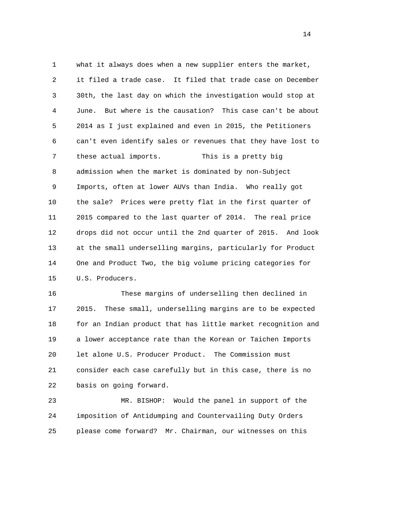1 what it always does when a new supplier enters the market, 2 it filed a trade case. It filed that trade case on December 3 30th, the last day on which the investigation would stop at 4 June. But where is the causation? This case can't be about 5 2014 as I just explained and even in 2015, the Petitioners 6 can't even identify sales or revenues that they have lost to 7 these actual imports. This is a pretty big 8 admission when the market is dominated by non-Subject 9 Imports, often at lower AUVs than India. Who really got 10 the sale? Prices were pretty flat in the first quarter of 11 2015 compared to the last quarter of 2014. The real price 12 drops did not occur until the 2nd quarter of 2015. And look 13 at the small underselling margins, particularly for Product 14 One and Product Two, the big volume pricing categories for 15 U.S. Producers.

 16 These margins of underselling then declined in 17 2015. These small, underselling margins are to be expected 18 for an Indian product that has little market recognition and 19 a lower acceptance rate than the Korean or Taichen Imports 20 let alone U.S. Producer Product. The Commission must 21 consider each case carefully but in this case, there is no 22 basis on going forward.

 23 MR. BISHOP: Would the panel in support of the 24 imposition of Antidumping and Countervailing Duty Orders 25 please come forward? Mr. Chairman, our witnesses on this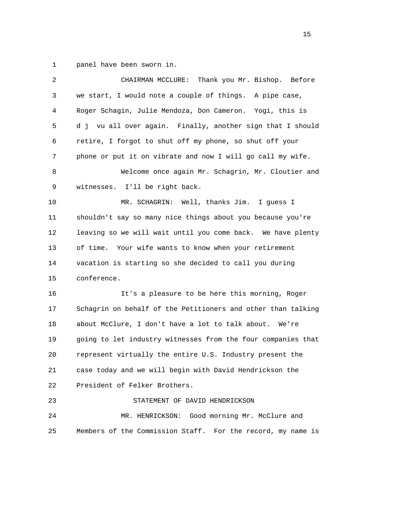1 panel have been sworn in.

| 2  | CHAIRMAN MCCLURE: Thank you Mr. Bishop. Before               |
|----|--------------------------------------------------------------|
| 3  | we start, I would note a couple of things. A pipe case,      |
| 4  | Roger Schagin, Julie Mendoza, Don Cameron. Yogi, this is     |
| 5  | d j vu all over again. Finally, another sign that I should   |
| 6  | retire, I forgot to shut off my phone, so shut off your      |
| 7  | phone or put it on vibrate and now I will go call my wife.   |
| 8  | Welcome once again Mr. Schagrin, Mr. Cloutier and            |
| 9  | witnesses. I'll be right back.                               |
| 10 | MR. SCHAGRIN: Well, thanks Jim. I guess I                    |
| 11 | shouldn't say so many nice things about you because you're   |
| 12 | leaving so we will wait until you come back. We have plenty  |
| 13 | of time. Your wife wants to know when your retirement        |
| 14 | vacation is starting so she decided to call you during       |
| 15 | conference.                                                  |
| 16 | It's a pleasure to be here this morning, Roger               |
| 17 | Schagrin on behalf of the Petitioners and other than talking |
| 18 | about McClure, I don't have a lot to talk about.<br>We're    |
| 19 | going to let industry witnesses from the four companies that |
| 20 | represent virtually the entire U.S. Industry present the     |
| 21 | case today and we will begin with David Hendrickson the      |
| 22 | President of Felker Brothers.                                |
| 23 | STATEMENT OF DAVID HENDRICKSON                               |
| 24 | MR. HENRICKSON: Good morning Mr. McClure and                 |
| 25 | Members of the Commission Staff. For the record, my name is  |
|    |                                                              |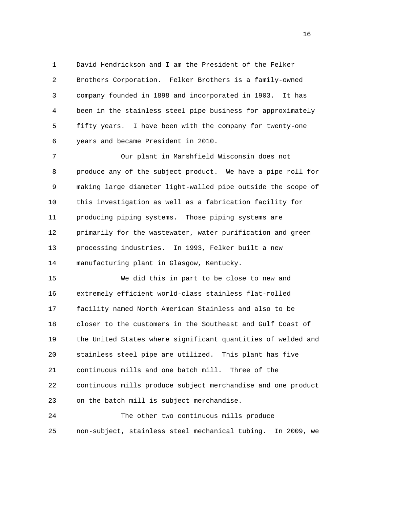1 David Hendrickson and I am the President of the Felker 2 Brothers Corporation. Felker Brothers is a family-owned 3 company founded in 1898 and incorporated in 1903. It has 4 been in the stainless steel pipe business for approximately 5 fifty years. I have been with the company for twenty-one 6 years and became President in 2010.

 7 Our plant in Marshfield Wisconsin does not 8 produce any of the subject product. We have a pipe roll for 9 making large diameter light-walled pipe outside the scope of 10 this investigation as well as a fabrication facility for 11 producing piping systems. Those piping systems are 12 primarily for the wastewater, water purification and green 13 processing industries. In 1993, Felker built a new 14 manufacturing plant in Glasgow, Kentucky.

 15 We did this in part to be close to new and 16 extremely efficient world-class stainless flat-rolled 17 facility named North American Stainless and also to be 18 closer to the customers in the Southeast and Gulf Coast of 19 the United States where significant quantities of welded and 20 stainless steel pipe are utilized. This plant has five 21 continuous mills and one batch mill. Three of the 22 continuous mills produce subject merchandise and one product 23 on the batch mill is subject merchandise.

 24 The other two continuous mills produce 25 non-subject, stainless steel mechanical tubing. In 2009, we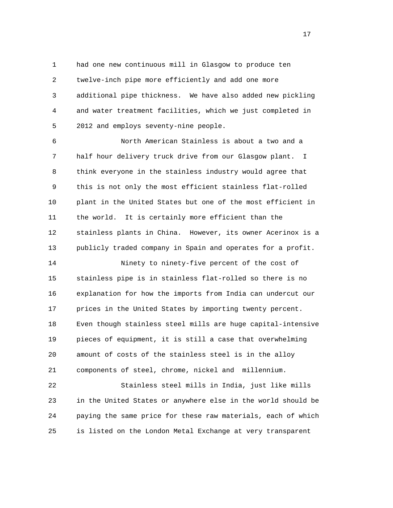1 had one new continuous mill in Glasgow to produce ten 2 twelve-inch pipe more efficiently and add one more 3 additional pipe thickness. We have also added new pickling 4 and water treatment facilities, which we just completed in 5 2012 and employs seventy-nine people.

 6 North American Stainless is about a two and a 7 half hour delivery truck drive from our Glasgow plant. I 8 think everyone in the stainless industry would agree that 9 this is not only the most efficient stainless flat-rolled 10 plant in the United States but one of the most efficient in 11 the world. It is certainly more efficient than the 12 stainless plants in China. However, its owner Acerinox is a 13 publicly traded company in Spain and operates for a profit.

 14 Ninety to ninety-five percent of the cost of 15 stainless pipe is in stainless flat-rolled so there is no 16 explanation for how the imports from India can undercut our 17 prices in the United States by importing twenty percent. 18 Even though stainless steel mills are huge capital-intensive 19 pieces of equipment, it is still a case that overwhelming 20 amount of costs of the stainless steel is in the alloy 21 components of steel, chrome, nickel and millennium.

 22 Stainless steel mills in India, just like mills 23 in the United States or anywhere else in the world should be 24 paying the same price for these raw materials, each of which 25 is listed on the London Metal Exchange at very transparent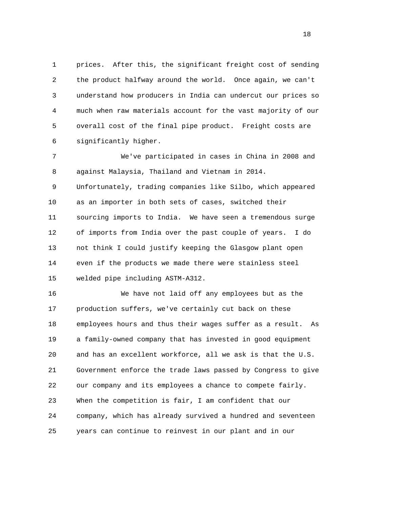1 prices. After this, the significant freight cost of sending 2 the product halfway around the world. Once again, we can't 3 understand how producers in India can undercut our prices so 4 much when raw materials account for the vast majority of our 5 overall cost of the final pipe product. Freight costs are 6 significantly higher.

 7 We've participated in cases in China in 2008 and 8 against Malaysia, Thailand and Vietnam in 2014.

 9 Unfortunately, trading companies like Silbo, which appeared 10 as an importer in both sets of cases, switched their 11 sourcing imports to India. We have seen a tremendous surge 12 of imports from India over the past couple of years. I do 13 not think I could justify keeping the Glasgow plant open 14 even if the products we made there were stainless steel 15 welded pipe including ASTM-A312.

 16 We have not laid off any employees but as the 17 production suffers, we've certainly cut back on these 18 employees hours and thus their wages suffer as a result. As 19 a family-owned company that has invested in good equipment 20 and has an excellent workforce, all we ask is that the U.S. 21 Government enforce the trade laws passed by Congress to give 22 our company and its employees a chance to compete fairly. 23 When the competition is fair, I am confident that our 24 company, which has already survived a hundred and seventeen 25 years can continue to reinvest in our plant and in our

n 18 ann an 18 an t-Iomraid ann an 18 an t-Iomraid ann an 18 an t-Iomraid ann an 18 an t-Iomraid ann an 18 an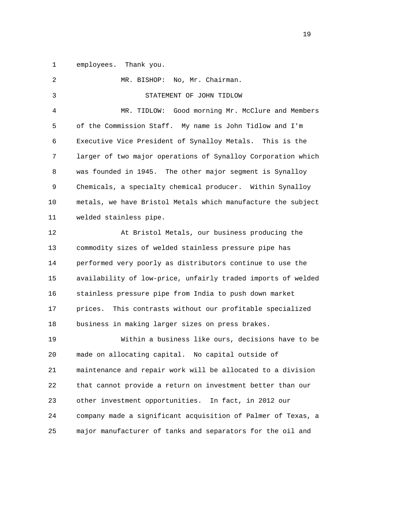1 employees. Thank you.

| $\overline{2}$ | MR. BISHOP: No, Mr. Chairman.                                |
|----------------|--------------------------------------------------------------|
| 3              | STATEMENT OF JOHN TIDLOW                                     |
| $\overline{4}$ | MR. TIDLOW: Good morning Mr. McClure and Members             |
| 5              | of the Commission Staff. My name is John Tidlow and I'm      |
| 6              | Executive Vice President of Synalloy Metals. This is the     |
| 7              | larger of two major operations of Synalloy Corporation which |
| 8              | was founded in 1945. The other major segment is Synalloy     |
| 9              | Chemicals, a specialty chemical producer. Within Synalloy    |
| 10             | metals, we have Bristol Metals which manufacture the subject |
| 11             | welded stainless pipe.                                       |
| 12             | At Bristol Metals, our business producing the                |
| 13             | commodity sizes of welded stainless pressure pipe has        |
| 14             | performed very poorly as distributors continue to use the    |
| 15             | availability of low-price, unfairly traded imports of welded |
| 16             | stainless pressure pipe from India to push down market       |
| 17             | prices.<br>This contrasts without our profitable specialized |
| 18             | business in making larger sizes on press brakes.             |
| 19             | Within a business like ours, decisions have to be            |
| 20             | made on allocating capital.<br>No capital outside of         |
| 21             | maintenance and repair work will be allocated to a division  |
| 22             | that cannot provide a return on investment better than our   |
| 23             | other investment opportunities.<br>In fact, in 2012 our      |
| 24             | company made a significant acquisition of Palmer of Texas, a |
| 25             | major manufacturer of tanks and separators for the oil and   |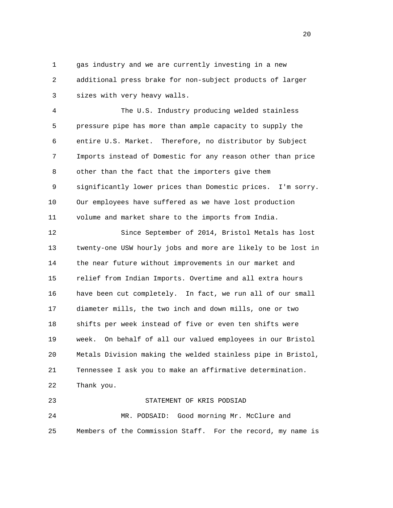1 gas industry and we are currently investing in a new 2 additional press brake for non-subject products of larger 3 sizes with very heavy walls.

 4 The U.S. Industry producing welded stainless 5 pressure pipe has more than ample capacity to supply the 6 entire U.S. Market. Therefore, no distributor by Subject 7 Imports instead of Domestic for any reason other than price 8 other than the fact that the importers give them 9 significantly lower prices than Domestic prices. I'm sorry. 10 Our employees have suffered as we have lost production 11 volume and market share to the imports from India.

 12 Since September of 2014, Bristol Metals has lost 13 twenty-one USW hourly jobs and more are likely to be lost in 14 the near future without improvements in our market and 15 relief from Indian Imports. Overtime and all extra hours 16 have been cut completely. In fact, we run all of our small 17 diameter mills, the two inch and down mills, one or two 18 shifts per week instead of five or even ten shifts were 19 week. On behalf of all our valued employees in our Bristol 20 Metals Division making the welded stainless pipe in Bristol, 21 Tennessee I ask you to make an affirmative determination. 22 Thank you.

```
 23 STATEMENT OF KRIS PODSIAD 
24 MR. PODSAID: Good morning Mr. McClure and 
25 Members of the Commission Staff. For the record, my name is
```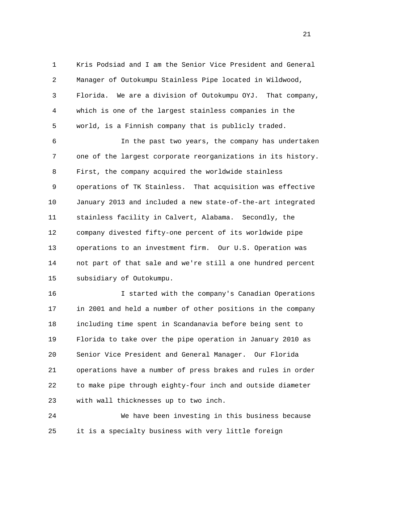1 Kris Podsiad and I am the Senior Vice President and General 2 Manager of Outokumpu Stainless Pipe located in Wildwood, 3 Florida. We are a division of Outokumpu OYJ. That company, 4 which is one of the largest stainless companies in the 5 world, is a Finnish company that is publicly traded.

 6 In the past two years, the company has undertaken 7 one of the largest corporate reorganizations in its history. 8 First, the company acquired the worldwide stainless 9 operations of TK Stainless. That acquisition was effective 10 January 2013 and included a new state-of-the-art integrated 11 stainless facility in Calvert, Alabama. Secondly, the 12 company divested fifty-one percent of its worldwide pipe 13 operations to an investment firm. Our U.S. Operation was 14 not part of that sale and we're still a one hundred percent 15 subsidiary of Outokumpu.

 16 I started with the company's Canadian Operations 17 in 2001 and held a number of other positions in the company 18 including time spent in Scandanavia before being sent to 19 Florida to take over the pipe operation in January 2010 as 20 Senior Vice President and General Manager. Our Florida 21 operations have a number of press brakes and rules in order 22 to make pipe through eighty-four inch and outside diameter 23 with wall thicknesses up to two inch.

 24 We have been investing in this business because 25 it is a specialty business with very little foreign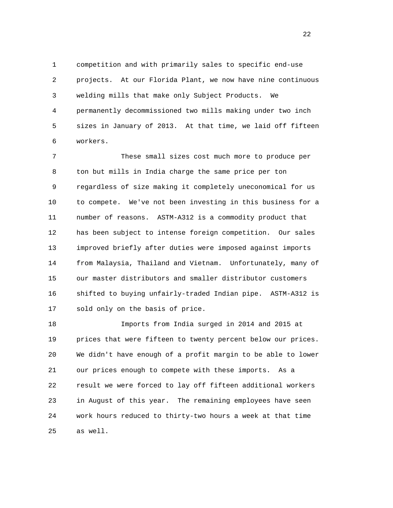1 competition and with primarily sales to specific end-use 2 projects. At our Florida Plant, we now have nine continuous 3 welding mills that make only Subject Products. We 4 permanently decommissioned two mills making under two inch 5 sizes in January of 2013. At that time, we laid off fifteen 6 workers.

 7 These small sizes cost much more to produce per 8 ton but mills in India charge the same price per ton 9 regardless of size making it completely uneconomical for us 10 to compete. We've not been investing in this business for a 11 number of reasons. ASTM-A312 is a commodity product that 12 has been subject to intense foreign competition. Our sales 13 improved briefly after duties were imposed against imports 14 from Malaysia, Thailand and Vietnam. Unfortunately, many of 15 our master distributors and smaller distributor customers 16 shifted to buying unfairly-traded Indian pipe. ASTM-A312 is 17 sold only on the basis of price.

 18 Imports from India surged in 2014 and 2015 at 19 prices that were fifteen to twenty percent below our prices. 20 We didn't have enough of a profit margin to be able to lower 21 our prices enough to compete with these imports. As a 22 result we were forced to lay off fifteen additional workers 23 in August of this year. The remaining employees have seen 24 work hours reduced to thirty-two hours a week at that time 25 as well.

22 a set of the state of the state of the state of the state of the state of the state of the state of the state of the state of the state of the state of the state of the state of the state of the state of the state of th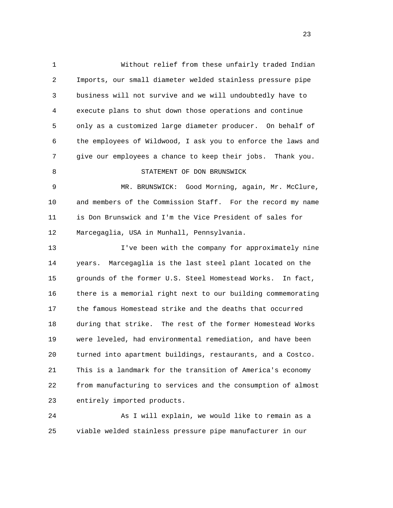1 Without relief from these unfairly traded Indian 2 Imports, our small diameter welded stainless pressure pipe 3 business will not survive and we will undoubtedly have to 4 execute plans to shut down those operations and continue 5 only as a customized large diameter producer. On behalf of 6 the employees of Wildwood, I ask you to enforce the laws and 7 give our employees a chance to keep their jobs. Thank you. 8 STATEMENT OF DON BRUNSWICK 9 MR. BRUNSWICK: Good Morning, again, Mr. McClure, 10 and members of the Commission Staff. For the record my name 11 is Don Brunswick and I'm the Vice President of sales for 12 Marcegaglia, USA in Munhall, Pennsylvania. 13 I've been with the company for approximately nine 14 years. Marcegaglia is the last steel plant located on the 15 grounds of the former U.S. Steel Homestead Works. In fact, 16 there is a memorial right next to our building commemorating 17 the famous Homestead strike and the deaths that occurred 18 during that strike. The rest of the former Homestead Works 19 were leveled, had environmental remediation, and have been 20 turned into apartment buildings, restaurants, and a Costco. 21 This is a landmark for the transition of America's economy 22 from manufacturing to services and the consumption of almost 23 entirely imported products.

 24 As I will explain, we would like to remain as a 25 viable welded stainless pressure pipe manufacturer in our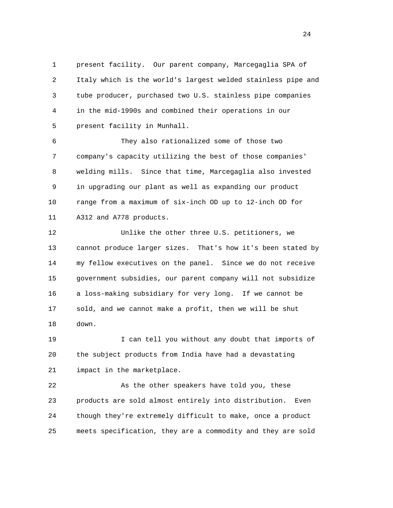1 present facility. Our parent company, Marcegaglia SPA of 2 Italy which is the world's largest welded stainless pipe and 3 tube producer, purchased two U.S. stainless pipe companies 4 in the mid-1990s and combined their operations in our 5 present facility in Munhall.

 6 They also rationalized some of those two 7 company's capacity utilizing the best of those companies' 8 welding mills. Since that time, Marcegaglia also invested 9 in upgrading our plant as well as expanding our product 10 range from a maximum of six-inch OD up to 12-inch OD for 11 A312 and A778 products.

 12 Unlike the other three U.S. petitioners, we 13 cannot produce larger sizes. That's how it's been stated by 14 my fellow executives on the panel. Since we do not receive 15 government subsidies, our parent company will not subsidize 16 a loss-making subsidiary for very long. If we cannot be 17 sold, and we cannot make a profit, then we will be shut 18 down.

 19 I can tell you without any doubt that imports of 20 the subject products from India have had a devastating 21 impact in the marketplace.

 22 As the other speakers have told you, these 23 products are sold almost entirely into distribution. Even 24 though they're extremely difficult to make, once a product 25 meets specification, they are a commodity and they are sold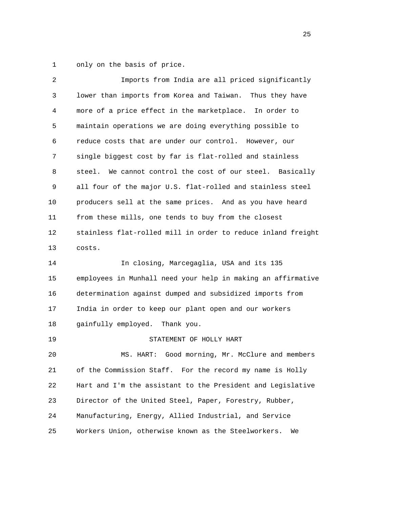1 only on the basis of price.

| 2  | Imports from India are all priced significantly              |
|----|--------------------------------------------------------------|
| 3  | lower than imports from Korea and Taiwan.<br>Thus they have  |
| 4  | more of a price effect in the marketplace. In order to       |
| 5  | maintain operations we are doing everything possible to      |
| 6  | reduce costs that are under our control. However, our        |
| 7  | single biggest cost by far is flat-rolled and stainless      |
| 8  | We cannot control the cost of our steel. Basically<br>steel. |
| 9  | all four of the major U.S. flat-rolled and stainless steel   |
| 10 | producers sell at the same prices. And as you have heard     |
| 11 | from these mills, one tends to buy from the closest          |
| 12 | stainless flat-rolled mill in order to reduce inland freight |
| 13 | costs.                                                       |
| 14 | In closing, Marcegaglia, USA and its 135                     |
| 15 | employees in Munhall need your help in making an affirmative |
| 16 | determination against dumped and subsidized imports from     |
| 17 | India in order to keep our plant open and our workers        |
| 18 | gainfully employed. Thank you.                               |
|    |                                                              |
| 19 | STATEMENT OF HOLLY HART                                      |
| 20 | Good morning, Mr. McClure and members<br>MS. HART:           |
| 21 | of the Commission Staff. For the record my name is Holly     |
| 22 | Hart and I'm the assistant to the President and Legislative  |
| 23 | Director of the United Steel, Paper, Forestry, Rubber,       |
| 24 | Manufacturing, Energy, Allied Industrial, and Service        |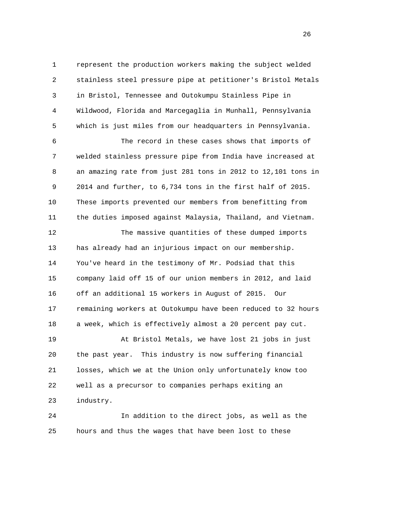1 represent the production workers making the subject welded 2 stainless steel pressure pipe at petitioner's Bristol Metals 3 in Bristol, Tennessee and Outokumpu Stainless Pipe in 4 Wildwood, Florida and Marcegaglia in Munhall, Pennsylvania 5 which is just miles from our headquarters in Pennsylvania.

 6 The record in these cases shows that imports of 7 welded stainless pressure pipe from India have increased at 8 an amazing rate from just 281 tons in 2012 to 12,101 tons in 9 2014 and further, to 6,734 tons in the first half of 2015. 10 These imports prevented our members from benefitting from 11 the duties imposed against Malaysia, Thailand, and Vietnam.

 12 The massive quantities of these dumped imports 13 has already had an injurious impact on our membership. 14 You've heard in the testimony of Mr. Podsiad that this 15 company laid off 15 of our union members in 2012, and laid 16 off an additional 15 workers in August of 2015. Our 17 remaining workers at Outokumpu have been reduced to 32 hours 18 a week, which is effectively almost a 20 percent pay cut. 19 At Bristol Metals, we have lost 21 jobs in just 20 the past year. This industry is now suffering financial 21 losses, which we at the Union only unfortunately know too

 22 well as a precursor to companies perhaps exiting an 23 industry.

 24 In addition to the direct jobs, as well as the 25 hours and thus the wages that have been lost to these

<u>26</u>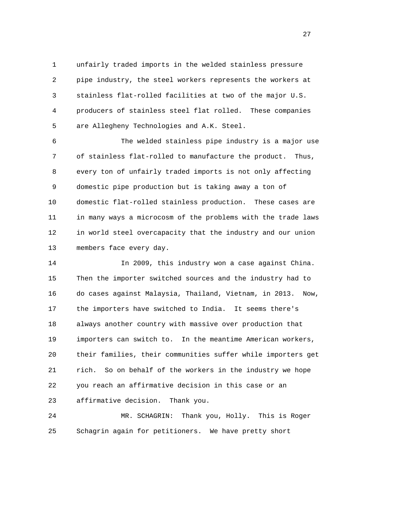1 unfairly traded imports in the welded stainless pressure 2 pipe industry, the steel workers represents the workers at 3 stainless flat-rolled facilities at two of the major U.S. 4 producers of stainless steel flat rolled. These companies 5 are Allegheny Technologies and A.K. Steel.

 6 The welded stainless pipe industry is a major use 7 of stainless flat-rolled to manufacture the product. Thus, 8 every ton of unfairly traded imports is not only affecting 9 domestic pipe production but is taking away a ton of 10 domestic flat-rolled stainless production. These cases are 11 in many ways a microcosm of the problems with the trade laws 12 in world steel overcapacity that the industry and our union 13 members face every day.

 14 In 2009, this industry won a case against China. 15 Then the importer switched sources and the industry had to 16 do cases against Malaysia, Thailand, Vietnam, in 2013. Now, 17 the importers have switched to India. It seems there's 18 always another country with massive over production that 19 importers can switch to. In the meantime American workers, 20 their families, their communities suffer while importers get 21 rich. So on behalf of the workers in the industry we hope 22 you reach an affirmative decision in this case or an 23 affirmative decision. Thank you.

 24 MR. SCHAGRIN: Thank you, Holly. This is Roger 25 Schagrin again for petitioners. We have pretty short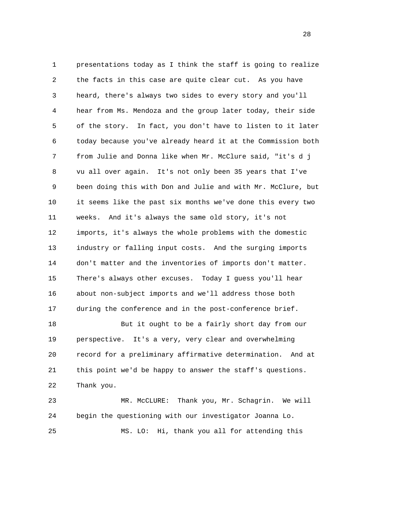1 presentations today as I think the staff is going to realize 2 the facts in this case are quite clear cut. As you have 3 heard, there's always two sides to every story and you'll 4 hear from Ms. Mendoza and the group later today, their side 5 of the story. In fact, you don't have to listen to it later 6 today because you've already heard it at the Commission both 7 from Julie and Donna like when Mr. McClure said, "it's d j 8 vu all over again. It's not only been 35 years that I've 9 been doing this with Don and Julie and with Mr. McClure, but 10 it seems like the past six months we've done this every two 11 weeks. And it's always the same old story, it's not 12 imports, it's always the whole problems with the domestic 13 industry or falling input costs. And the surging imports 14 don't matter and the inventories of imports don't matter. 15 There's always other excuses. Today I guess you'll hear 16 about non-subject imports and we'll address those both 17 during the conference and in the post-conference brief. 18 But it ought to be a fairly short day from our

 19 perspective. It's a very, very clear and overwhelming 20 record for a preliminary affirmative determination. And at 21 this point we'd be happy to answer the staff's questions. 22 Thank you.

 23 MR. McCLURE: Thank you, Mr. Schagrin. We will 24 begin the questioning with our investigator Joanna Lo. 25 MS. LO: Hi, thank you all for attending this

28 and 28 and 28 and 28 and 28 and 28 and 28 and 28 and 28 and 28 and 28 and 28 and 28 and 28 and 28 and 28 and 28 and 28 and 28 and 28 and 28 and 28 and 28 and 28 and 28 and 28 and 28 and 28 and 28 and 28 and 28 and 28 an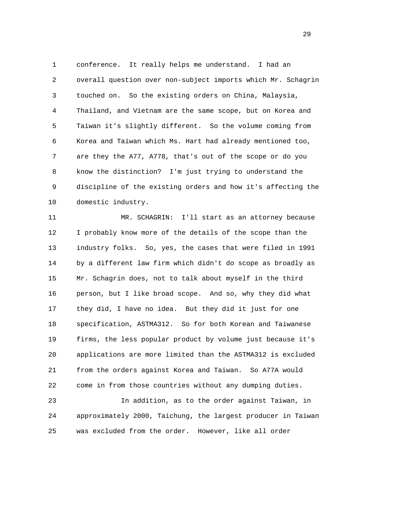1 conference. It really helps me understand. I had an 2 overall question over non-subject imports which Mr. Schagrin 3 touched on. So the existing orders on China, Malaysia, 4 Thailand, and Vietnam are the same scope, but on Korea and 5 Taiwan it's slightly different. So the volume coming from 6 Korea and Taiwan which Ms. Hart had already mentioned too, 7 are they the A77, A778, that's out of the scope or do you 8 know the distinction? I'm just trying to understand the 9 discipline of the existing orders and how it's affecting the 10 domestic industry.

 11 MR. SCHAGRIN: I'll start as an attorney because 12 I probably know more of the details of the scope than the 13 industry folks. So, yes, the cases that were filed in 1991 14 by a different law firm which didn't do scope as broadly as 15 Mr. Schagrin does, not to talk about myself in the third 16 person, but I like broad scope. And so, why they did what 17 they did, I have no idea. But they did it just for one 18 specification, ASTMA312. So for both Korean and Taiwanese 19 firms, the less popular product by volume just because it's 20 applications are more limited than the ASTMA312 is excluded 21 from the orders against Korea and Taiwan. So A77A would 22 come in from those countries without any dumping duties.

 23 In addition, as to the order against Taiwan, in 24 approximately 2000, Taichung, the largest producer in Taiwan 25 was excluded from the order. However, like all order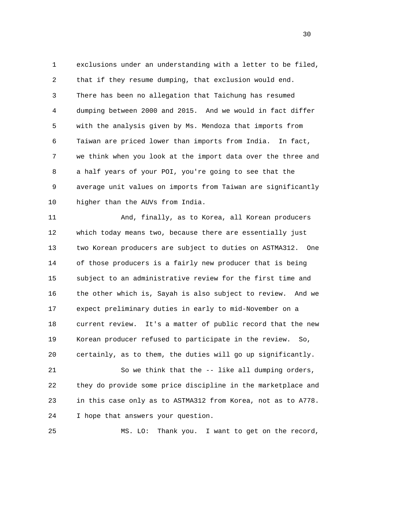1 exclusions under an understanding with a letter to be filed, 2 that if they resume dumping, that exclusion would end. 3 There has been no allegation that Taichung has resumed 4 dumping between 2000 and 2015. And we would in fact differ 5 with the analysis given by Ms. Mendoza that imports from 6 Taiwan are priced lower than imports from India. In fact, 7 we think when you look at the import data over the three and 8 a half years of your POI, you're going to see that the 9 average unit values on imports from Taiwan are significantly 10 higher than the AUVs from India.

 11 And, finally, as to Korea, all Korean producers 12 which today means two, because there are essentially just 13 two Korean producers are subject to duties on ASTMA312. One 14 of those producers is a fairly new producer that is being 15 subject to an administrative review for the first time and 16 the other which is, Sayah is also subject to review. And we 17 expect preliminary duties in early to mid-November on a 18 current review. It's a matter of public record that the new 19 Korean producer refused to participate in the review. So, 20 certainly, as to them, the duties will go up significantly.

 21 So we think that the -- like all dumping orders, 22 they do provide some price discipline in the marketplace and 23 in this case only as to ASTMA312 from Korea, not as to A778. 24 I hope that answers your question.

25 MS. LO: Thank you. I want to get on the record,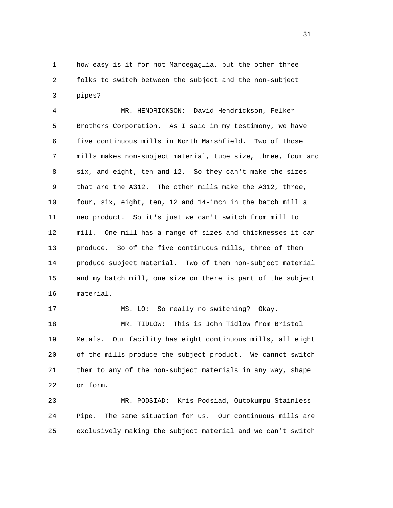1 how easy is it for not Marcegaglia, but the other three 2 folks to switch between the subject and the non-subject 3 pipes?

 4 MR. HENDRICKSON: David Hendrickson, Felker 5 Brothers Corporation. As I said in my testimony, we have 6 five continuous mills in North Marshfield. Two of those 7 mills makes non-subject material, tube size, three, four and 8 six, and eight, ten and 12. So they can't make the sizes 9 that are the A312. The other mills make the A312, three, 10 four, six, eight, ten, 12 and 14-inch in the batch mill a 11 neo product. So it's just we can't switch from mill to 12 mill. One mill has a range of sizes and thicknesses it can 13 produce. So of the five continuous mills, three of them 14 produce subject material. Two of them non-subject material 15 and my batch mill, one size on there is part of the subject 16 material.

 17 MS. LO: So really no switching? Okay. 18 MR. TIDLOW: This is John Tidlow from Bristol 19 Metals. Our facility has eight continuous mills, all eight 20 of the mills produce the subject product. We cannot switch 21 them to any of the non-subject materials in any way, shape 22 or form.

 23 MR. PODSIAD: Kris Podsiad, Outokumpu Stainless 24 Pipe. The same situation for us. Our continuous mills are 25 exclusively making the subject material and we can't switch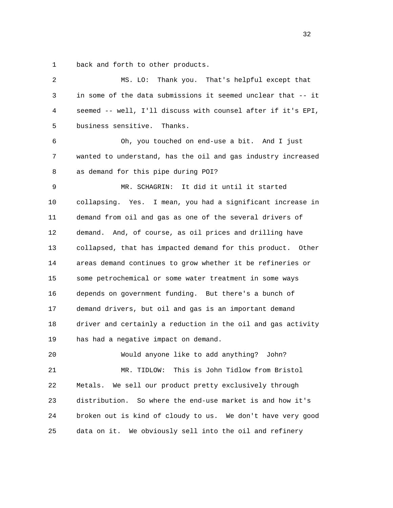1 back and forth to other products.

| 2  | Thank you. That's helpful except that<br>MS. LO:             |
|----|--------------------------------------------------------------|
| 3  | in some of the data submissions it seemed unclear that -- it |
| 4  | seemed -- well, I'll discuss with counsel after if it's EPI, |
| 5  | business sensitive.<br>Thanks.                               |
| 6  | Oh, you touched on end-use a bit. And I just                 |
| 7  | wanted to understand, has the oil and gas industry increased |
| 8  | as demand for this pipe during POI?                          |
| 9  | MR. SCHAGRIN: It did it until it started                     |
| 10 | collapsing. Yes. I mean, you had a significant increase in   |
| 11 | demand from oil and gas as one of the several drivers of     |
| 12 | demand. And, of course, as oil prices and drilling have      |
| 13 | collapsed, that has impacted demand for this product. Other  |
| 14 | areas demand continues to grow whether it be refineries or   |
| 15 | some petrochemical or some water treatment in some ways      |
| 16 | depends on government funding. But there's a bunch of        |
| 17 | demand drivers, but oil and gas is an important demand       |
| 18 | driver and certainly a reduction in the oil and gas activity |
| 19 | has had a negative impact on demand.                         |
| 20 | Would anyone like to add anything?<br>John?                  |
| 21 | This is John Tidlow from Bristol<br>MR. TIDLOW:              |
| 22 | We sell our product pretty exclusively through<br>Metals.    |
| 23 | distribution.<br>So where the end-use market is and how it's |
| 24 | broken out is kind of cloudy to us. We don't have very good  |
| 25 | We obviously sell into the oil and refinery<br>data on it.   |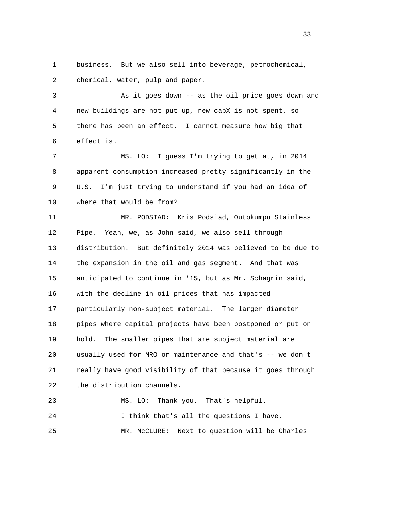1 business. But we also sell into beverage, petrochemical, 2 chemical, water, pulp and paper.

 3 As it goes down -- as the oil price goes down and 4 new buildings are not put up, new capX is not spent, so 5 there has been an effect. I cannot measure how big that 6 effect is.

 7 MS. LO: I guess I'm trying to get at, in 2014 8 apparent consumption increased pretty significantly in the 9 U.S. I'm just trying to understand if you had an idea of 10 where that would be from?

 11 MR. PODSIAD: Kris Podsiad, Outokumpu Stainless 12 Pipe. Yeah, we, as John said, we also sell through 13 distribution. But definitely 2014 was believed to be due to 14 the expansion in the oil and gas segment. And that was 15 anticipated to continue in '15, but as Mr. Schagrin said, 16 with the decline in oil prices that has impacted 17 particularly non-subject material. The larger diameter 18 pipes where capital projects have been postponed or put on 19 hold. The smaller pipes that are subject material are 20 usually used for MRO or maintenance and that's -- we don't 21 really have good visibility of that because it goes through 22 the distribution channels.

 23 MS. LO: Thank you. That's helpful. 24 I think that's all the questions I have. 25 MR. McCLURE: Next to question will be Charles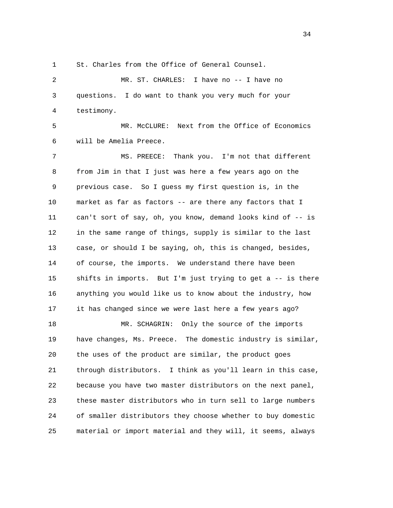1 St. Charles from the Office of General Counsel.

 2 MR. ST. CHARLES: I have no -- I have no 3 questions. I do want to thank you very much for your 4 testimony.

 5 MR. McCLURE: Next from the Office of Economics 6 will be Amelia Preece.

 7 MS. PREECE: Thank you. I'm not that different 8 from Jim in that I just was here a few years ago on the 9 previous case. So I guess my first question is, in the 10 market as far as factors -- are there any factors that I 11 can't sort of say, oh, you know, demand looks kind of -- is 12 in the same range of things, supply is similar to the last 13 case, or should I be saying, oh, this is changed, besides, 14 of course, the imports. We understand there have been 15 shifts in imports. But I'm just trying to get a -- is there 16 anything you would like us to know about the industry, how 17 it has changed since we were last here a few years ago? 18 MR. SCHAGRIN: Only the source of the imports 19 have changes, Ms. Preece. The domestic industry is similar, 20 the uses of the product are similar, the product goes 21 through distributors. I think as you'll learn in this case, 22 because you have two master distributors on the next panel, 23 these master distributors who in turn sell to large numbers 24 of smaller distributors they choose whether to buy domestic 25 material or import material and they will, it seems, always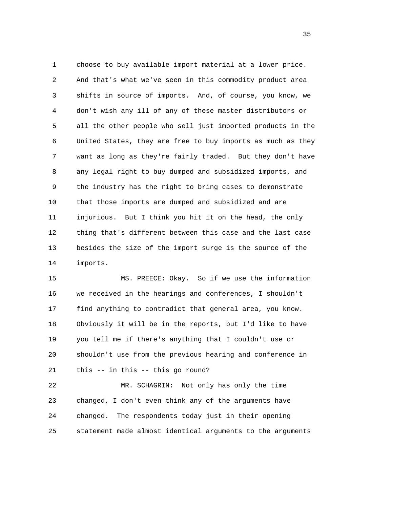1 choose to buy available import material at a lower price. 2 And that's what we've seen in this commodity product area 3 shifts in source of imports. And, of course, you know, we 4 don't wish any ill of any of these master distributors or 5 all the other people who sell just imported products in the 6 United States, they are free to buy imports as much as they 7 want as long as they're fairly traded. But they don't have 8 any legal right to buy dumped and subsidized imports, and 9 the industry has the right to bring cases to demonstrate 10 that those imports are dumped and subsidized and are 11 injurious. But I think you hit it on the head, the only 12 thing that's different between this case and the last case 13 besides the size of the import surge is the source of the 14 imports.

 15 MS. PREECE: Okay. So if we use the information 16 we received in the hearings and conferences, I shouldn't 17 find anything to contradict that general area, you know. 18 Obviously it will be in the reports, but I'd like to have 19 you tell me if there's anything that I couldn't use or 20 shouldn't use from the previous hearing and conference in 21 this -- in this -- this go round?

 22 MR. SCHAGRIN: Not only has only the time 23 changed, I don't even think any of the arguments have 24 changed. The respondents today just in their opening 25 statement made almost identical arguments to the arguments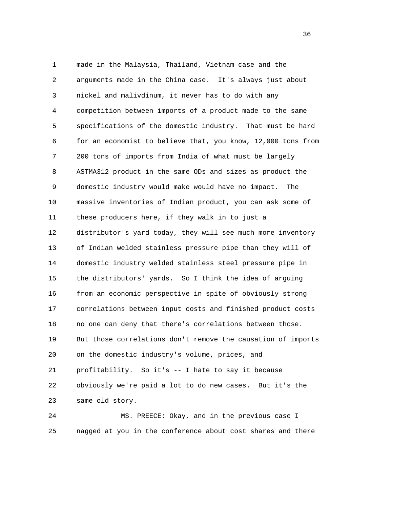1 made in the Malaysia, Thailand, Vietnam case and the 2 arguments made in the China case. It's always just about 3 nickel and malivdinum, it never has to do with any 4 competition between imports of a product made to the same 5 specifications of the domestic industry. That must be hard 6 for an economist to believe that, you know, 12,000 tons from 7 200 tons of imports from India of what must be largely 8 ASTMA312 product in the same ODs and sizes as product the 9 domestic industry would make would have no impact. The 10 massive inventories of Indian product, you can ask some of 11 these producers here, if they walk in to just a 12 distributor's yard today, they will see much more inventory 13 of Indian welded stainless pressure pipe than they will of 14 domestic industry welded stainless steel pressure pipe in 15 the distributors' yards. So I think the idea of arguing 16 from an economic perspective in spite of obviously strong 17 correlations between input costs and finished product costs 18 no one can deny that there's correlations between those. 19 But those correlations don't remove the causation of imports 20 on the domestic industry's volume, prices, and 21 profitability. So it's -- I hate to say it because 22 obviously we're paid a lot to do new cases. But it's the 23 same old story.

 24 MS. PREECE: Okay, and in the previous case I 25 nagged at you in the conference about cost shares and there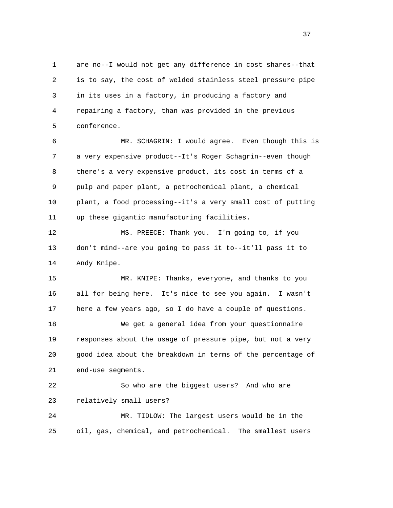1 are no--I would not get any difference in cost shares--that 2 is to say, the cost of welded stainless steel pressure pipe 3 in its uses in a factory, in producing a factory and 4 repairing a factory, than was provided in the previous 5 conference.

 6 MR. SCHAGRIN: I would agree. Even though this is 7 a very expensive product--It's Roger Schagrin--even though 8 there's a very expensive product, its cost in terms of a 9 pulp and paper plant, a petrochemical plant, a chemical 10 plant, a food processing--it's a very small cost of putting 11 up these gigantic manufacturing facilities.

 12 MS. PREECE: Thank you. I'm going to, if you 13 don't mind--are you going to pass it to--it'll pass it to 14 Andy Knipe.

 15 MR. KNIPE: Thanks, everyone, and thanks to you 16 all for being here. It's nice to see you again. I wasn't 17 here a few years ago, so I do have a couple of questions.

 18 We get a general idea from your questionnaire 19 responses about the usage of pressure pipe, but not a very 20 good idea about the breakdown in terms of the percentage of 21 end-use segments.

 22 So who are the biggest users? And who are 23 relatively small users?

 24 MR. TIDLOW: The largest users would be in the 25 oil, gas, chemical, and petrochemical. The smallest users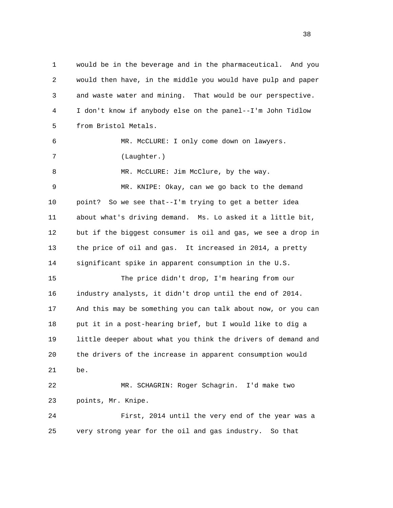1 would be in the beverage and in the pharmaceutical. And you 2 would then have, in the middle you would have pulp and paper 3 and waste water and mining. That would be our perspective. 4 I don't know if anybody else on the panel--I'm John Tidlow 5 from Bristol Metals. 6 MR. McCLURE: I only come down on lawyers. 7 (Laughter.) 8 MR. McCLURE: Jim McClure, by the way. 9 MR. KNIPE: Okay, can we go back to the demand 10 point? So we see that--I'm trying to get a better idea 11 about what's driving demand. Ms. Lo asked it a little bit, 12 but if the biggest consumer is oil and gas, we see a drop in 13 the price of oil and gas. It increased in 2014, a pretty 14 significant spike in apparent consumption in the U.S. 15 The price didn't drop, I'm hearing from our 16 industry analysts, it didn't drop until the end of 2014. 17 And this may be something you can talk about now, or you can 18 put it in a post-hearing brief, but I would like to dig a 19 little deeper about what you think the drivers of demand and 20 the drivers of the increase in apparent consumption would 21 be. 22 MR. SCHAGRIN: Roger Schagrin. I'd make two 23 points, Mr. Knipe. 24 First, 2014 until the very end of the year was a 25 very strong year for the oil and gas industry. So that

and the state of the state of the state of the state of the state of the state of the state of the state of the state of the state of the state of the state of the state of the state of the state of the state of the state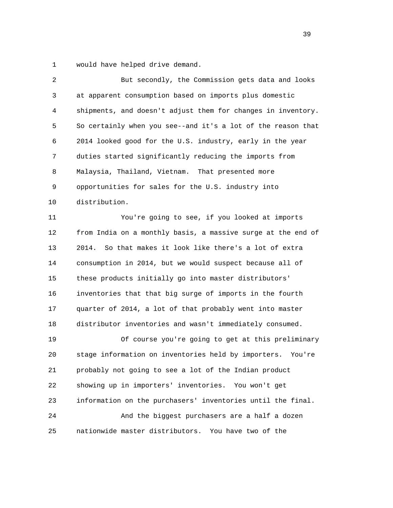1 would have helped drive demand.

| $\overline{c}$ | But secondly, the Commission gets data and looks              |
|----------------|---------------------------------------------------------------|
| 3              | at apparent consumption based on imports plus domestic        |
| 4              | shipments, and doesn't adjust them for changes in inventory.  |
| 5              | So certainly when you see--and it's a lot of the reason that  |
| 6              | 2014 looked good for the U.S. industry, early in the year     |
| 7              | duties started significantly reducing the imports from        |
| 8              | Malaysia, Thailand, Vietnam. That presented more              |
| 9              | opportunities for sales for the U.S. industry into            |
| 10             | distribution.                                                 |
| 11             | You're going to see, if you looked at imports                 |
| 12             | from India on a monthly basis, a massive surge at the end of  |
| 13             | 2014.<br>So that makes it look like there's a lot of extra    |
| 14             | consumption in 2014, but we would suspect because all of      |
| 15             | these products initially go into master distributors'         |
| 16             | inventories that that big surge of imports in the fourth      |
| 17             | quarter of 2014, a lot of that probably went into master      |
| 18             | distributor inventories and wasn't immediately consumed.      |
| 19             | Of course you're going to get at this preliminary             |
| 20             | stage information on inventories held by importers.<br>You're |
| 21             | probably not going to see a lot of the Indian product         |
| 22             | showing up in importers' inventories. You won't get           |
| 23             | information on the purchasers' inventories until the final.   |
| 24             | And the biggest purchasers are a half a dozen                 |
| 25             | nationwide master distributors.<br>You have two of the        |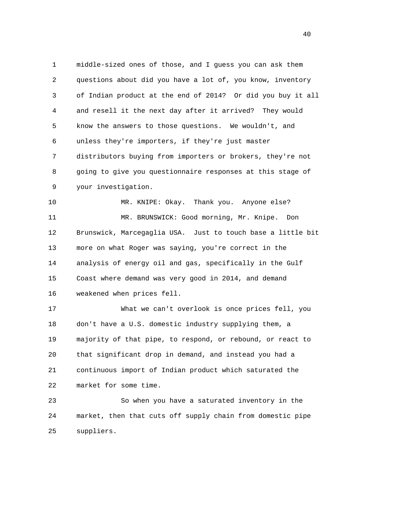1 middle-sized ones of those, and I guess you can ask them 2 questions about did you have a lot of, you know, inventory 3 of Indian product at the end of 2014? Or did you buy it all 4 and resell it the next day after it arrived? They would 5 know the answers to those questions. We wouldn't, and 6 unless they're importers, if they're just master 7 distributors buying from importers or brokers, they're not 8 going to give you questionnaire responses at this stage of 9 your investigation.

 10 MR. KNIPE: Okay. Thank you. Anyone else? 11 MR. BRUNSWICK: Good morning, Mr. Knipe. Don 12 Brunswick, Marcegaglia USA. Just to touch base a little bit 13 more on what Roger was saying, you're correct in the 14 analysis of energy oil and gas, specifically in the Gulf 15 Coast where demand was very good in 2014, and demand 16 weakened when prices fell.

 17 What we can't overlook is once prices fell, you 18 don't have a U.S. domestic industry supplying them, a 19 majority of that pipe, to respond, or rebound, or react to 20 that significant drop in demand, and instead you had a 21 continuous import of Indian product which saturated the 22 market for some time.

 23 So when you have a saturated inventory in the 24 market, then that cuts off supply chain from domestic pipe 25 suppliers.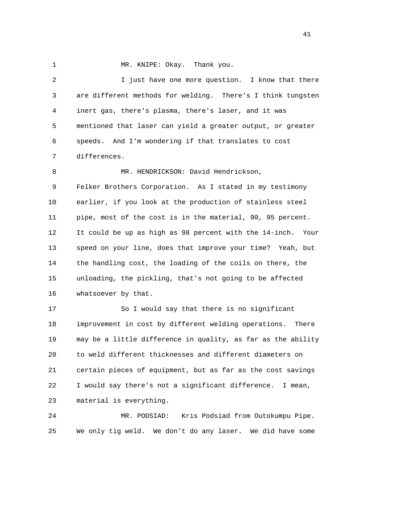1 MR. KNIPE: Okay. Thank you.

 2 I just have one more question. I know that there 3 are different methods for welding. There's I think tungsten 4 inert gas, there's plasma, there's laser, and it was 5 mentioned that laser can yield a greater output, or greater 6 speeds. And I'm wondering if that translates to cost 7 differences. 8 MR. HENDRICKSON: David Hendrickson, 9 Felker Brothers Corporation. As I stated in my testimony 10 earlier, if you look at the production of stainless steel 11 pipe, most of the cost is in the material, 90, 95 percent. 12 It could be up as high as 98 percent with the 14-inch. Your 13 speed on your line, does that improve your time? Yeah, but 14 the handling cost, the loading of the coils on there, the 15 unloading, the pickling, that's not going to be affected 16 whatsoever by that. 17 So I would say that there is no significant 18 improvement in cost by different welding operations. There 19 may be a little difference in quality, as far as the ability 20 to weld different thicknesses and different diameters on 21 certain pieces of equipment, but as far as the cost savings 22 I would say there's not a significant difference. I mean, 23 material is everything.

 24 MR. PODSIAD: Kris Podsiad from Outokumpu Pipe. 25 We only tig weld. We don't do any laser. We did have some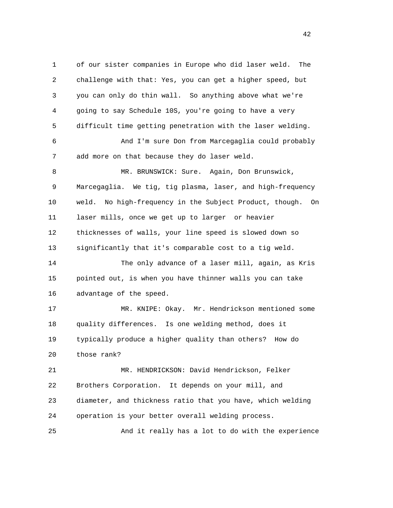1 of our sister companies in Europe who did laser weld. The 2 challenge with that: Yes, you can get a higher speed, but 3 you can only do thin wall. So anything above what we're 4 going to say Schedule 10S, you're going to have a very 5 difficult time getting penetration with the laser welding. 6 And I'm sure Don from Marcegaglia could probably 7 add more on that because they do laser weld. 8 MR. BRUNSWICK: Sure. Again, Don Brunswick, 9 Marcegaglia. We tig, tig plasma, laser, and high-frequency 10 weld. No high-frequency in the Subject Product, though. On 11 laser mills, once we get up to larger or heavier 12 thicknesses of walls, your line speed is slowed down so 13 significantly that it's comparable cost to a tig weld. 14 The only advance of a laser mill, again, as Kris 15 pointed out, is when you have thinner walls you can take 16 advantage of the speed. 17 MR. KNIPE: Okay. Mr. Hendrickson mentioned some 18 quality differences. Is one welding method, does it 19 typically produce a higher quality than others? How do 20 those rank? 21 MR. HENDRICKSON: David Hendrickson, Felker 22 Brothers Corporation. It depends on your mill, and 23 diameter, and thickness ratio that you have, which welding 24 operation is your better overall welding process. 25 And it really has a lot to do with the experience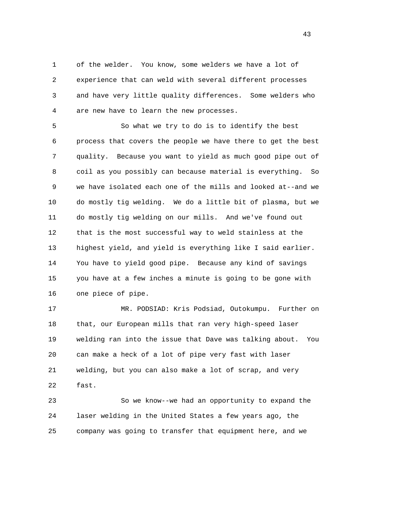1 of the welder. You know, some welders we have a lot of 2 experience that can weld with several different processes 3 and have very little quality differences. Some welders who 4 are new have to learn the new processes.

 5 So what we try to do is to identify the best 6 process that covers the people we have there to get the best 7 quality. Because you want to yield as much good pipe out of 8 coil as you possibly can because material is everything. So 9 we have isolated each one of the mills and looked at--and we 10 do mostly tig welding. We do a little bit of plasma, but we 11 do mostly tig welding on our mills. And we've found out 12 that is the most successful way to weld stainless at the 13 highest yield, and yield is everything like I said earlier. 14 You have to yield good pipe. Because any kind of savings 15 you have at a few inches a minute is going to be gone with 16 one piece of pipe.

 17 MR. PODSIAD: Kris Podsiad, Outokumpu. Further on 18 that, our European mills that ran very high-speed laser 19 welding ran into the issue that Dave was talking about. You 20 can make a heck of a lot of pipe very fast with laser 21 welding, but you can also make a lot of scrap, and very 22 fast.

 23 So we know--we had an opportunity to expand the 24 laser welding in the United States a few years ago, the 25 company was going to transfer that equipment here, and we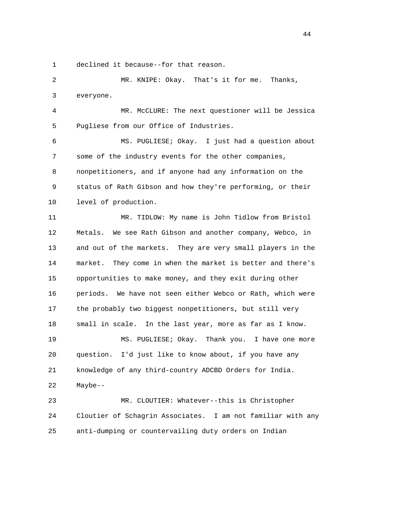1 declined it because--for that reason.

 2 MR. KNIPE: Okay. That's it for me. Thanks, 3 everyone.

 4 MR. McCLURE: The next questioner will be Jessica 5 Pugliese from our Office of Industries.

 6 MS. PUGLIESE; Okay. I just had a question about 7 some of the industry events for the other companies, 8 nonpetitioners, and if anyone had any information on the 9 status of Rath Gibson and how they're performing, or their 10 level of production.

 11 MR. TIDLOW: My name is John Tidlow from Bristol 12 Metals. We see Rath Gibson and another company, Webco, in 13 and out of the markets. They are very small players in the 14 market. They come in when the market is better and there's 15 opportunities to make money, and they exit during other 16 periods. We have not seen either Webco or Rath, which were 17 the probably two biggest nonpetitioners, but still very 18 small in scale. In the last year, more as far as I know. 19 MS. PUGLIESE; Okay. Thank you. I have one more 20 question. I'd just like to know about, if you have any 21 knowledge of any third-country ADCBD Orders for India. 22 Maybe-- 23 MR. CLOUTIER: Whatever--this is Christopher

 24 Cloutier of Schagrin Associates. I am not familiar with any 25 anti-dumping or countervailing duty orders on Indian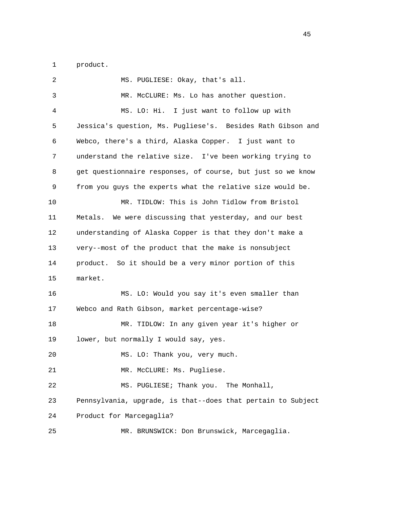1 product.

| 2  | MS. PUGLIESE: Okay, that's all.                              |
|----|--------------------------------------------------------------|
| 3  | MR. McCLURE: Ms. Lo has another question.                    |
| 4  | MS. LO: Hi. I just want to follow up with                    |
| 5  | Jessica's question, Ms. Pugliese's. Besides Rath Gibson and  |
| 6  | Webco, there's a third, Alaska Copper. I just want to        |
| 7  | understand the relative size. I've been working trying to    |
| 8  | get questionnaire responses, of course, but just so we know  |
| 9  | from you guys the experts what the relative size would be.   |
| 10 | MR. TIDLOW: This is John Tidlow from Bristol                 |
| 11 | We were discussing that yesterday, and our best<br>Metals.   |
| 12 | understanding of Alaska Copper is that they don't make a     |
| 13 | very--most of the product that the make is nonsubject        |
| 14 | So it should be a very minor portion of this<br>product.     |
| 15 | market.                                                      |
| 16 | MS. LO: Would you say it's even smaller than                 |
| 17 | Webco and Rath Gibson, market percentage-wise?               |
| 18 | MR. TIDLOW: In any given year it's higher or                 |
| 19 | lower, but normally I would say, yes.                        |
| 20 | MS. LO: Thank you, very much.                                |
| 21 | MR. McCLURE: Ms. Pugliese.                                   |
| 22 | MS. PUGLIESE; Thank you.<br>The Monhall,                     |
| 23 | Pennsylvania, upgrade, is that--does that pertain to Subject |
| 24 | Product for Marcegaglia?                                     |
| 25 | MR. BRUNSWICK: Don Brunswick, Marcegaglia.                   |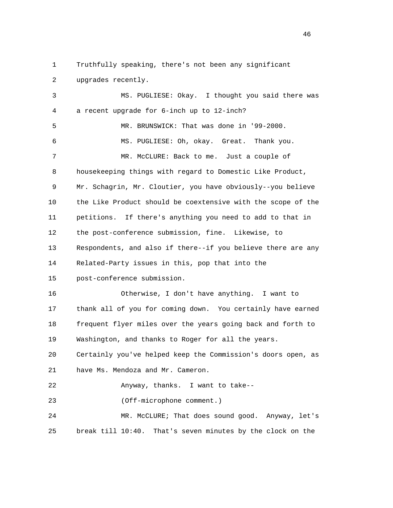1 Truthfully speaking, there's not been any significant 2 upgrades recently. 3 MS. PUGLIESE: Okay. I thought you said there was 4 a recent upgrade for 6-inch up to 12-inch?

 5 MR. BRUNSWICK: That was done in '99-2000. 6 MS. PUGLIESE: Oh, okay. Great. Thank you. 7 MR. McCLURE: Back to me. Just a couple of 8 housekeeping things with regard to Domestic Like Product, 9 Mr. Schagrin, Mr. Cloutier, you have obviously--you believe 10 the Like Product should be coextensive with the scope of the 11 petitions. If there's anything you need to add to that in 12 the post-conference submission, fine. Likewise, to 13 Respondents, and also if there--if you believe there are any 14 Related-Party issues in this, pop that into the 15 post-conference submission. 16 Otherwise, I don't have anything. I want to 17 thank all of you for coming down. You certainly have earned 18 frequent flyer miles over the years going back and forth to 19 Washington, and thanks to Roger for all the years. 20 Certainly you've helped keep the Commission's doors open, as 21 have Ms. Mendoza and Mr. Cameron.

22 Anyway, thanks. I want to take--

23 (Off-microphone comment.)

 24 MR. McCLURE; That does sound good. Anyway, let's 25 break till 10:40. That's seven minutes by the clock on the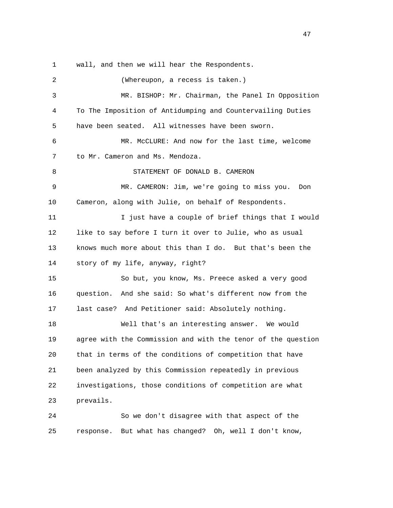1 wall, and then we will hear the Respondents.

 2 (Whereupon, a recess is taken.) 3 MR. BISHOP: Mr. Chairman, the Panel In Opposition 4 To The Imposition of Antidumping and Countervailing Duties 5 have been seated. All witnesses have been sworn. 6 MR. McCLURE: And now for the last time, welcome 7 to Mr. Cameron and Ms. Mendoza. 8 STATEMENT OF DONALD B. CAMERON 9 MR. CAMERON: Jim, we're going to miss you. Don 10 Cameron, along with Julie, on behalf of Respondents. 11 I just have a couple of brief things that I would 12 like to say before I turn it over to Julie, who as usual 13 knows much more about this than I do. But that's been the 14 story of my life, anyway, right? 15 So but, you know, Ms. Preece asked a very good 16 question. And she said: So what's different now from the 17 last case? And Petitioner said: Absolutely nothing. 18 Well that's an interesting answer. We would 19 agree with the Commission and with the tenor of the question 20 that in terms of the conditions of competition that have 21 been analyzed by this Commission repeatedly in previous 22 investigations, those conditions of competition are what 23 prevails. 24 So we don't disagree with that aspect of the 25 response. But what has changed? Oh, well I don't know,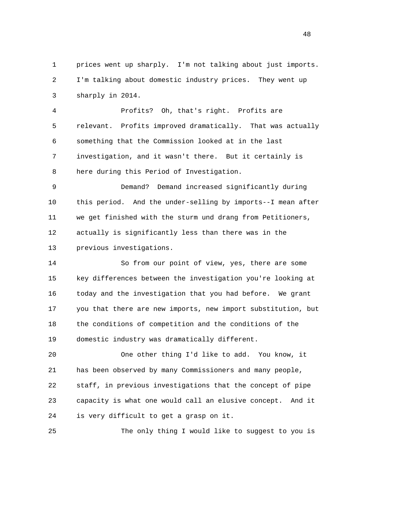1 prices went up sharply. I'm not talking about just imports. 2 I'm talking about domestic industry prices. They went up 3 sharply in 2014.

 4 Profits? Oh, that's right. Profits are 5 relevant. Profits improved dramatically. That was actually 6 something that the Commission looked at in the last 7 investigation, and it wasn't there. But it certainly is 8 here during this Period of Investigation.

 9 Demand? Demand increased significantly during 10 this period. And the under-selling by imports--I mean after 11 we get finished with the sturm und drang from Petitioners, 12 actually is significantly less than there was in the 13 previous investigations.

 14 So from our point of view, yes, there are some 15 key differences between the investigation you're looking at 16 today and the investigation that you had before. We grant 17 you that there are new imports, new import substitution, but 18 the conditions of competition and the conditions of the 19 domestic industry was dramatically different.

 20 One other thing I'd like to add. You know, it 21 has been observed by many Commissioners and many people, 22 staff, in previous investigations that the concept of pipe 23 capacity is what one would call an elusive concept. And it 24 is very difficult to get a grasp on it.

25 The only thing I would like to suggest to you is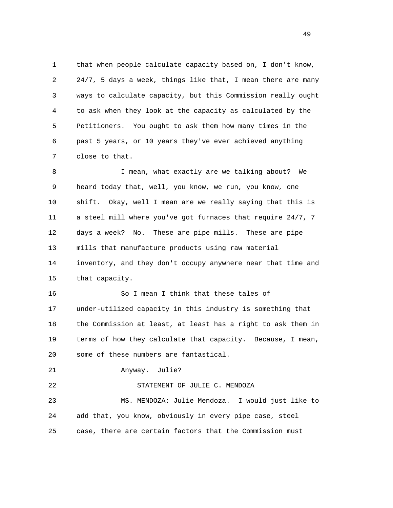1 that when people calculate capacity based on, I don't know, 2 24/7, 5 days a week, things like that, I mean there are many 3 ways to calculate capacity, but this Commission really ought 4 to ask when they look at the capacity as calculated by the 5 Petitioners. You ought to ask them how many times in the 6 past 5 years, or 10 years they've ever achieved anything 7 close to that.

 8 I mean, what exactly are we talking about? We 9 heard today that, well, you know, we run, you know, one 10 shift. Okay, well I mean are we really saying that this is 11 a steel mill where you've got furnaces that require 24/7, 7 12 days a week? No. These are pipe mills. These are pipe 13 mills that manufacture products using raw material 14 inventory, and they don't occupy anywhere near that time and 15 that capacity.

 16 So I mean I think that these tales of 17 under-utilized capacity in this industry is something that 18 the Commission at least, at least has a right to ask them in 19 terms of how they calculate that capacity. Because, I mean, 20 some of these numbers are fantastical.

21 Anyway. Julie?

 22 STATEMENT OF JULIE C. MENDOZA 23 MS. MENDOZA: Julie Mendoza. I would just like to 24 add that, you know, obviously in every pipe case, steel 25 case, there are certain factors that the Commission must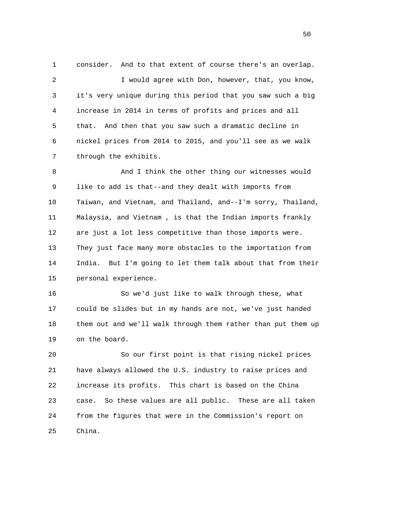1 consider. And to that extent of course there's an overlap. 2 I would agree with Don, however, that, you know, 3 it's very unique during this period that you saw such a big 4 increase in 2014 in terms of profits and prices and all 5 that. And then that you saw such a dramatic decline in 6 nickel prices from 2014 to 2015, and you'll see as we walk 7 through the exhibits.

 8 And I think the other thing our witnesses would 9 like to add is that--and they dealt with imports from 10 Taiwan, and Vietnam, and Thailand, and--I'm sorry, Thailand, 11 Malaysia, and Vietnam , is that the Indian imports frankly 12 are just a lot less competitive than those imports were. 13 They just face many more obstacles to the importation from 14 India. But I'm going to let them talk about that from their 15 personal experience.

 16 So we'd just like to walk through these, what 17 could be slides but in my hands are not, we've just handed 18 them out and we'll walk through them rather than put them up 19 on the board.

 20 So our first point is that rising nickel prices 21 have always allowed the U.S. industry to raise prices and 22 increase its profits. This chart is based on the China 23 case. So these values are all public. These are all taken 24 from the figures that were in the Commission's report on 25 China.

 $50<sub>50</sub>$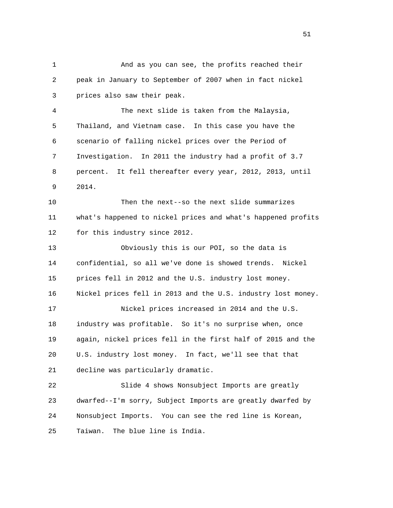2 peak in January to September of 2007 when in fact nickel 3 prices also saw their peak. 4 The next slide is taken from the Malaysia, 5 Thailand, and Vietnam case. In this case you have the 6 scenario of falling nickel prices over the Period of 7 Investigation. In 2011 the industry had a profit of 3.7 8 percent. It fell thereafter every year, 2012, 2013, until 9 2014. 10 Then the next--so the next slide summarizes 11 what's happened to nickel prices and what's happened profits 12 for this industry since 2012. 13 Obviously this is our POI, so the data is 14 confidential, so all we've done is showed trends. Nickel 15 prices fell in 2012 and the U.S. industry lost money. 16 Nickel prices fell in 2013 and the U.S. industry lost money. 17 Nickel prices increased in 2014 and the U.S. 18 industry was profitable. So it's no surprise when, once

1 And as you can see, the profits reached their

 19 again, nickel prices fell in the first half of 2015 and the 20 U.S. industry lost money. In fact, we'll see that that 21 decline was particularly dramatic.

 22 Slide 4 shows Nonsubject Imports are greatly 23 dwarfed--I'm sorry, Subject Imports are greatly dwarfed by 24 Nonsubject Imports. You can see the red line is Korean, 25 Taiwan. The blue line is India.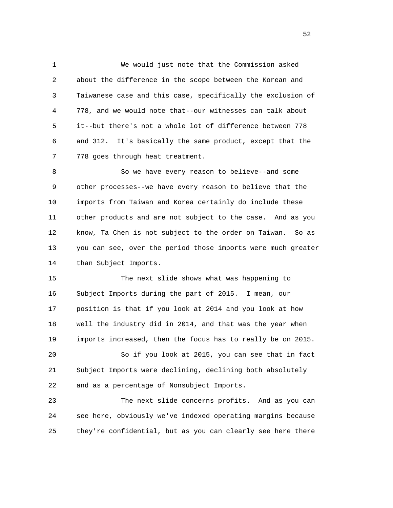1 We would just note that the Commission asked 2 about the difference in the scope between the Korean and 3 Taiwanese case and this case, specifically the exclusion of 4 778, and we would note that--our witnesses can talk about 5 it--but there's not a whole lot of difference between 778 6 and 312. It's basically the same product, except that the 7 778 goes through heat treatment.

8 So we have every reason to believe--and some 9 other processes--we have every reason to believe that the 10 imports from Taiwan and Korea certainly do include these 11 other products and are not subject to the case. And as you 12 know, Ta Chen is not subject to the order on Taiwan. So as 13 you can see, over the period those imports were much greater 14 than Subject Imports.

 15 The next slide shows what was happening to 16 Subject Imports during the part of 2015. I mean, our 17 position is that if you look at 2014 and you look at how 18 well the industry did in 2014, and that was the year when 19 imports increased, then the focus has to really be on 2015.

 20 So if you look at 2015, you can see that in fact 21 Subject Imports were declining, declining both absolutely 22 and as a percentage of Nonsubject Imports.

 23 The next slide concerns profits. And as you can 24 see here, obviously we've indexed operating margins because 25 they're confidential, but as you can clearly see here there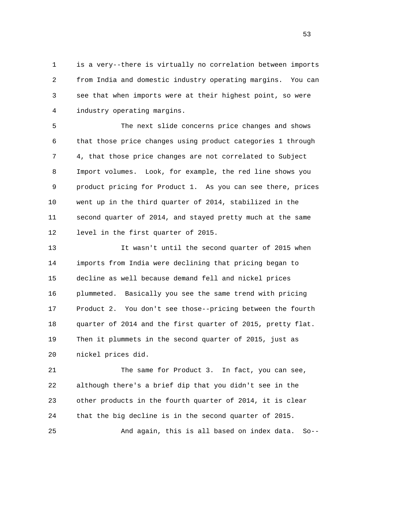1 is a very--there is virtually no correlation between imports 2 from India and domestic industry operating margins. You can 3 see that when imports were at their highest point, so were 4 industry operating margins.

 5 The next slide concerns price changes and shows 6 that those price changes using product categories 1 through 7 4, that those price changes are not correlated to Subject 8 Import volumes. Look, for example, the red line shows you 9 product pricing for Product 1. As you can see there, prices 10 went up in the third quarter of 2014, stabilized in the 11 second quarter of 2014, and stayed pretty much at the same 12 level in the first quarter of 2015.

 13 It wasn't until the second quarter of 2015 when 14 imports from India were declining that pricing began to 15 decline as well because demand fell and nickel prices 16 plummeted. Basically you see the same trend with pricing 17 Product 2. You don't see those--pricing between the fourth 18 quarter of 2014 and the first quarter of 2015, pretty flat. 19 Then it plummets in the second quarter of 2015, just as 20 nickel prices did.

 21 The same for Product 3. In fact, you can see, 22 although there's a brief dip that you didn't see in the 23 other products in the fourth quarter of 2014, it is clear 24 that the big decline is in the second quarter of 2015. 25 And again, this is all based on index data. So--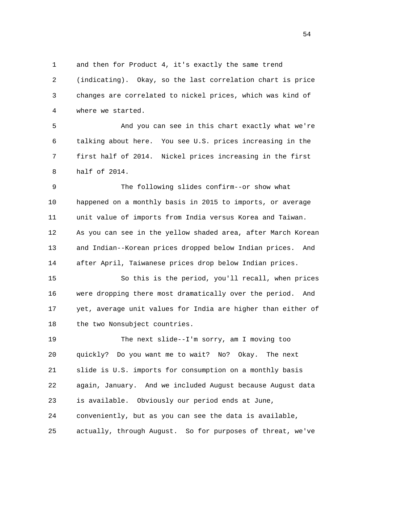1 and then for Product 4, it's exactly the same trend 2 (indicating). Okay, so the last correlation chart is price 3 changes are correlated to nickel prices, which was kind of 4 where we started.

 5 And you can see in this chart exactly what we're 6 talking about here. You see U.S. prices increasing in the 7 first half of 2014. Nickel prices increasing in the first 8 half of 2014.

 9 The following slides confirm--or show what 10 happened on a monthly basis in 2015 to imports, or average 11 unit value of imports from India versus Korea and Taiwan. 12 As you can see in the yellow shaded area, after March Korean 13 and Indian--Korean prices dropped below Indian prices. And 14 after April, Taiwanese prices drop below Indian prices.

 15 So this is the period, you'll recall, when prices 16 were dropping there most dramatically over the period. And 17 yet, average unit values for India are higher than either of 18 the two Nonsubject countries.

 19 The next slide--I'm sorry, am I moving too 20 quickly? Do you want me to wait? No? Okay. The next 21 slide is U.S. imports for consumption on a monthly basis 22 again, January. And we included August because August data 23 is available. Obviously our period ends at June, 24 conveniently, but as you can see the data is available, 25 actually, through August. So for purposes of threat, we've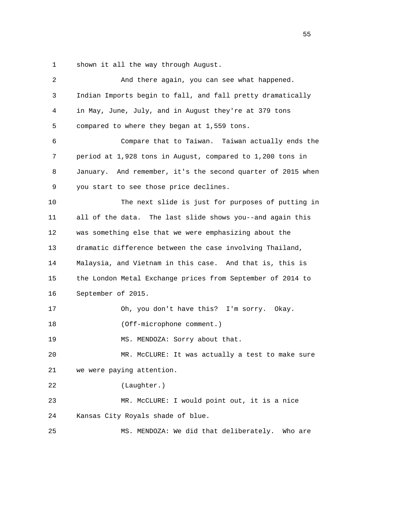1 shown it all the way through August.

| 2  | And there again, you can see what happened.                 |
|----|-------------------------------------------------------------|
| 3  | Indian Imports begin to fall, and fall pretty dramatically  |
| 4  | in May, June, July, and in August they're at 379 tons       |
| 5  | compared to where they began at 1,559 tons.                 |
| 6  | Compare that to Taiwan. Taiwan actually ends the            |
| 7  | period at 1,928 tons in August, compared to 1,200 tons in   |
| 8  | January. And remember, it's the second quarter of 2015 when |
| 9  | you start to see those price declines.                      |
| 10 | The next slide is just for purposes of putting in           |
| 11 | all of the data. The last slide shows you--and again this   |
| 12 | was something else that we were emphasizing about the       |
| 13 | dramatic difference between the case involving Thailand,    |
| 14 | Malaysia, and Vietnam in this case. And that is, this is    |
| 15 | the London Metal Exchange prices from September of 2014 to  |
| 16 | September of 2015.                                          |
| 17 | Oh, you don't have this? I'm sorry. Okay.                   |
| 18 | (Off-microphone comment.)                                   |
| 19 | MS. MENDOZA: Sorry about that.                              |
| 20 | MR. McCLURE: It was actually a test to make sure            |
| 21 | we were paying attention.                                   |
| 22 | (Laughter.)                                                 |
| 23 | MR. McCLURE: I would point out, it is a nice                |
| 24 | Kansas City Royals shade of blue.                           |
| 25 | MS. MENDOZA: We did that deliberately.<br>Who are           |
|    |                                                             |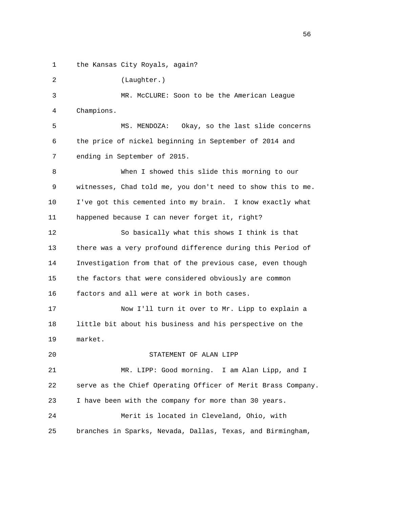1 the Kansas City Royals, again?

 2 (Laughter.) 3 MR. McCLURE: Soon to be the American League 4 Champions. 5 MS. MENDOZA: Okay, so the last slide concerns 6 the price of nickel beginning in September of 2014 and 7 ending in September of 2015. 8 When I showed this slide this morning to our 9 witnesses, Chad told me, you don't need to show this to me. 10 I've got this cemented into my brain. I know exactly what

 12 So basically what this shows I think is that 13 there was a very profound difference during this Period of 14 Investigation from that of the previous case, even though 15 the factors that were considered obviously are common 16 factors and all were at work in both cases.

11 happened because I can never forget it, right?

20 STATEMENT OF ALAN LIPP

 17 Now I'll turn it over to Mr. Lipp to explain a 18 little bit about his business and his perspective on the 19 market.

 21 MR. LIPP: Good morning. I am Alan Lipp, and I 22 serve as the Chief Operating Officer of Merit Brass Company. 23 I have been with the company for more than 30 years. 24 Merit is located in Cleveland, Ohio, with 25 branches in Sparks, Nevada, Dallas, Texas, and Birmingham,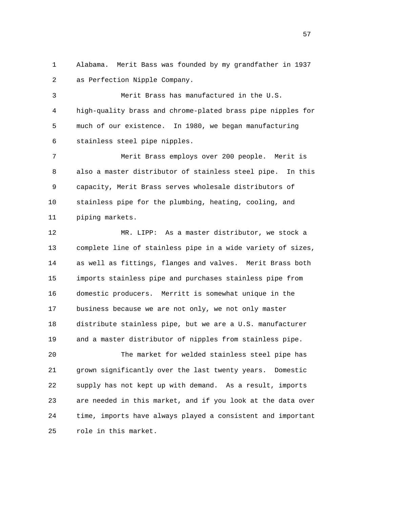1 Alabama. Merit Bass was founded by my grandfather in 1937 2 as Perfection Nipple Company.

 3 Merit Brass has manufactured in the U.S. 4 high-quality brass and chrome-plated brass pipe nipples for 5 much of our existence. In 1980, we began manufacturing 6 stainless steel pipe nipples.

 7 Merit Brass employs over 200 people. Merit is 8 also a master distributor of stainless steel pipe. In this 9 capacity, Merit Brass serves wholesale distributors of 10 stainless pipe for the plumbing, heating, cooling, and 11 piping markets.

 12 MR. LIPP: As a master distributor, we stock a 13 complete line of stainless pipe in a wide variety of sizes, 14 as well as fittings, flanges and valves. Merit Brass both 15 imports stainless pipe and purchases stainless pipe from 16 domestic producers. Merritt is somewhat unique in the 17 business because we are not only, we not only master 18 distribute stainless pipe, but we are a U.S. manufacturer 19 and a master distributor of nipples from stainless pipe.

 20 The market for welded stainless steel pipe has 21 grown significantly over the last twenty years. Domestic 22 supply has not kept up with demand. As a result, imports 23 are needed in this market, and if you look at the data over 24 time, imports have always played a consistent and important 25 role in this market.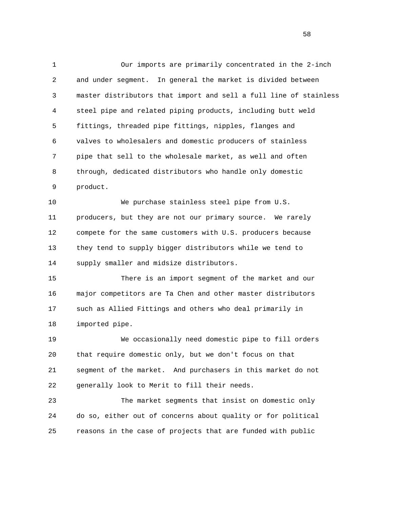1 Our imports are primarily concentrated in the 2-inch 2 and under segment. In general the market is divided between 3 master distributors that import and sell a full line of stainless 4 steel pipe and related piping products, including butt weld 5 fittings, threaded pipe fittings, nipples, flanges and 6 valves to wholesalers and domestic producers of stainless 7 pipe that sell to the wholesale market, as well and often 8 through, dedicated distributors who handle only domestic 9 product.

 10 We purchase stainless steel pipe from U.S. 11 producers, but they are not our primary source. We rarely 12 compete for the same customers with U.S. producers because 13 they tend to supply bigger distributors while we tend to 14 supply smaller and midsize distributors.

 15 There is an import segment of the market and our 16 major competitors are Ta Chen and other master distributors 17 such as Allied Fittings and others who deal primarily in 18 imported pipe.

 19 We occasionally need domestic pipe to fill orders 20 that require domestic only, but we don't focus on that 21 segment of the market. And purchasers in this market do not 22 generally look to Merit to fill their needs.

 23 The market segments that insist on domestic only 24 do so, either out of concerns about quality or for political 25 reasons in the case of projects that are funded with public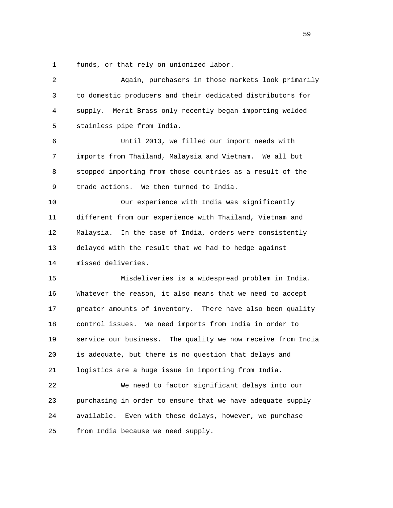1 funds, or that rely on unionized labor.

 2 Again, purchasers in those markets look primarily 3 to domestic producers and their dedicated distributors for 4 supply. Merit Brass only recently began importing welded 5 stainless pipe from India. 6 Until 2013, we filled our import needs with 7 imports from Thailand, Malaysia and Vietnam. We all but 8 stopped importing from those countries as a result of the 9 trade actions. We then turned to India. 10 Our experience with India was significantly 11 different from our experience with Thailand, Vietnam and 12 Malaysia. In the case of India, orders were consistently 13 delayed with the result that we had to hedge against 14 missed deliveries. 15 Misdeliveries is a widespread problem in India. 16 Whatever the reason, it also means that we need to accept 17 greater amounts of inventory. There have also been quality 18 control issues. We need imports from India in order to 19 service our business. The quality we now receive from India 20 is adequate, but there is no question that delays and 21 logistics are a huge issue in importing from India. 22 We need to factor significant delays into our 23 purchasing in order to ensure that we have adequate supply 24 available. Even with these delays, however, we purchase 25 from India because we need supply.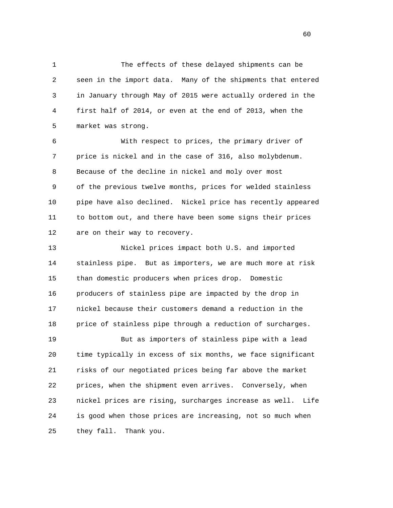1 The effects of these delayed shipments can be 2 seen in the import data. Many of the shipments that entered 3 in January through May of 2015 were actually ordered in the 4 first half of 2014, or even at the end of 2013, when the 5 market was strong.

 6 With respect to prices, the primary driver of 7 price is nickel and in the case of 316, also molybdenum. 8 Because of the decline in nickel and moly over most 9 of the previous twelve months, prices for welded stainless 10 pipe have also declined. Nickel price has recently appeared 11 to bottom out, and there have been some signs their prices 12 are on their way to recovery.

 13 Nickel prices impact both U.S. and imported 14 stainless pipe. But as importers, we are much more at risk 15 than domestic producers when prices drop. Domestic 16 producers of stainless pipe are impacted by the drop in 17 nickel because their customers demand a reduction in the 18 price of stainless pipe through a reduction of surcharges. 19 But as importers of stainless pipe with a lead 20 time typically in excess of six months, we face significant 21 risks of our negotiated prices being far above the market

 22 prices, when the shipment even arrives. Conversely, when 23 nickel prices are rising, surcharges increase as well. Life 24 is good when those prices are increasing, not so much when 25 they fall. Thank you.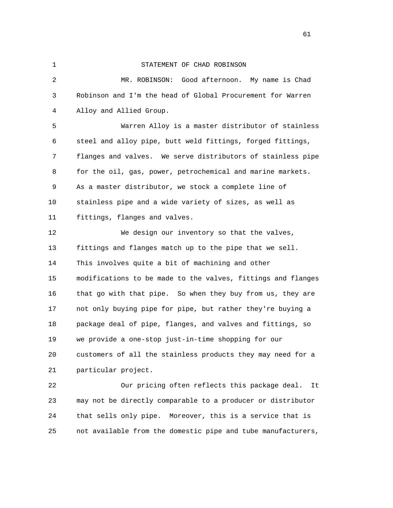## 1 STATEMENT OF CHAD ROBINSON

 2 MR. ROBINSON: Good afternoon. My name is Chad 3 Robinson and I'm the head of Global Procurement for Warren 4 Alloy and Allied Group.

 5 Warren Alloy is a master distributor of stainless 6 steel and alloy pipe, butt weld fittings, forged fittings, 7 flanges and valves. We serve distributors of stainless pipe 8 for the oil, gas, power, petrochemical and marine markets. 9 As a master distributor, we stock a complete line of 10 stainless pipe and a wide variety of sizes, as well as 11 fittings, flanges and valves.

 12 We design our inventory so that the valves, 13 fittings and flanges match up to the pipe that we sell. 14 This involves quite a bit of machining and other 15 modifications to be made to the valves, fittings and flanges 16 that go with that pipe. So when they buy from us, they are 17 not only buying pipe for pipe, but rather they're buying a 18 package deal of pipe, flanges, and valves and fittings, so 19 we provide a one-stop just-in-time shopping for our 20 customers of all the stainless products they may need for a 21 particular project.

 22 Our pricing often reflects this package deal. It 23 may not be directly comparable to a producer or distributor 24 that sells only pipe. Moreover, this is a service that is 25 not available from the domestic pipe and tube manufacturers,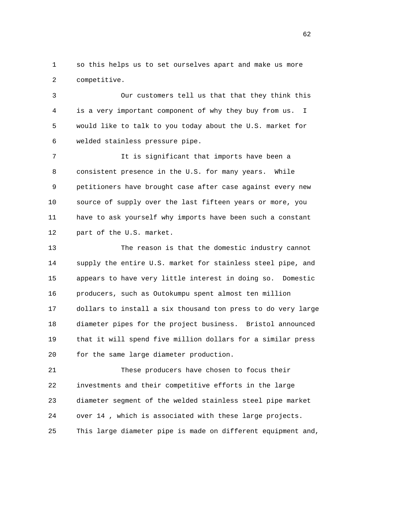1 so this helps us to set ourselves apart and make us more 2 competitive.

 3 Our customers tell us that that they think this 4 is a very important component of why they buy from us. I 5 would like to talk to you today about the U.S. market for 6 welded stainless pressure pipe.

 7 It is significant that imports have been a 8 consistent presence in the U.S. for many years. While 9 petitioners have brought case after case against every new 10 source of supply over the last fifteen years or more, you 11 have to ask yourself why imports have been such a constant 12 part of the U.S. market.

 13 The reason is that the domestic industry cannot 14 supply the entire U.S. market for stainless steel pipe, and 15 appears to have very little interest in doing so. Domestic 16 producers, such as Outokumpu spent almost ten million 17 dollars to install a six thousand ton press to do very large 18 diameter pipes for the project business. Bristol announced 19 that it will spend five million dollars for a similar press 20 for the same large diameter production.

 21 These producers have chosen to focus their 22 investments and their competitive efforts in the large 23 diameter segment of the welded stainless steel pipe market 24 over 14 , which is associated with these large projects. 25 This large diameter pipe is made on different equipment and,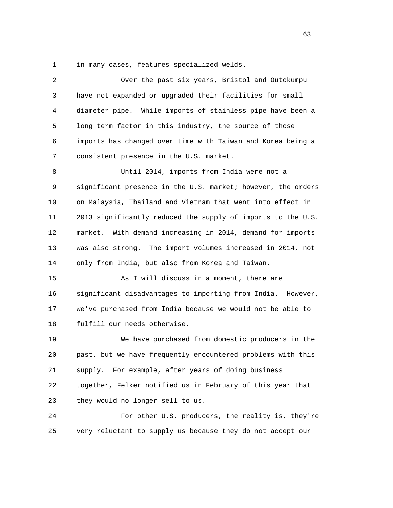1 in many cases, features specialized welds.

| 2  | Over the past six years, Bristol and Outokumpu                |
|----|---------------------------------------------------------------|
| 3  | have not expanded or upgraded their facilities for small      |
| 4  | diameter pipe. While imports of stainless pipe have been a    |
| 5  | long term factor in this industry, the source of those        |
| 6  | imports has changed over time with Taiwan and Korea being a   |
| 7  | consistent presence in the U.S. market.                       |
| 8  | Until 2014, imports from India were not a                     |
| 9  | significant presence in the U.S. market; however, the orders  |
| 10 | on Malaysia, Thailand and Vietnam that went into effect in    |
| 11 | 2013 significantly reduced the supply of imports to the U.S.  |
| 12 | With demand increasing in 2014, demand for imports<br>market. |
| 13 | was also strong. The import volumes increased in 2014, not    |
| 14 | only from India, but also from Korea and Taiwan.              |
| 15 | As I will discuss in a moment, there are                      |
| 16 | significant disadvantages to importing from India. However,   |
| 17 | we've purchased from India because we would not be able to    |
| 18 | fulfill our needs otherwise.                                  |
| 19 | We have purchased from domestic producers in the              |
| 20 | past, but we have frequently encountered problems with this   |
| 21 | supply. For example, after years of doing business            |
| 22 | together, Felker notified us in February of this year that    |
| 23 | they would no longer sell to us.                              |
| 24 | For other U.S. producers, the reality is, they're             |
| 25 | very reluctant to supply us because they do not accept our    |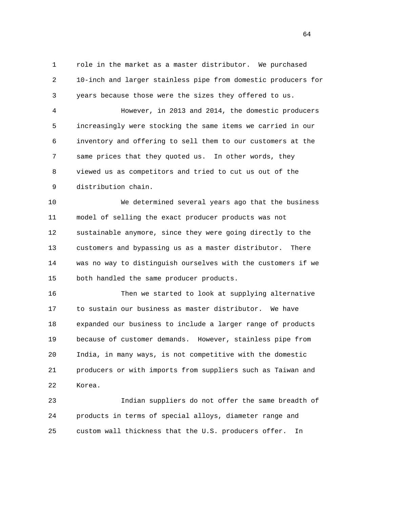1 role in the market as a master distributor. We purchased 2 10-inch and larger stainless pipe from domestic producers for 3 years because those were the sizes they offered to us.

 4 However, in 2013 and 2014, the domestic producers 5 increasingly were stocking the same items we carried in our 6 inventory and offering to sell them to our customers at the 7 same prices that they quoted us. In other words, they 8 viewed us as competitors and tried to cut us out of the 9 distribution chain.

 10 We determined several years ago that the business 11 model of selling the exact producer products was not 12 sustainable anymore, since they were going directly to the 13 customers and bypassing us as a master distributor. There 14 was no way to distinguish ourselves with the customers if we 15 both handled the same producer products.

 16 Then we started to look at supplying alternative 17 to sustain our business as master distributor. We have 18 expanded our business to include a larger range of products 19 because of customer demands. However, stainless pipe from 20 India, in many ways, is not competitive with the domestic 21 producers or with imports from suppliers such as Taiwan and 22 Korea.

 23 Indian suppliers do not offer the same breadth of 24 products in terms of special alloys, diameter range and 25 custom wall thickness that the U.S. producers offer. In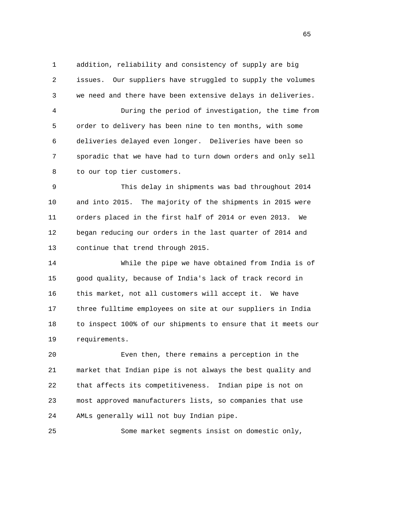1 addition, reliability and consistency of supply are big 2 issues. Our suppliers have struggled to supply the volumes 3 we need and there have been extensive delays in deliveries.

 4 During the period of investigation, the time from 5 order to delivery has been nine to ten months, with some 6 deliveries delayed even longer. Deliveries have been so 7 sporadic that we have had to turn down orders and only sell 8 to our top tier customers.

 9 This delay in shipments was bad throughout 2014 10 and into 2015. The majority of the shipments in 2015 were 11 orders placed in the first half of 2014 or even 2013. We 12 began reducing our orders in the last quarter of 2014 and 13 continue that trend through 2015.

 14 While the pipe we have obtained from India is of 15 good quality, because of India's lack of track record in 16 this market, not all customers will accept it. We have 17 three fulltime employees on site at our suppliers in India 18 to inspect 100% of our shipments to ensure that it meets our 19 requirements.

 20 Even then, there remains a perception in the 21 market that Indian pipe is not always the best quality and 22 that affects its competitiveness. Indian pipe is not on 23 most approved manufacturers lists, so companies that use 24 AMLs generally will not buy Indian pipe.

25 Some market segments insist on domestic only,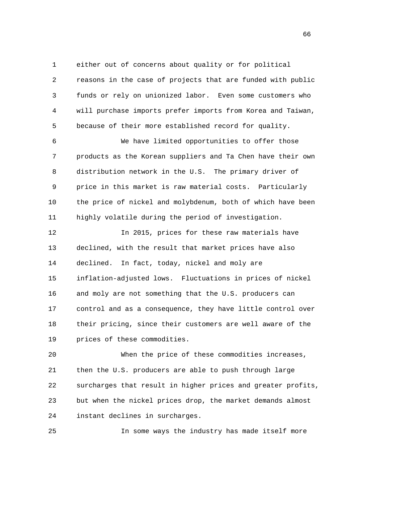1 either out of concerns about quality or for political 2 reasons in the case of projects that are funded with public 3 funds or rely on unionized labor. Even some customers who 4 will purchase imports prefer imports from Korea and Taiwan, 5 because of their more established record for quality.

 6 We have limited opportunities to offer those 7 products as the Korean suppliers and Ta Chen have their own 8 distribution network in the U.S. The primary driver of 9 price in this market is raw material costs. Particularly 10 the price of nickel and molybdenum, both of which have been 11 highly volatile during the period of investigation.

 12 In 2015, prices for these raw materials have 13 declined, with the result that market prices have also 14 declined. In fact, today, nickel and moly are 15 inflation-adjusted lows. Fluctuations in prices of nickel 16 and moly are not something that the U.S. producers can 17 control and as a consequence, they have little control over 18 their pricing, since their customers are well aware of the 19 prices of these commodities.

 20 When the price of these commodities increases, 21 then the U.S. producers are able to push through large 22 surcharges that result in higher prices and greater profits, 23 but when the nickel prices drop, the market demands almost 24 instant declines in surcharges.

25 In some ways the industry has made itself more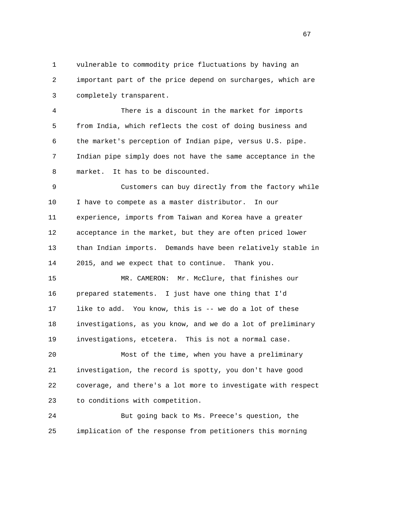1 vulnerable to commodity price fluctuations by having an 2 important part of the price depend on surcharges, which are 3 completely transparent.

 4 There is a discount in the market for imports 5 from India, which reflects the cost of doing business and 6 the market's perception of Indian pipe, versus U.S. pipe. 7 Indian pipe simply does not have the same acceptance in the 8 market. It has to be discounted.

 9 Customers can buy directly from the factory while 10 I have to compete as a master distributor. In our 11 experience, imports from Taiwan and Korea have a greater 12 acceptance in the market, but they are often priced lower 13 than Indian imports. Demands have been relatively stable in 14 2015, and we expect that to continue. Thank you.

 15 MR. CAMERON: Mr. McClure, that finishes our 16 prepared statements. I just have one thing that I'd 17 like to add. You know, this is -- we do a lot of these 18 investigations, as you know, and we do a lot of preliminary 19 investigations, etcetera. This is not a normal case.

 20 Most of the time, when you have a preliminary 21 investigation, the record is spotty, you don't have good 22 coverage, and there's a lot more to investigate with respect 23 to conditions with competition.

 24 But going back to Ms. Preece's question, the 25 implication of the response from petitioners this morning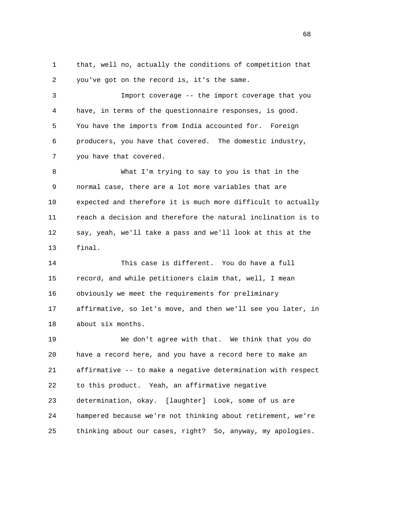1 that, well no, actually the conditions of competition that 2 you've got on the record is, it's the same.

 3 Import coverage -- the import coverage that you 4 have, in terms of the questionnaire responses, is good. 5 You have the imports from India accounted for. Foreign 6 producers, you have that covered. The domestic industry, 7 you have that covered.

 8 What I'm trying to say to you is that in the 9 normal case, there are a lot more variables that are 10 expected and therefore it is much more difficult to actually 11 reach a decision and therefore the natural inclination is to 12 say, yeah, we'll take a pass and we'll look at this at the 13 final.

 14 This case is different. You do have a full 15 record, and while petitioners claim that, well, I mean 16 obviously we meet the requirements for preliminary 17 affirmative, so let's move, and then we'll see you later, in 18 about six months.

 19 We don't agree with that. We think that you do 20 have a record here, and you have a record here to make an 21 affirmative -- to make a negative determination with respect 22 to this product. Yeah, an affirmative negative 23 determination, okay. [laughter] Look, some of us are 24 hampered because we're not thinking about retirement, we're 25 thinking about our cases, right? So, anyway, my apologies.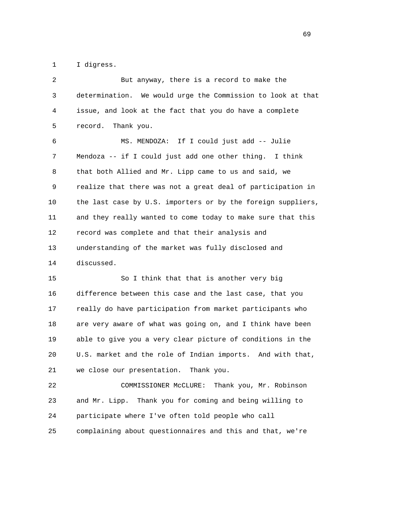1 I digress.

| 2  | But anyway, there is a record to make the                    |
|----|--------------------------------------------------------------|
| 3  | determination. We would urge the Commission to look at that  |
| 4  | issue, and look at the fact that you do have a complete      |
| 5  | record.<br>Thank you.                                        |
| 6  | MS. MENDOZA: If I could just add -- Julie                    |
| 7  | Mendoza -- if I could just add one other thing. I think      |
| 8  | that both Allied and Mr. Lipp came to us and said, we        |
| 9  | realize that there was not a great deal of participation in  |
| 10 | the last case by U.S. importers or by the foreign suppliers, |
| 11 | and they really wanted to come today to make sure that this  |
| 12 | record was complete and that their analysis and              |
| 13 | understanding of the market was fully disclosed and          |
| 14 | discussed.                                                   |
| 15 | So I think that that is another very big                     |
| 16 | difference between this case and the last case, that you     |
| 17 | really do have participation from market participants who    |
| 18 | are very aware of what was going on, and I think have been   |
| 19 | able to give you a very clear picture of conditions in the   |
| 20 | U.S. market and the role of Indian imports. And with that,   |
| 21 | we close our presentation. Thank you.                        |
| 22 | Thank you, Mr. Robinson<br>COMMISSIONER MCCLURE:             |
| 23 | and Mr. Lipp.<br>Thank you for coming and being willing to   |
| 24 | participate where I've often told people who call            |
| 25 | complaining about questionnaires and this and that, we're    |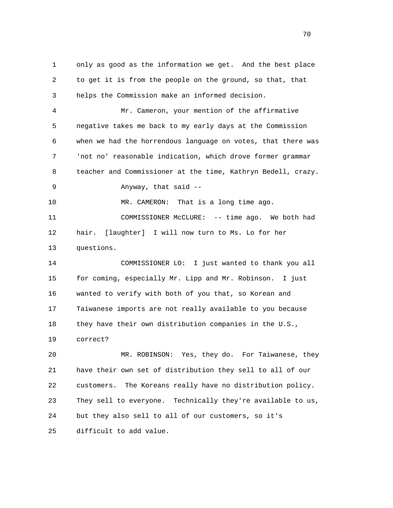1 only as good as the information we get. And the best place 2 to get it is from the people on the ground, so that, that 3 helps the Commission make an informed decision. 4 Mr. Cameron, your mention of the affirmative 5 negative takes me back to my early days at the Commission 6 when we had the horrendous language on votes, that there was 7 'not no' reasonable indication, which drove former grammar 8 teacher and Commissioner at the time, Kathryn Bedell, crazy. 9 Anyway, that said -- 10 MR. CAMERON: That is a long time ago. 11 COMMISSIONER McCLURE: -- time ago. We both had 12 hair. [laughter] I will now turn to Ms. Lo for her 13 questions. 14 COMMISSIONER LO: I just wanted to thank you all 15 for coming, especially Mr. Lipp and Mr. Robinson. I just 16 wanted to verify with both of you that, so Korean and

 17 Taiwanese imports are not really available to you because 18 they have their own distribution companies in the U.S., 19 correct?

 20 MR. ROBINSON: Yes, they do. For Taiwanese, they 21 have their own set of distribution they sell to all of our 22 customers. The Koreans really have no distribution policy. 23 They sell to everyone. Technically they're available to us, 24 but they also sell to all of our customers, so it's 25 difficult to add value.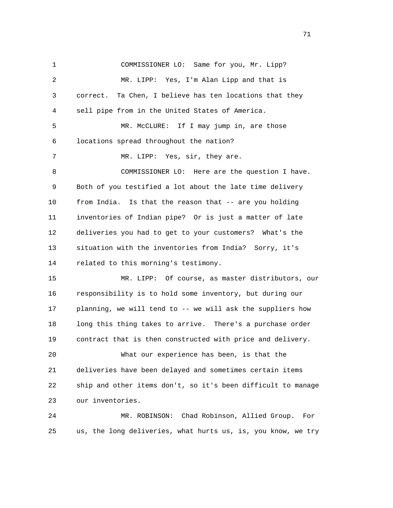1 COMMISSIONER LO: Same for you, Mr. Lipp? 2 MR. LIPP: Yes, I'm Alan Lipp and that is 3 correct. Ta Chen, I believe has ten locations that they 4 sell pipe from in the United States of America. 5 MR. McCLURE: If I may jump in, are those 6 locations spread throughout the nation? 7 MR. LIPP: Yes, sir, they are. 8 COMMISSIONER LO: Here are the question I have. 9 Both of you testified a lot about the late time delivery 10 from India. Is that the reason that -- are you holding 11 inventories of Indian pipe? Or is just a matter of late 12 deliveries you had to get to your customers? What's the 13 situation with the inventories from India? Sorry, it's 14 related to this morning's testimony. 15 MR. LIPP: Of course, as master distributors, our 16 responsibility is to hold some inventory, but during our 17 planning, we will tend to -- we will ask the suppliers how 18 long this thing takes to arrive. There's a purchase order 19 contract that is then constructed with price and delivery. 20 What our experience has been, is that the 21 deliveries have been delayed and sometimes certain items 22 ship and other items don't, so it's been difficult to manage 23 our inventories. 24 MR. ROBINSON: Chad Robinson, Allied Group. For 25 us, the long deliveries, what hurts us, is, you know, we try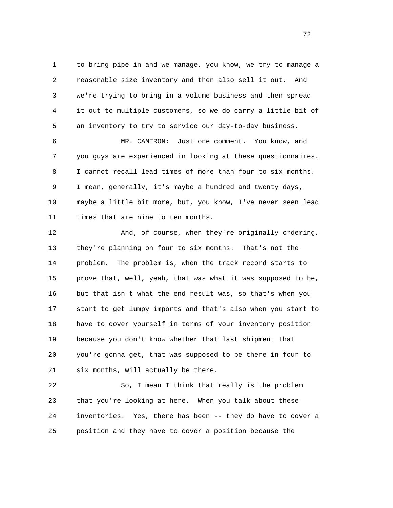1 to bring pipe in and we manage, you know, we try to manage a 2 reasonable size inventory and then also sell it out. And 3 we're trying to bring in a volume business and then spread 4 it out to multiple customers, so we do carry a little bit of 5 an inventory to try to service our day-to-day business.

 6 MR. CAMERON: Just one comment. You know, and 7 you guys are experienced in looking at these questionnaires. 8 I cannot recall lead times of more than four to six months. 9 I mean, generally, it's maybe a hundred and twenty days, 10 maybe a little bit more, but, you know, I've never seen lead 11 times that are nine to ten months.

 12 And, of course, when they're originally ordering, 13 they're planning on four to six months. That's not the 14 problem. The problem is, when the track record starts to 15 prove that, well, yeah, that was what it was supposed to be, 16 but that isn't what the end result was, so that's when you 17 start to get lumpy imports and that's also when you start to 18 have to cover yourself in terms of your inventory position 19 because you don't know whether that last shipment that 20 you're gonna get, that was supposed to be there in four to 21 six months, will actually be there.

 22 So, I mean I think that really is the problem 23 that you're looking at here. When you talk about these 24 inventories. Yes, there has been -- they do have to cover a 25 position and they have to cover a position because the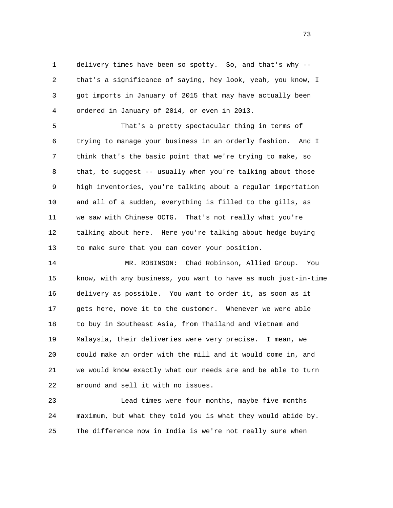1 delivery times have been so spotty. So, and that's why -- 2 that's a significance of saying, hey look, yeah, you know, I 3 got imports in January of 2015 that may have actually been 4 ordered in January of 2014, or even in 2013.

 5 That's a pretty spectacular thing in terms of 6 trying to manage your business in an orderly fashion. And I 7 think that's the basic point that we're trying to make, so 8 that, to suggest -- usually when you're talking about those 9 high inventories, you're talking about a regular importation 10 and all of a sudden, everything is filled to the gills, as 11 we saw with Chinese OCTG. That's not really what you're 12 talking about here. Here you're talking about hedge buying 13 to make sure that you can cover your position.

 14 MR. ROBINSON: Chad Robinson, Allied Group. You 15 know, with any business, you want to have as much just-in-time 16 delivery as possible. You want to order it, as soon as it 17 gets here, move it to the customer. Whenever we were able 18 to buy in Southeast Asia, from Thailand and Vietnam and 19 Malaysia, their deliveries were very precise. I mean, we 20 could make an order with the mill and it would come in, and 21 we would know exactly what our needs are and be able to turn 22 around and sell it with no issues.

 23 Lead times were four months, maybe five months 24 maximum, but what they told you is what they would abide by. 25 The difference now in India is we're not really sure when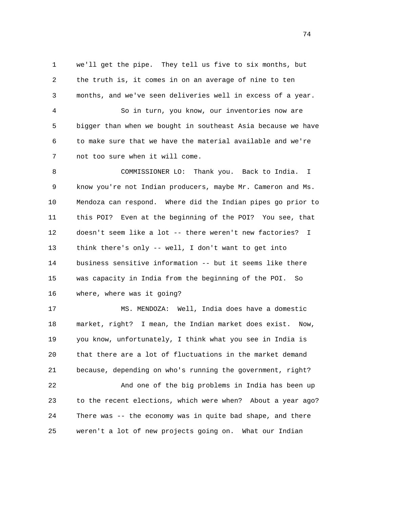1 we'll get the pipe. They tell us five to six months, but 2 the truth is, it comes in on an average of nine to ten 3 months, and we've seen deliveries well in excess of a year.

 4 So in turn, you know, our inventories now are 5 bigger than when we bought in southeast Asia because we have 6 to make sure that we have the material available and we're 7 not too sure when it will come.

 8 COMMISSIONER LO: Thank you. Back to India. I 9 know you're not Indian producers, maybe Mr. Cameron and Ms. 10 Mendoza can respond. Where did the Indian pipes go prior to 11 this POI? Even at the beginning of the POI? You see, that 12 doesn't seem like a lot -- there weren't new factories? I 13 think there's only -- well, I don't want to get into 14 business sensitive information -- but it seems like there 15 was capacity in India from the beginning of the POI. So 16 where, where was it going?

 17 MS. MENDOZA: Well, India does have a domestic 18 market, right? I mean, the Indian market does exist. Now, 19 you know, unfortunately, I think what you see in India is 20 that there are a lot of fluctuations in the market demand 21 because, depending on who's running the government, right?

 22 And one of the big problems in India has been up 23 to the recent elections, which were when? About a year ago? 24 There was -- the economy was in quite bad shape, and there 25 weren't a lot of new projects going on. What our Indian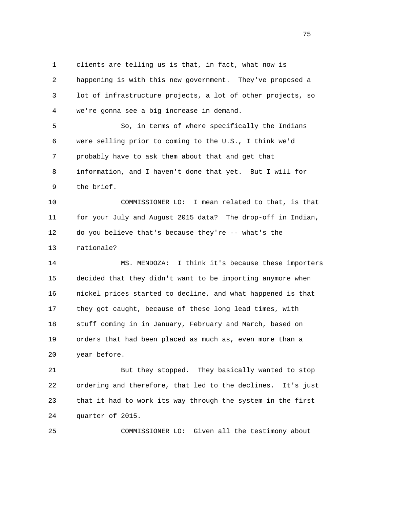1 clients are telling us is that, in fact, what now is 2 happening is with this new government. They've proposed a 3 lot of infrastructure projects, a lot of other projects, so 4 we're gonna see a big increase in demand.

 5 So, in terms of where specifically the Indians 6 were selling prior to coming to the U.S., I think we'd 7 probably have to ask them about that and get that 8 information, and I haven't done that yet. But I will for 9 the brief.

 10 COMMISSIONER LO: I mean related to that, is that 11 for your July and August 2015 data? The drop-off in Indian, 12 do you believe that's because they're -- what's the 13 rationale?

 14 MS. MENDOZA: I think it's because these importers 15 decided that they didn't want to be importing anymore when 16 nickel prices started to decline, and what happened is that 17 they got caught, because of these long lead times, with 18 stuff coming in in January, February and March, based on 19 orders that had been placed as much as, even more than a 20 year before.

 21 But they stopped. They basically wanted to stop 22 ordering and therefore, that led to the declines. It's just 23 that it had to work its way through the system in the first 24 quarter of 2015.

25 COMMISSIONER LO: Given all the testimony about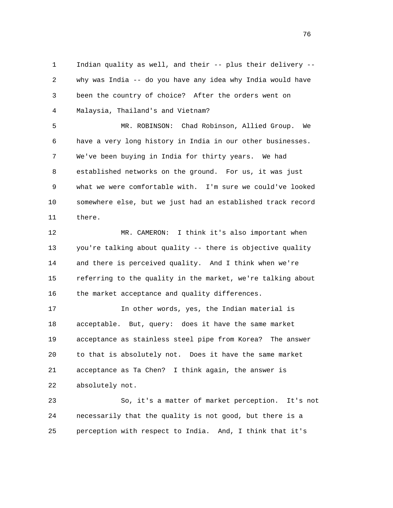1 Indian quality as well, and their -- plus their delivery -- 2 why was India -- do you have any idea why India would have 3 been the country of choice? After the orders went on 4 Malaysia, Thailand's and Vietnam?

 5 MR. ROBINSON: Chad Robinson, Allied Group. We 6 have a very long history in India in our other businesses. 7 We've been buying in India for thirty years. We had 8 established networks on the ground. For us, it was just 9 what we were comfortable with. I'm sure we could've looked 10 somewhere else, but we just had an established track record 11 there.

 12 MR. CAMERON: I think it's also important when 13 you're talking about quality -- there is objective quality 14 and there is perceived quality. And I think when we're 15 referring to the quality in the market, we're talking about 16 the market acceptance and quality differences.

 17 In other words, yes, the Indian material is 18 acceptable. But, query: does it have the same market 19 acceptance as stainless steel pipe from Korea? The answer 20 to that is absolutely not. Does it have the same market 21 acceptance as Ta Chen? I think again, the answer is 22 absolutely not.

 23 So, it's a matter of market perception. It's not 24 necessarily that the quality is not good, but there is a 25 perception with respect to India. And, I think that it's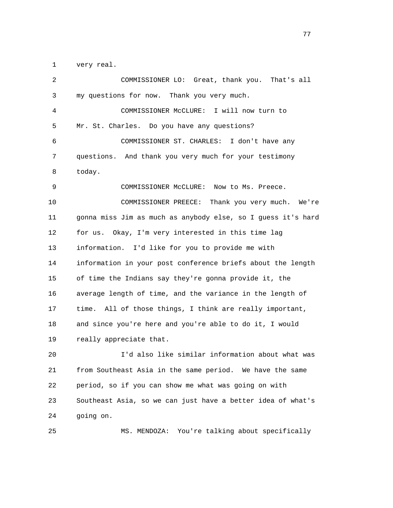1 very real.

| 2  | COMMISSIONER LO: Great, thank you.<br>That's all             |
|----|--------------------------------------------------------------|
| 3  | my questions for now. Thank you very much.                   |
| 4  | COMMISSIONER MCCLURE:<br>I will now turn to                  |
| 5  | Mr. St. Charles. Do you have any questions?                  |
| 6  | COMMISSIONER ST. CHARLES:<br>I don't have any                |
| 7  | questions. And thank you very much for your testimony        |
| 8  | today.                                                       |
| 9  | COMMISSIONER McCLURE: Now to Ms. Preece.                     |
| 10 | Thank you very much. We're<br>COMMISSIONER PREECE:           |
| 11 | gonna miss Jim as much as anybody else, so I guess it's hard |
| 12 | for us.<br>Okay, I'm very interested in this time lag        |
| 13 | information. I'd like for you to provide me with             |
| 14 | information in your post conference briefs about the length  |
| 15 | of time the Indians say they're gonna provide it, the        |
| 16 | average length of time, and the variance in the length of    |
| 17 | time. All of those things, I think are really important,     |
| 18 | and since you're here and you're able to do it, I would      |
| 19 | really appreciate that.                                      |
| 20 | I'd also like similar information about what was             |
| 21 | from Southeast Asia in the same period. We have the same     |
| 22 | period, so if you can show me what was going on with         |
| 23 | Southeast Asia, so we can just have a better idea of what's  |
| 24 | going on.                                                    |

25 MS. MENDOZA: You're talking about specifically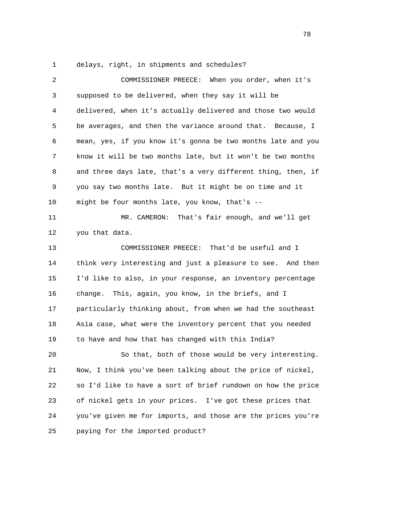1 delays, right, in shipments and schedules?

| $\overline{a}$ | COMMISSIONER PREECE: When you order, when it's               |
|----------------|--------------------------------------------------------------|
| 3              | supposed to be delivered, when they say it will be           |
| 4              | delivered, when it's actually delivered and those two would  |
| 5              | be averages, and then the variance around that. Because, I   |
| 6              | mean, yes, if you know it's gonna be two months late and you |
| 7              | know it will be two months late, but it won't be two months  |
| 8              | and three days late, that's a very different thing, then, if |
| 9              | you say two months late. But it might be on time and it      |
| 10             | might be four months late, you know, that's --               |
| 11             | MR. CAMERON:<br>That's fair enough, and we'll get            |
| 12             | you that data.                                               |
| 13             | COMMISSIONER PREECE: That'd be useful and I                  |
| 14             | think very interesting and just a pleasure to see. And then  |
| 15             | I'd like to also, in your response, an inventory percentage  |
| 16             | change. This, again, you know, in the briefs, and I          |
| 17             | particularly thinking about, from when we had the southeast  |
| 18             | Asia case, what were the inventory percent that you needed   |
| 19             | to have and how that has changed with this India?            |
| 20             | So that, both of those would be very interesting.            |
| 21             | Now, I think you've been talking about the price of nickel,  |
| 22             | so I'd like to have a sort of brief rundown on how the price |
| 23             | of nickel gets in your prices. I've got these prices that    |
| 24             | you've given me for imports, and those are the prices you're |
| 25             | paying for the imported product?                             |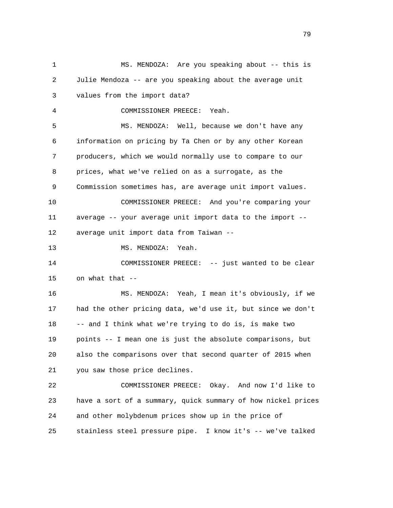1 MS. MENDOZA: Are you speaking about -- this is 2 Julie Mendoza -- are you speaking about the average unit 3 values from the import data? 4 COMMISSIONER PREECE: Yeah. 5 MS. MENDOZA: Well, because we don't have any 6 information on pricing by Ta Chen or by any other Korean 7 producers, which we would normally use to compare to our 8 prices, what we've relied on as a surrogate, as the 9 Commission sometimes has, are average unit import values. 10 COMMISSIONER PREECE: And you're comparing your 11 average -- your average unit import data to the import -- 12 average unit import data from Taiwan -- 13 MS. MENDOZA: Yeah. 14 COMMISSIONER PREECE: -- just wanted to be clear 15 on what that  $-$  16 MS. MENDOZA: Yeah, I mean it's obviously, if we 17 had the other pricing data, we'd use it, but since we don't 18 -- and I think what we're trying to do is, is make two 19 points -- I mean one is just the absolute comparisons, but 20 also the comparisons over that second quarter of 2015 when 21 you saw those price declines. 22 COMMISSIONER PREECE: Okay. And now I'd like to 23 have a sort of a summary, quick summary of how nickel prices 24 and other molybdenum prices show up in the price of 25 stainless steel pressure pipe. I know it's -- we've talked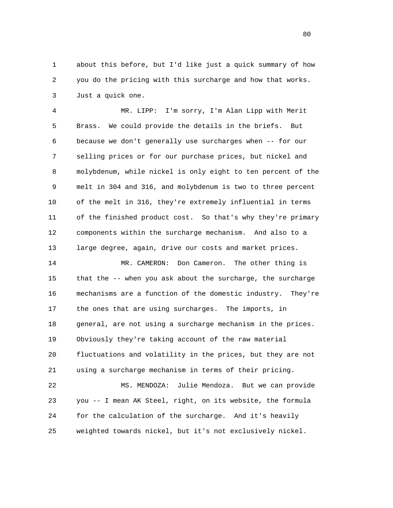1 about this before, but I'd like just a quick summary of how 2 you do the pricing with this surcharge and how that works. 3 Just a quick one.

 4 MR. LIPP: I'm sorry, I'm Alan Lipp with Merit 5 Brass. We could provide the details in the briefs. But 6 because we don't generally use surcharges when -- for our 7 selling prices or for our purchase prices, but nickel and 8 molybdenum, while nickel is only eight to ten percent of the 9 melt in 304 and 316, and molybdenum is two to three percent 10 of the melt in 316, they're extremely influential in terms 11 of the finished product cost. So that's why they're primary 12 components within the surcharge mechanism. And also to a 13 large degree, again, drive our costs and market prices.

 14 MR. CAMERON: Don Cameron. The other thing is 15 that the -- when you ask about the surcharge, the surcharge 16 mechanisms are a function of the domestic industry. They're 17 the ones that are using surcharges. The imports, in 18 general, are not using a surcharge mechanism in the prices. 19 Obviously they're taking account of the raw material 20 fluctuations and volatility in the prices, but they are not 21 using a surcharge mechanism in terms of their pricing.

 22 MS. MENDOZA: Julie Mendoza. But we can provide 23 you -- I mean AK Steel, right, on its website, the formula 24 for the calculation of the surcharge. And it's heavily 25 weighted towards nickel, but it's not exclusively nickel.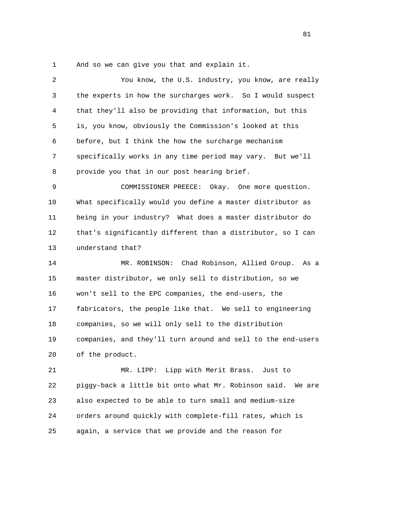1 And so we can give you that and explain it.

| 2  | You know, the U.S. industry, you know, are really              |
|----|----------------------------------------------------------------|
| 3  | the experts in how the surcharges work. So I would suspect     |
| 4  | that they'll also be providing that information, but this      |
| 5  | is, you know, obviously the Commission's looked at this        |
| 6  | before, but I think the how the surcharge mechanism            |
| 7  | specifically works in any time period may vary. But we'll      |
| 8  | provide you that in our post hearing brief.                    |
| 9  | COMMISSIONER PREECE:<br>Okay. One more question.               |
| 10 | What specifically would you define a master distributor as     |
| 11 | being in your industry? What does a master distributor do      |
| 12 | that's significantly different than a distributor, so I can    |
| 13 | understand that?                                               |
| 14 | MR. ROBINSON: Chad Robinson, Allied Group. As a                |
| 15 | master distributor, we only sell to distribution, so we        |
| 16 | won't sell to the EPC companies, the end-users, the            |
| 17 | fabricators, the people like that. We sell to engineering      |
| 18 | companies, so we will only sell to the distribution            |
| 19 | companies, and they'll turn around and sell to the end-users   |
| 20 | of the product.                                                |
| 21 | MR. LIPP: Lipp with Merit Brass. Just to                       |
| 22 | piggy-back a little bit onto what Mr. Robinson said.<br>We are |
| 23 | also expected to be able to turn small and medium-size         |
|    |                                                                |

25 again, a service that we provide and the reason for

24 orders around quickly with complete-fill rates, which is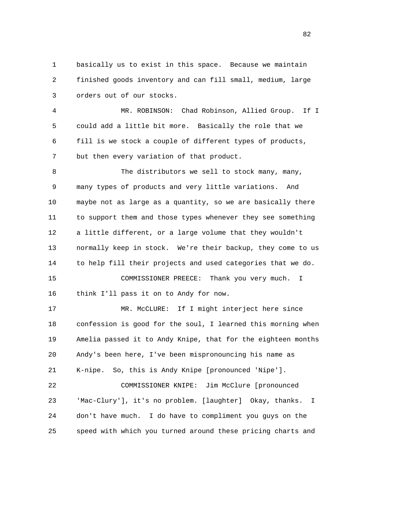1 basically us to exist in this space. Because we maintain 2 finished goods inventory and can fill small, medium, large 3 orders out of our stocks.

 4 MR. ROBINSON: Chad Robinson, Allied Group. If I 5 could add a little bit more. Basically the role that we 6 fill is we stock a couple of different types of products, 7 but then every variation of that product.

8 The distributors we sell to stock many, many, 9 many types of products and very little variations. And 10 maybe not as large as a quantity, so we are basically there 11 to support them and those types whenever they see something 12 a little different, or a large volume that they wouldn't 13 normally keep in stock. We're their backup, they come to us 14 to help fill their projects and used categories that we do. 15 COMMISSIONER PREECE: Thank you very much. I

16 think I'll pass it on to Andy for now.

 17 MR. McCLURE: If I might interject here since 18 confession is good for the soul, I learned this morning when 19 Amelia passed it to Andy Knipe, that for the eighteen months 20 Andy's been here, I've been mispronouncing his name as 21 K-nipe. So, this is Andy Knipe [pronounced 'Nipe']. 22 COMMISSIONER KNIPE: Jim McClure [pronounced 23 'Mac-Clury'], it's no problem. [laughter] Okay, thanks. I 24 don't have much. I do have to compliment you guys on the 25 speed with which you turned around these pricing charts and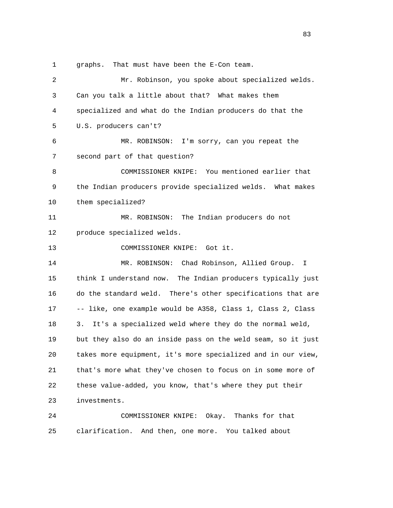1 graphs. That must have been the E-Con team.

| $\overline{2}$ | Mr. Robinson, you spoke about specialized welds.             |
|----------------|--------------------------------------------------------------|
| 3              | Can you talk a little about that? What makes them            |
| 4              | specialized and what do the Indian producers do that the     |
| 5              | U.S. producers can't?                                        |
| 6              | MR. ROBINSON: I'm sorry, can you repeat the                  |
| 7              | second part of that question?                                |
| 8              | COMMISSIONER KNIPE: You mentioned earlier that               |
| 9              | the Indian producers provide specialized welds. What makes   |
| 10             | them specialized?                                            |
| 11             | MR. ROBINSON: The Indian producers do not                    |
| 12             | produce specialized welds.                                   |
| 13             | COMMISSIONER KNIPE: Got it.                                  |
| 14             | MR. ROBINSON: Chad Robinson, Allied Group.<br>Ι.             |
| 15             | think I understand now. The Indian producers typically just  |
| 16             | do the standard weld. There's other specifications that are  |
| 17             | -- like, one example would be A358, Class 1, Class 2, Class  |
| 18             | 3.<br>It's a specialized weld where they do the normal weld, |
| 19             | but they also do an inside pass on the weld seam, so it just |
| 20             | takes more equipment, it's more specialized and in our view, |
| 21             | that's more what they've chosen to focus on in some more of  |
| 22             | these value-added, you know, that's where they put their     |
| 23             | investments.                                                 |
| 24             | Thanks for that<br>COMMISSIONER KNIPE:<br>Okay.              |
| 25             | clarification.<br>And then, one more.<br>You talked about    |

<u>83</u>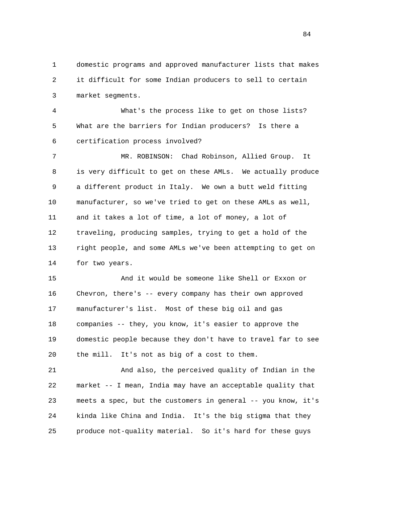1 domestic programs and approved manufacturer lists that makes 2 it difficult for some Indian producers to sell to certain 3 market segments.

 4 What's the process like to get on those lists? 5 What are the barriers for Indian producers? Is there a 6 certification process involved?

 7 MR. ROBINSON: Chad Robinson, Allied Group. It 8 is very difficult to get on these AMLs. We actually produce 9 a different product in Italy. We own a butt weld fitting 10 manufacturer, so we've tried to get on these AMLs as well, 11 and it takes a lot of time, a lot of money, a lot of 12 traveling, producing samples, trying to get a hold of the 13 right people, and some AMLs we've been attempting to get on 14 for two years.

 15 And it would be someone like Shell or Exxon or 16 Chevron, there's -- every company has their own approved 17 manufacturer's list. Most of these big oil and gas 18 companies -- they, you know, it's easier to approve the 19 domestic people because they don't have to travel far to see 20 the mill. It's not as big of a cost to them.

 21 And also, the perceived quality of Indian in the 22 market -- I mean, India may have an acceptable quality that 23 meets a spec, but the customers in general -- you know, it's 24 kinda like China and India. It's the big stigma that they 25 produce not-quality material. So it's hard for these guys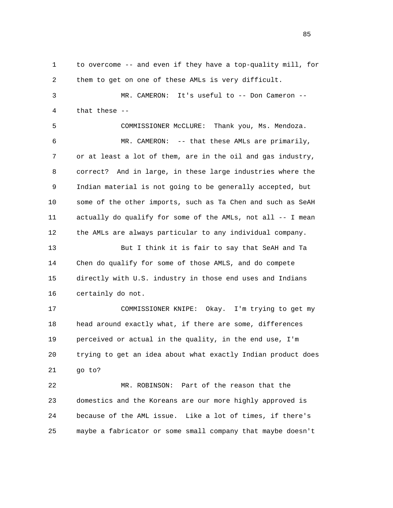1 to overcome -- and even if they have a top-quality mill, for 2 them to get on one of these AMLs is very difficult. 3 MR. CAMERON: It's useful to -- Don Cameron -- 4 that these -- 5 COMMISSIONER McCLURE: Thank you, Ms. Mendoza. 6 MR. CAMERON: -- that these AMLs are primarily, 7 or at least a lot of them, are in the oil and gas industry, 8 correct? And in large, in these large industries where the 9 Indian material is not going to be generally accepted, but 10 some of the other imports, such as Ta Chen and such as SeAH 11 actually do qualify for some of the AMLs, not all -- I mean 12 the AMLs are always particular to any individual company. 13 But I think it is fair to say that SeAH and Ta 14 Chen do qualify for some of those AMLS, and do compete 15 directly with U.S. industry in those end uses and Indians 16 certainly do not. 17 COMMISSIONER KNIPE: Okay. I'm trying to get my

 18 head around exactly what, if there are some, differences 19 perceived or actual in the quality, in the end use, I'm 20 trying to get an idea about what exactly Indian product does 21 go to?

 22 MR. ROBINSON: Part of the reason that the 23 domestics and the Koreans are our more highly approved is 24 because of the AML issue. Like a lot of times, if there's 25 maybe a fabricator or some small company that maybe doesn't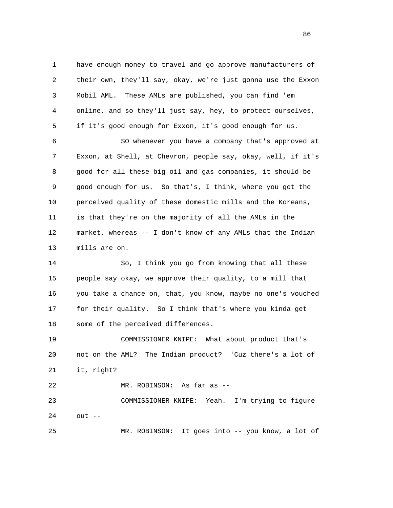1 have enough money to travel and go approve manufacturers of 2 their own, they'll say, okay, we're just gonna use the Exxon 3 Mobil AML. These AMLs are published, you can find 'em 4 online, and so they'll just say, hey, to protect ourselves, 5 if it's good enough for Exxon, it's good enough for us. 6 SO whenever you have a company that's approved at

 7 Exxon, at Shell, at Chevron, people say, okay, well, if it's 8 good for all these big oil and gas companies, it should be 9 good enough for us. So that's, I think, where you get the 10 perceived quality of these domestic mills and the Koreans, 11 is that they're on the majority of all the AMLs in the 12 market, whereas -- I don't know of any AMLs that the Indian 13 mills are on.

 14 So, I think you go from knowing that all these 15 people say okay, we approve their quality, to a mill that 16 you take a chance on, that, you know, maybe no one's vouched 17 for their quality. So I think that's where you kinda get 18 some of the perceived differences.

 19 COMMISSIONER KNIPE: What about product that's 20 not on the AML? The Indian product? 'Cuz there's a lot of 21 it, right?

22 MR. ROBINSON: As far as --

 23 COMMISSIONER KNIPE: Yeah. I'm trying to figure 24 out --

25 MR. ROBINSON: It goes into -- you know, a lot of

<u>86 and 2001 and 2002 and 2003 and 2003 and 2003 and 2003 and 2003 and 2003 and 2003 and 2003 and 2003 and 200</u>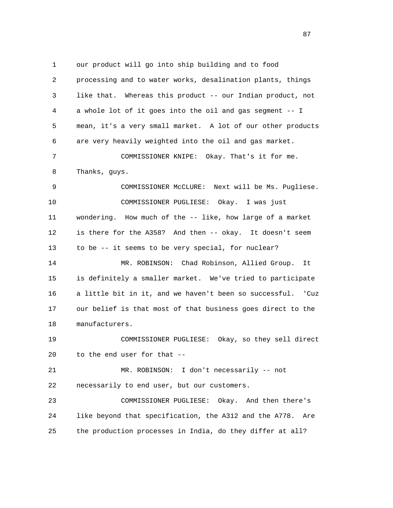1 our product will go into ship building and to food 2 processing and to water works, desalination plants, things 3 like that. Whereas this product -- our Indian product, not 4 a whole lot of it goes into the oil and gas segment -- I 5 mean, it's a very small market. A lot of our other products 6 are very heavily weighted into the oil and gas market. 7 COMMISSIONER KNIPE: Okay. That's it for me. 8 Thanks, guys. 9 COMMISSIONER McCLURE: Next will be Ms. Pugliese. 10 COMMISSIONER PUGLIESE: Okay. I was just 11 wondering. How much of the -- like, how large of a market 12 is there for the A358? And then -- okay. It doesn't seem 13 to be -- it seems to be very special, for nuclear? 14 MR. ROBINSON: Chad Robinson, Allied Group. It 15 is definitely a smaller market. We've tried to participate 16 a little bit in it, and we haven't been so successful. 'Cuz 17 our belief is that most of that business goes direct to the 18 manufacturers. 19 COMMISSIONER PUGLIESE: Okay, so they sell direct 20 to the end user for that -- 21 MR. ROBINSON: I don't necessarily -- not 22 necessarily to end user, but our customers. 23 COMMISSIONER PUGLIESE: Okay. And then there's 24 like beyond that specification, the A312 and the A778. Are 25 the production processes in India, do they differ at all?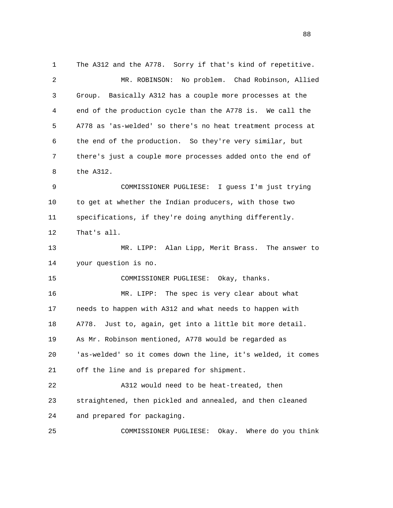1 The A312 and the A778. Sorry if that's kind of repetitive. 2 MR. ROBINSON: No problem. Chad Robinson, Allied 3 Group. Basically A312 has a couple more processes at the 4 end of the production cycle than the A778 is. We call the 5 A778 as 'as-welded' so there's no heat treatment process at 6 the end of the production. So they're very similar, but 7 there's just a couple more processes added onto the end of 8 the A312. 9 COMMISSIONER PUGLIESE: I guess I'm just trying 10 to get at whether the Indian producers, with those two 11 specifications, if they're doing anything differently. 12 That's all. 13 MR. LIPP: Alan Lipp, Merit Brass. The answer to 14 your question is no. 15 COMMISSIONER PUGLIESE: Okay, thanks. 16 MR. LIPP: The spec is very clear about what 17 needs to happen with A312 and what needs to happen with 18 A778. Just to, again, get into a little bit more detail. 19 As Mr. Robinson mentioned, A778 would be regarded as 20 'as-welded' so it comes down the line, it's welded, it comes 21 off the line and is prepared for shipment. 22 A312 would need to be heat-treated, then 23 straightened, then pickled and annealed, and then cleaned 24 and prepared for packaging. 25 COMMISSIONER PUGLIESE: Okay. Where do you think

en and the state of the state of the state of the state of the state of the state of the state of the state of the state of the state of the state of the state of the state of the state of the state of the state of the sta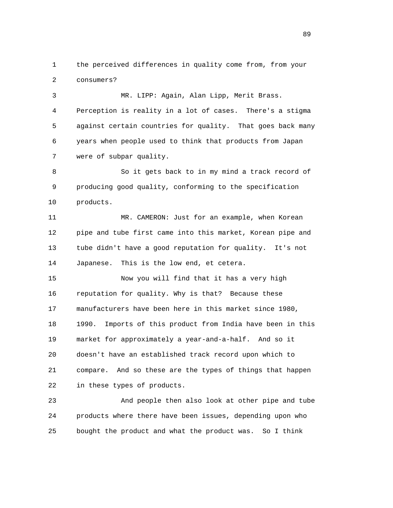1 the perceived differences in quality come from, from your 2 consumers?

 3 MR. LIPP: Again, Alan Lipp, Merit Brass. 4 Perception is reality in a lot of cases. There's a stigma 5 against certain countries for quality. That goes back many 6 years when people used to think that products from Japan 7 were of subpar quality.

 8 So it gets back to in my mind a track record of 9 producing good quality, conforming to the specification 10 products.

 11 MR. CAMERON: Just for an example, when Korean 12 pipe and tube first came into this market, Korean pipe and 13 tube didn't have a good reputation for quality. It's not 14 Japanese. This is the low end, et cetera.

 15 Now you will find that it has a very high 16 reputation for quality. Why is that? Because these 17 manufacturers have been here in this market since 1980, 18 1990. Imports of this product from India have been in this 19 market for approximately a year-and-a-half. And so it 20 doesn't have an established track record upon which to 21 compare. And so these are the types of things that happen 22 in these types of products.

 23 And people then also look at other pipe and tube 24 products where there have been issues, depending upon who 25 bought the product and what the product was. So I think

89 and the state of the state of the state of the state of the state of the state of the state of the state of the state of the state of the state of the state of the state of the state of the state of the state of the sta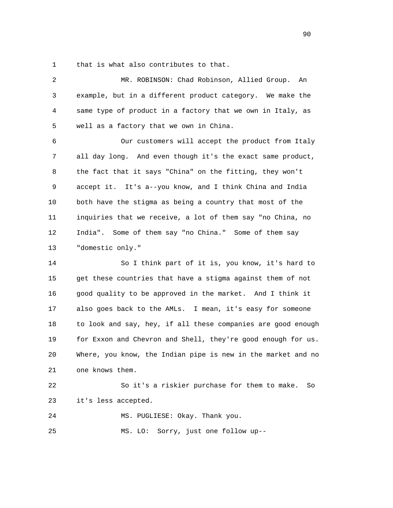1 that is what also contributes to that.

| $\overline{2}$ | MR. ROBINSON: Chad Robinson, Allied Group.<br>An             |
|----------------|--------------------------------------------------------------|
| 3              | example, but in a different product category. We make the    |
| 4              | same type of product in a factory that we own in Italy, as   |
| 5              | well as a factory that we own in China.                      |
| 6              | Our customers will accept the product from Italy             |
| 7              | all day long. And even though it's the exact same product,   |
| 8              | the fact that it says "China" on the fitting, they won't     |
| 9              | accept it. It's a--you know, and I think China and India     |
| 10             | both have the stigma as being a country that most of the     |
| 11             | inquiries that we receive, a lot of them say "no China, no   |
| 12             | India". Some of them say "no China." Some of them say        |
| 13             | "domestic only."                                             |
| 14             | So I think part of it is, you know, it's hard to             |
| 15             | get these countries that have a stigma against them of not   |
| 16             | good quality to be approved in the market. And I think it    |
| 17             | also goes back to the AMLs. I mean, it's easy for someone    |
| 18             | to look and say, hey, if all these companies are good enough |
| 19             | for Exxon and Chevron and Shell, they're good enough for us. |
| 20             | Where, you know, the Indian pipe is new in the market and no |
| 21             | one knows them.                                              |
| 22             | So it's a riskier purchase for them to make.<br>So           |
| 23             | it's less accepted.                                          |
| 24             | MS. PUGLIESE: Okay. Thank you.                               |

25 MS. LO: Sorry, just one follow up--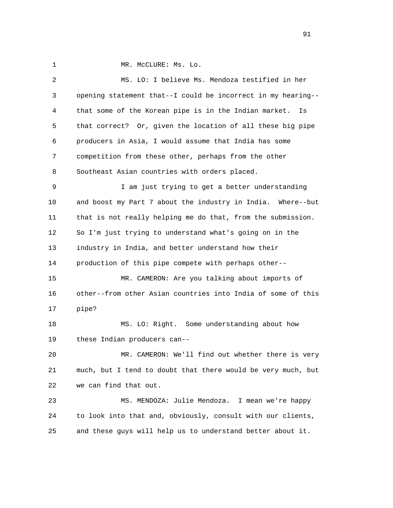1 MR. McCLURE: Ms. Lo.

| 2  | MS. LO: I believe Ms. Mendoza testified in her               |
|----|--------------------------------------------------------------|
| 3  | opening statement that--I could be incorrect in my hearing-- |
| 4  | that some of the Korean pipe is in the Indian market.<br>Is  |
| 5  | that correct? Or, given the location of all these big pipe   |
| 6  | producers in Asia, I would assume that India has some        |
| 7  | competition from these other, perhaps from the other         |
| 8  | Southeast Asian countries with orders placed.                |
| 9  | I am just trying to get a better understanding               |
| 10 | and boost my Part 7 about the industry in India. Where--but  |
| 11 | that is not really helping me do that, from the submission.  |
| 12 | So I'm just trying to understand what's going on in the      |
| 13 | industry in India, and better understand how their           |
| 14 | production of this pipe compete with perhaps other--         |
| 15 | MR. CAMERON: Are you talking about imports of                |
| 16 | other--from other Asian countries into India of some of this |
| 17 | pipe?                                                        |
| 18 | MS. LO: Right. Some understanding about how                  |
| 19 | these Indian producers can--                                 |
| 20 | MR. CAMERON: We'll find out whether there is very            |
| 21 | much, but I tend to doubt that there would be very much, but |
| 22 | we can find that out.                                        |
| 23 | MS. MENDOZA: Julie Mendoza. I mean we're happy               |
| 24 | to look into that and, obviously, consult with our clients,  |
| 25 | and these guys will help us to understand better about it.   |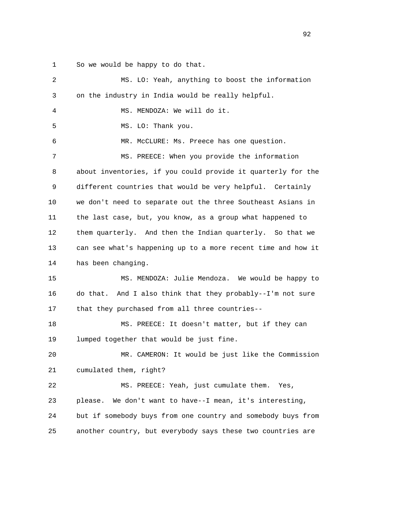1 So we would be happy to do that.

| 2  | MS. LO: Yeah, anything to boost the information               |
|----|---------------------------------------------------------------|
| 3  | on the industry in India would be really helpful.             |
| 4  | MS. MENDOZA: We will do it.                                   |
| 5  | MS. LO: Thank you.                                            |
| 6  | MR. McCLURE: Ms. Preece has one question.                     |
| 7  | MS. PREECE: When you provide the information                  |
| 8  | about inventories, if you could provide it quarterly for the  |
| 9  | different countries that would be very helpful. Certainly     |
| 10 | we don't need to separate out the three Southeast Asians in   |
| 11 | the last case, but, you know, as a group what happened to     |
| 12 | them quarterly. And then the Indian quarterly. So that we     |
| 13 | can see what's happening up to a more recent time and how it  |
| 14 | has been changing.                                            |
| 15 | MS. MENDOZA: Julie Mendoza. We would be happy to              |
| 16 | And I also think that they probably--I'm not sure<br>do that. |
| 17 | that they purchased from all three countries--                |
| 18 | MS. PREECE: It doesn't matter, but if they can                |
| 19 | lumped together that would be just fine.                      |
| 20 | MR. CAMERON: It would be just like the Commission             |
| 21 | cumulated them, right?                                        |
| 22 | MS. PREECE: Yeah, just cumulate them. Yes,                    |
| 23 |                                                               |
|    | We don't want to have--I mean, it's interesting,<br>please.   |
| 24 | but if somebody buys from one country and somebody buys from  |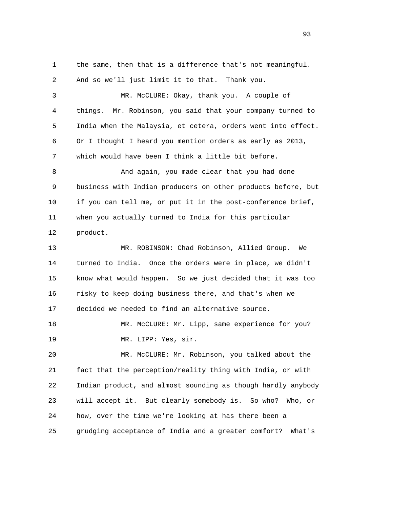1 the same, then that is a difference that's not meaningful. 2 And so we'll just limit it to that. Thank you. 3 MR. McCLURE: Okay, thank you. A couple of 4 things. Mr. Robinson, you said that your company turned to 5 India when the Malaysia, et cetera, orders went into effect. 6 Or I thought I heard you mention orders as early as 2013,

7 which would have been I think a little bit before.

 8 And again, you made clear that you had done 9 business with Indian producers on other products before, but 10 if you can tell me, or put it in the post-conference brief, 11 when you actually turned to India for this particular 12 product.

 13 MR. ROBINSON: Chad Robinson, Allied Group. We 14 turned to India. Once the orders were in place, we didn't 15 know what would happen. So we just decided that it was too 16 risky to keep doing business there, and that's when we 17 decided we needed to find an alternative source.

18 MR. McCLURE: Mr. Lipp, same experience for you? 19 MR. LIPP: Yes, sir.

 20 MR. McCLURE: Mr. Robinson, you talked about the 21 fact that the perception/reality thing with India, or with 22 Indian product, and almost sounding as though hardly anybody 23 will accept it. But clearly somebody is. So who? Who, or 24 how, over the time we're looking at has there been a 25 grudging acceptance of India and a greater comfort? What's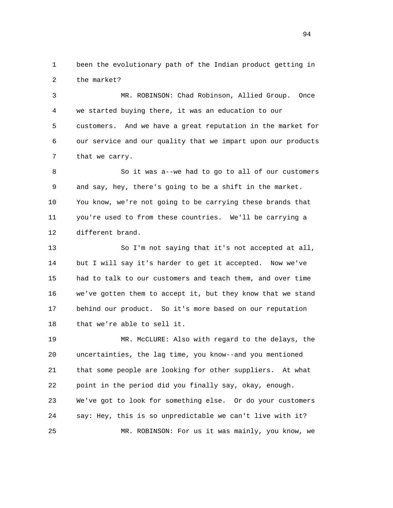1 been the evolutionary path of the Indian product getting in 2 the market?

 3 MR. ROBINSON: Chad Robinson, Allied Group. Once 4 we started buying there, it was an education to our 5 customers. And we have a great reputation in the market for 6 our service and our quality that we impart upon our products 7 that we carry.

 8 So it was a--we had to go to all of our customers 9 and say, hey, there's going to be a shift in the market. 10 You know, we're not going to be carrying these brands that 11 you're used to from these countries. We'll be carrying a 12 different brand.

 13 So I'm not saying that it's not accepted at all, 14 but I will say it's harder to get it accepted. Now we've 15 had to talk to our customers and teach them, and over time 16 we've gotten them to accept it, but they know that we stand 17 behind our product. So it's more based on our reputation 18 that we're able to sell it.

 19 MR. McCLURE: Also with regard to the delays, the 20 uncertainties, the lag time, you know--and you mentioned 21 that some people are looking for other suppliers. At what 22 point in the period did you finally say, okay, enough. 23 We've got to look for something else. Or do your customers 24 say: Hey, this is so unpredictable we can't live with it? 25 MR. ROBINSON: For us it was mainly, you know, we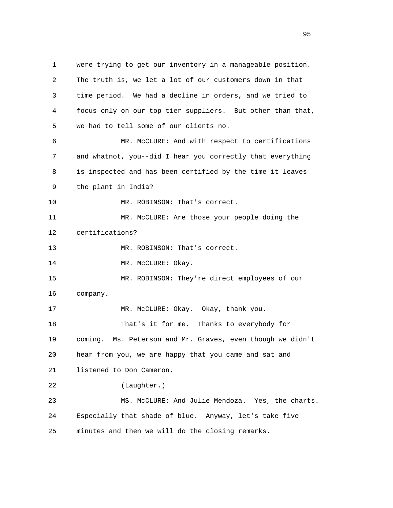1 were trying to get our inventory in a manageable position. 2 The truth is, we let a lot of our customers down in that 3 time period. We had a decline in orders, and we tried to 4 focus only on our top tier suppliers. But other than that, 5 we had to tell some of our clients no. 6 MR. McCLURE: And with respect to certifications 7 and whatnot, you--did I hear you correctly that everything 8 is inspected and has been certified by the time it leaves 9 the plant in India? 10 MR. ROBINSON: That's correct. 11 MR. McCLURE: Are those your people doing the 12 certifications? 13 MR. ROBINSON: That's correct. 14 MR. McCLURE: Okay. 15 MR. ROBINSON: They're direct employees of our 16 company. 17 MR. McCLURE: Okay. Okay, thank you. 18 That's it for me. Thanks to everybody for 19 coming. Ms. Peterson and Mr. Graves, even though we didn't 20 hear from you, we are happy that you came and sat and 21 listened to Don Cameron. 22 (Laughter.) 23 MS. McCLURE: And Julie Mendoza. Yes, the charts. 24 Especially that shade of blue. Anyway, let's take five 25 minutes and then we will do the closing remarks.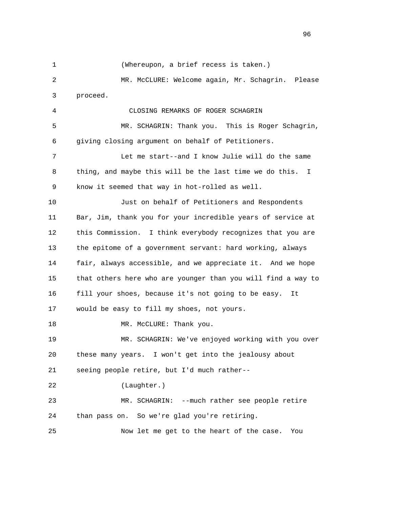1 (Whereupon, a brief recess is taken.) 2 MR. McCLURE: Welcome again, Mr. Schagrin. Please 3 proceed. 4 CLOSING REMARKS OF ROGER SCHAGRIN 5 MR. SCHAGRIN: Thank you. This is Roger Schagrin, 6 giving closing argument on behalf of Petitioners. 7 Let me start--and I know Julie will do the same 8 thing, and maybe this will be the last time we do this. I 9 know it seemed that way in hot-rolled as well. 10 Just on behalf of Petitioners and Respondents 11 Bar, Jim, thank you for your incredible years of service at 12 this Commission. I think everybody recognizes that you are 13 the epitome of a government servant: hard working, always 14 fair, always accessible, and we appreciate it. And we hope 15 that others here who are younger than you will find a way to 16 fill your shoes, because it's not going to be easy. It 17 would be easy to fill my shoes, not yours. 18 MR. McCLURE: Thank you. 19 MR. SCHAGRIN: We've enjoyed working with you over 20 these many years. I won't get into the jealousy about 21 seeing people retire, but I'd much rather-- 22 (Laughter.) 23 MR. SCHAGRIN: --much rather see people retire 24 than pass on. So we're glad you're retiring. 25 Now let me get to the heart of the case. You

<u>96</u>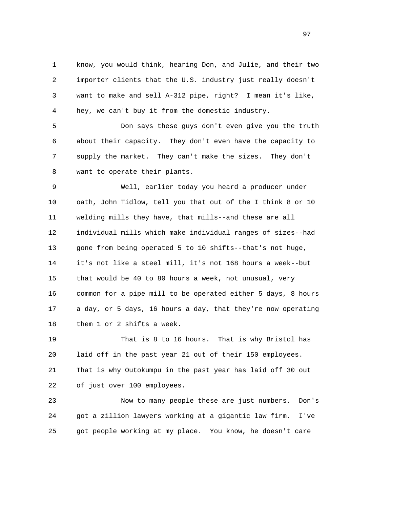1 know, you would think, hearing Don, and Julie, and their two 2 importer clients that the U.S. industry just really doesn't 3 want to make and sell A-312 pipe, right? I mean it's like, 4 hey, we can't buy it from the domestic industry.

 5 Don says these guys don't even give you the truth 6 about their capacity. They don't even have the capacity to 7 supply the market. They can't make the sizes. They don't 8 want to operate their plants.

 9 Well, earlier today you heard a producer under 10 oath, John Tidlow, tell you that out of the I think 8 or 10 11 welding mills they have, that mills--and these are all 12 individual mills which make individual ranges of sizes--had 13 gone from being operated 5 to 10 shifts--that's not huge, 14 it's not like a steel mill, it's not 168 hours a week--but 15 that would be 40 to 80 hours a week, not unusual, very 16 common for a pipe mill to be operated either 5 days, 8 hours 17 a day, or 5 days, 16 hours a day, that they're now operating 18 them 1 or 2 shifts a week.

 19 That is 8 to 16 hours. That is why Bristol has 20 laid off in the past year 21 out of their 150 employees. 21 That is why Outokumpu in the past year has laid off 30 out 22 of just over 100 employees.

 23 Now to many people these are just numbers. Don's 24 got a zillion lawyers working at a gigantic law firm. I've 25 got people working at my place. You know, he doesn't care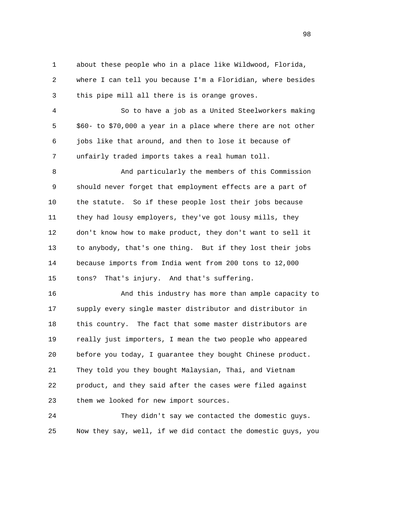1 about these people who in a place like Wildwood, Florida, 2 where I can tell you because I'm a Floridian, where besides 3 this pipe mill all there is is orange groves.

 4 So to have a job as a United Steelworkers making 5 \$60- to \$70,000 a year in a place where there are not other 6 jobs like that around, and then to lose it because of 7 unfairly traded imports takes a real human toll.

 8 And particularly the members of this Commission 9 should never forget that employment effects are a part of 10 the statute. So if these people lost their jobs because 11 they had lousy employers, they've got lousy mills, they 12 don't know how to make product, they don't want to sell it 13 to anybody, that's one thing. But if they lost their jobs 14 because imports from India went from 200 tons to 12,000 15 tons? That's injury. And that's suffering.

 16 And this industry has more than ample capacity to 17 supply every single master distributor and distributor in 18 this country. The fact that some master distributors are 19 really just importers, I mean the two people who appeared 20 before you today, I guarantee they bought Chinese product. 21 They told you they bought Malaysian, Thai, and Vietnam 22 product, and they said after the cases were filed against 23 them we looked for new import sources.

 24 They didn't say we contacted the domestic guys. 25 Now they say, well, if we did contact the domestic guys, you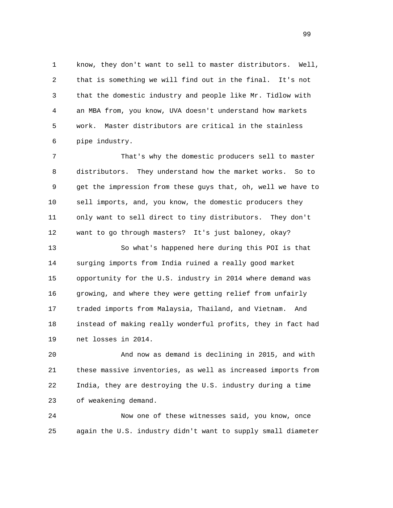1 know, they don't want to sell to master distributors. Well, 2 that is something we will find out in the final. It's not 3 that the domestic industry and people like Mr. Tidlow with 4 an MBA from, you know, UVA doesn't understand how markets 5 work. Master distributors are critical in the stainless 6 pipe industry.

 7 That's why the domestic producers sell to master 8 distributors. They understand how the market works. So to 9 get the impression from these guys that, oh, well we have to 10 sell imports, and, you know, the domestic producers they 11 only want to sell direct to tiny distributors. They don't 12 want to go through masters? It's just baloney, okay?

 13 So what's happened here during this POI is that 14 surging imports from India ruined a really good market 15 opportunity for the U.S. industry in 2014 where demand was 16 growing, and where they were getting relief from unfairly 17 traded imports from Malaysia, Thailand, and Vietnam. And 18 instead of making really wonderful profits, they in fact had 19 net losses in 2014.

 20 And now as demand is declining in 2015, and with 21 these massive inventories, as well as increased imports from 22 India, they are destroying the U.S. industry during a time 23 of weakening demand.

 24 Now one of these witnesses said, you know, once 25 again the U.S. industry didn't want to supply small diameter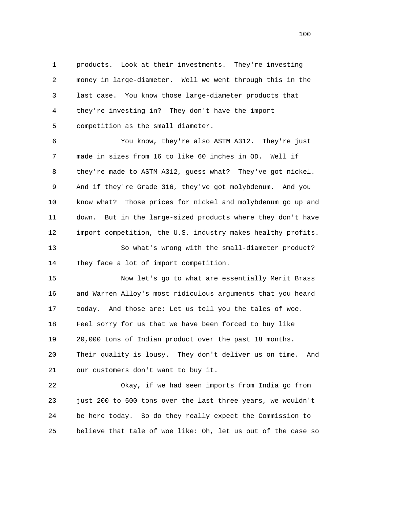1 products. Look at their investments. They're investing 2 money in large-diameter. Well we went through this in the 3 last case. You know those large-diameter products that 4 they're investing in? They don't have the import 5 competition as the small diameter.

 6 You know, they're also ASTM A312. They're just 7 made in sizes from 16 to like 60 inches in OD. Well if 8 they're made to ASTM A312, guess what? They've got nickel. 9 And if they're Grade 316, they've got molybdenum. And you 10 know what? Those prices for nickel and molybdenum go up and 11 down. But in the large-sized products where they don't have 12 import competition, the U.S. industry makes healthy profits. 13 So what's wrong with the small-diameter product?

14 They face a lot of import competition.

 15 Now let's go to what are essentially Merit Brass 16 and Warren Alloy's most ridiculous arguments that you heard 17 today. And those are: Let us tell you the tales of woe. 18 Feel sorry for us that we have been forced to buy like 19 20,000 tons of Indian product over the past 18 months. 20 Their quality is lousy. They don't deliver us on time. And 21 our customers don't want to buy it.

 22 Okay, if we had seen imports from India go from 23 just 200 to 500 tons over the last three years, we wouldn't 24 be here today. So do they really expect the Commission to 25 believe that tale of woe like: Oh, let us out of the case so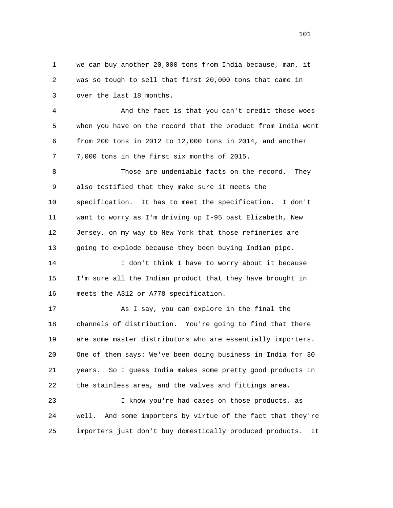1 we can buy another 20,000 tons from India because, man, it 2 was so tough to sell that first 20,000 tons that came in 3 over the last 18 months.

 4 And the fact is that you can't credit those woes 5 when you have on the record that the product from India went 6 from 200 tons in 2012 to 12,000 tons in 2014, and another 7 7,000 tons in the first six months of 2015.

 8 Those are undeniable facts on the record. They 9 also testified that they make sure it meets the 10 specification. It has to meet the specification. I don't 11 want to worry as I'm driving up I-95 past Elizabeth, New 12 Jersey, on my way to New York that those refineries are 13 going to explode because they been buying Indian pipe.

 14 I don't think I have to worry about it because 15 I'm sure all the Indian product that they have brought in 16 meets the A312 or A778 specification.

 17 As I say, you can explore in the final the 18 channels of distribution. You're going to find that there 19 are some master distributors who are essentially importers. 20 One of them says: We've been doing business in India for 30 21 years. So I guess India makes some pretty good products in 22 the stainless area, and the valves and fittings area.

 23 I know you're had cases on those products, as 24 well. And some importers by virtue of the fact that they're 25 importers just don't buy domestically produced products. It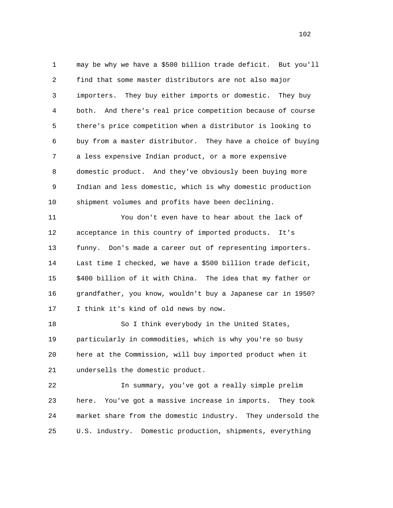1 may be why we have a \$500 billion trade deficit. But you'll 2 find that some master distributors are not also major 3 importers. They buy either imports or domestic. They buy 4 both. And there's real price competition because of course 5 there's price competition when a distributor is looking to 6 buy from a master distributor. They have a choice of buying 7 a less expensive Indian product, or a more expensive 8 domestic product. And they've obviously been buying more 9 Indian and less domestic, which is why domestic production 10 shipment volumes and profits have been declining.

 11 You don't even have to hear about the lack of 12 acceptance in this country of imported products. It's 13 funny. Don's made a career out of representing importers. 14 Last time I checked, we have a \$500 billion trade deficit, 15 \$400 billion of it with China. The idea that my father or 16 grandfather, you know, wouldn't buy a Japanese car in 1950? 17 I think it's kind of old news by now.

 18 So I think everybody in the United States, 19 particularly in commodities, which is why you're so busy 20 here at the Commission, will buy imported product when it 21 undersells the domestic product.

 22 In summary, you've got a really simple prelim 23 here. You've got a massive increase in imports. They took 24 market share from the domestic industry. They undersold the 25 U.S. industry. Domestic production, shipments, everything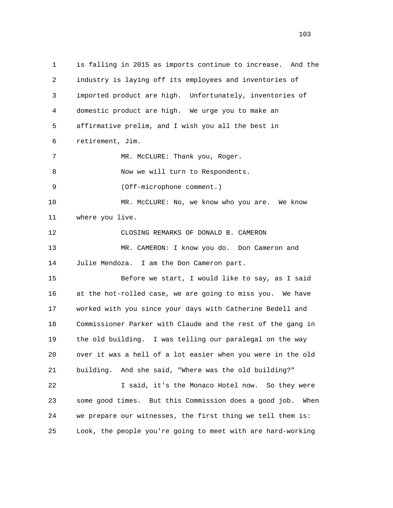1 is falling in 2015 as imports continue to increase. And the 2 industry is laying off its employees and inventories of 3 imported product are high. Unfortunately, inventories of 4 domestic product are high. We urge you to make an 5 affirmative prelim, and I wish you all the best in 6 retirement, Jim. 7 MR. McCLURE: Thank you, Roger. 8 Now we will turn to Respondents. 9 (Off-microphone comment.) 10 MR. McCLURE: No, we know who you are. We know 11 where you live. 12 CLOSING REMARKS OF DONALD B. CAMERON 13 MR. CAMERON: I know you do. Don Cameron and 14 Julie Mendoza. I am the Don Cameron part. 15 Before we start, I would like to say, as I said 16 at the hot-rolled case, we are going to miss you. We have 17 worked with you since your days with Catherine Bedell and 18 Commissioner Parker with Claude and the rest of the gang in 19 the old building. I was telling our paralegal on the way 20 over it was a hell of a lot easier when you were in the old 21 building. And she said, "Where was the old building?" 22 I said, it's the Monaco Hotel now. So they were 23 some good times. But this Commission does a good job. When 24 we prepare our witnesses, the first thing we tell them is: 25 Look, the people you're going to meet with are hard-working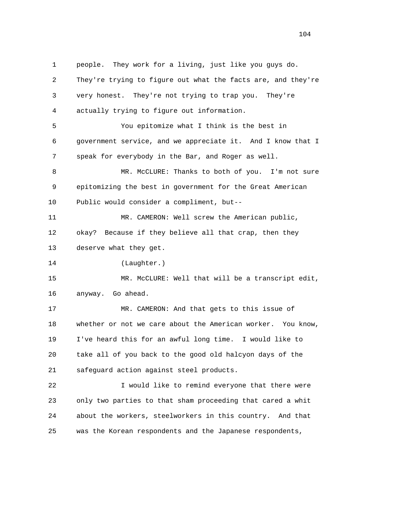1 people. They work for a living, just like you guys do. 2 They're trying to figure out what the facts are, and they're 3 very honest. They're not trying to trap you. They're 4 actually trying to figure out information. 5 You epitomize what I think is the best in 6 government service, and we appreciate it. And I know that I 7 speak for everybody in the Bar, and Roger as well. 8 MR. McCLURE: Thanks to both of you. I'm not sure 9 epitomizing the best in government for the Great American 10 Public would consider a compliment, but-- 11 MR. CAMERON: Well screw the American public, 12 okay? Because if they believe all that crap, then they 13 deserve what they get. 14 (Laughter.) 15 MR. McCLURE: Well that will be a transcript edit, 16 anyway. Go ahead. 17 MR. CAMERON: And that gets to this issue of 18 whether or not we care about the American worker. You know, 19 I've heard this for an awful long time. I would like to 20 take all of you back to the good old halcyon days of the 21 safeguard action against steel products. 22 I would like to remind everyone that there were 23 only two parties to that sham proceeding that cared a whit 24 about the workers, steelworkers in this country. And that

25 was the Korean respondents and the Japanese respondents,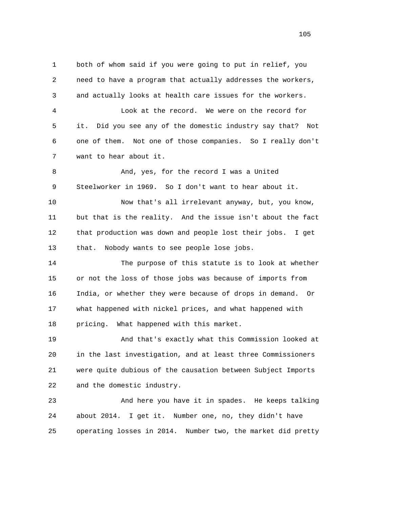1 both of whom said if you were going to put in relief, you 2 need to have a program that actually addresses the workers, 3 and actually looks at health care issues for the workers. 4 Look at the record. We were on the record for 5 it. Did you see any of the domestic industry say that? Not 6 one of them. Not one of those companies. So I really don't 7 want to hear about it. 8 And, yes, for the record I was a United 9 Steelworker in 1969. So I don't want to hear about it. 10 Now that's all irrelevant anyway, but, you know, 11 but that is the reality. And the issue isn't about the fact 12 that production was down and people lost their jobs. I get 13 that. Nobody wants to see people lose jobs. 14 The purpose of this statute is to look at whether 15 or not the loss of those jobs was because of imports from 16 India, or whether they were because of drops in demand. Or 17 what happened with nickel prices, and what happened with 18 pricing. What happened with this market. 19 And that's exactly what this Commission looked at 20 in the last investigation, and at least three Commissioners 21 were quite dubious of the causation between Subject Imports 22 and the domestic industry. 23 And here you have it in spades. He keeps talking 24 about 2014. I get it. Number one, no, they didn't have

25 operating losses in 2014. Number two, the market did pretty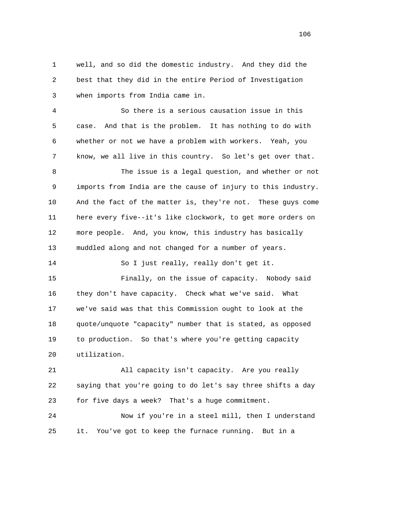1 well, and so did the domestic industry. And they did the 2 best that they did in the entire Period of Investigation 3 when imports from India came in.

 4 So there is a serious causation issue in this 5 case. And that is the problem. It has nothing to do with 6 whether or not we have a problem with workers. Yeah, you 7 know, we all live in this country. So let's get over that.

 8 The issue is a legal question, and whether or not 9 imports from India are the cause of injury to this industry. 10 And the fact of the matter is, they're not. These guys come 11 here every five--it's like clockwork, to get more orders on 12 more people. And, you know, this industry has basically 13 muddled along and not changed for a number of years.

14 So I just really, really don't get it.

 15 Finally, on the issue of capacity. Nobody said 16 they don't have capacity. Check what we've said. What 17 we've said was that this Commission ought to look at the 18 quote/unquote "capacity" number that is stated, as opposed 19 to production. So that's where you're getting capacity 20 utilization.

 21 All capacity isn't capacity. Are you really 22 saying that you're going to do let's say three shifts a day 23 for five days a week? That's a huge commitment.

 24 Now if you're in a steel mill, then I understand 25 it. You've got to keep the furnace running. But in a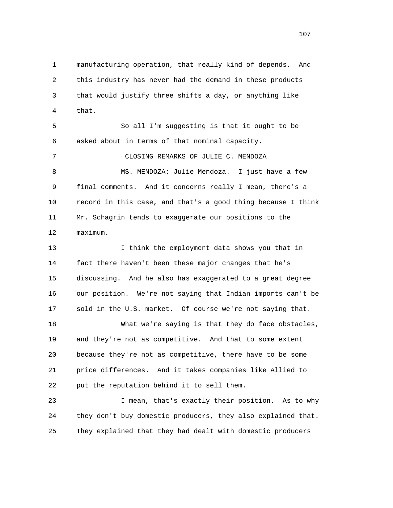1 manufacturing operation, that really kind of depends. And 2 this industry has never had the demand in these products 3 that would justify three shifts a day, or anything like 4 that.

 5 So all I'm suggesting is that it ought to be 6 asked about in terms of that nominal capacity.

 7 CLOSING REMARKS OF JULIE C. MENDOZA 8 MS. MENDOZA: Julie Mendoza. I just have a few 9 final comments. And it concerns really I mean, there's a 10 record in this case, and that's a good thing because I think 11 Mr. Schagrin tends to exaggerate our positions to the 12 maximum.

 13 I think the employment data shows you that in 14 fact there haven't been these major changes that he's 15 discussing. And he also has exaggerated to a great degree 16 our position. We're not saying that Indian imports can't be 17 sold in the U.S. market. Of course we're not saying that.

 18 What we're saying is that they do face obstacles, 19 and they're not as competitive. And that to some extent 20 because they're not as competitive, there have to be some 21 price differences. And it takes companies like Allied to 22 put the reputation behind it to sell them.

 23 I mean, that's exactly their position. As to why 24 they don't buy domestic producers, they also explained that. 25 They explained that they had dealt with domestic producers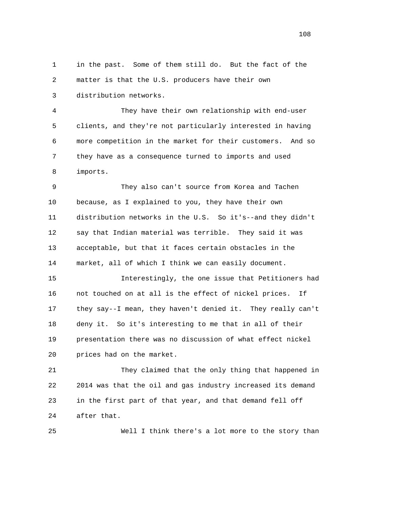1 in the past. Some of them still do. But the fact of the 2 matter is that the U.S. producers have their own 3 distribution networks.

 4 They have their own relationship with end-user 5 clients, and they're not particularly interested in having 6 more competition in the market for their customers. And so 7 they have as a consequence turned to imports and used 8 imports.

 9 They also can't source from Korea and Tachen 10 because, as I explained to you, they have their own 11 distribution networks in the U.S. So it's--and they didn't 12 say that Indian material was terrible. They said it was 13 acceptable, but that it faces certain obstacles in the 14 market, all of which I think we can easily document.

 15 Interestingly, the one issue that Petitioners had 16 not touched on at all is the effect of nickel prices. If 17 they say--I mean, they haven't denied it. They really can't 18 deny it. So it's interesting to me that in all of their 19 presentation there was no discussion of what effect nickel 20 prices had on the market.

 21 They claimed that the only thing that happened in 22 2014 was that the oil and gas industry increased its demand 23 in the first part of that year, and that demand fell off 24 after that.

25 Well I think there's a lot more to the story than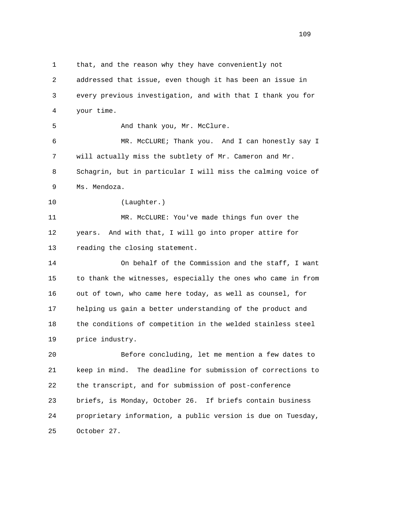1 that, and the reason why they have conveniently not

 2 addressed that issue, even though it has been an issue in 3 every previous investigation, and with that I thank you for 4 your time.

5 And thank you, Mr. McClure.

 6 MR. McCLURE; Thank you. And I can honestly say I 7 will actually miss the subtlety of Mr. Cameron and Mr. 8 Schagrin, but in particular I will miss the calming voice of 9 Ms. Mendoza.

10 (Laughter.)

 11 MR. McCLURE: You've made things fun over the 12 years. And with that, I will go into proper attire for 13 reading the closing statement.

 14 On behalf of the Commission and the staff, I want 15 to thank the witnesses, especially the ones who came in from 16 out of town, who came here today, as well as counsel, for 17 helping us gain a better understanding of the product and 18 the conditions of competition in the welded stainless steel 19 price industry.

 20 Before concluding, let me mention a few dates to 21 keep in mind. The deadline for submission of corrections to 22 the transcript, and for submission of post-conference 23 briefs, is Monday, October 26. If briefs contain business 24 proprietary information, a public version is due on Tuesday, 25 October 27.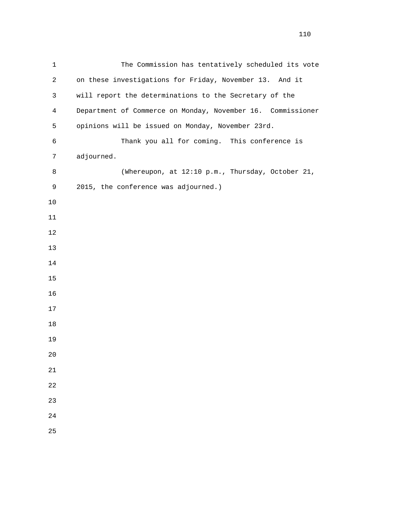| $\mathbf 1$    | The Commission has tentatively scheduled its vote           |
|----------------|-------------------------------------------------------------|
| $\overline{2}$ | on these investigations for Friday, November 13. And it     |
| 3              | will report the determinations to the Secretary of the      |
| $\overline{4}$ | Department of Commerce on Monday, November 16. Commissioner |
| 5              | opinions will be issued on Monday, November 23rd.           |
| 6              | Thank you all for coming. This conference is                |
| 7              | adjourned.                                                  |
| $\,8\,$        | (Whereupon, at 12:10 p.m., Thursday, October 21,            |
| 9              | 2015, the conference was adjourned.)                        |
| 10             |                                                             |
| 11             |                                                             |
| $12$           |                                                             |
| 13             |                                                             |
| 14             |                                                             |
| 15             |                                                             |
| 16             |                                                             |
| 17             |                                                             |
| 18             |                                                             |
| 19             |                                                             |
| 20             |                                                             |
| 21             |                                                             |
| 22             |                                                             |
| 23             |                                                             |
| 24             |                                                             |
| 25             |                                                             |